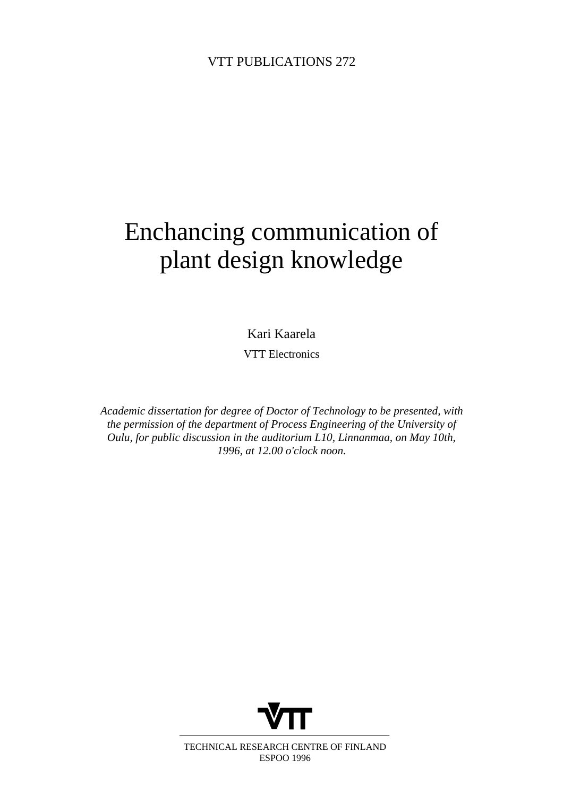# Enchancing communication of plant design knowledge

Kari Kaarela

VTT Electronics

*Academic dissertation for degree of Doctor of Technology to be presented, with the permission of the department of Process Engineering of the University of Oulu, for public discussion in the auditorium L10, Linnanmaa, on May 10th, 1996, at 12.00 o'clock noon.*



TECHNICAL RESEARCH CENTRE OF FINLAND ESPOO 1996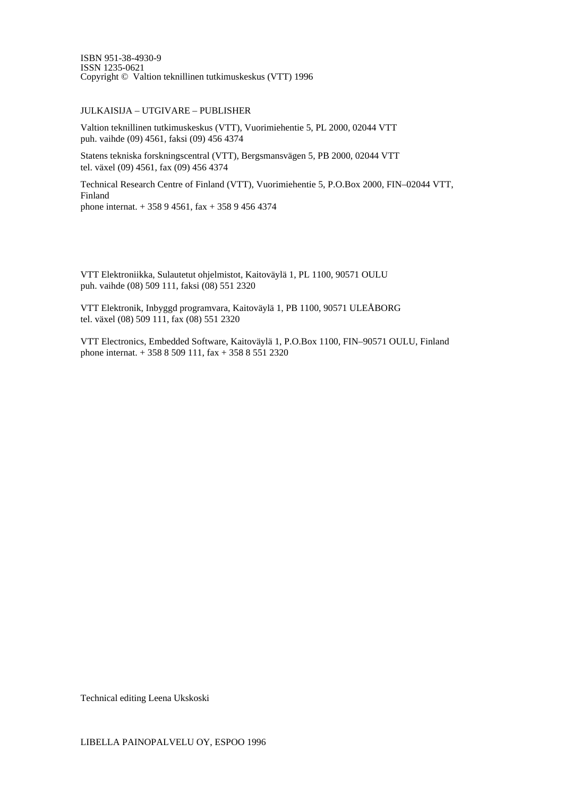ISBN 951-38-4930-9 ISSN 1235-0621 Copyright © Valtion teknillinen tutkimuskeskus (VTT) 1996

#### JULKAISIJA – UTGIVARE – PUBLISHER

Valtion teknillinen tutkimuskeskus (VTT), Vuorimiehentie 5, PL 2000, 02044 VTT puh. vaihde (09) 4561, faksi (09) 456 4374

Statens tekniska forskningscentral (VTT), Bergsmansvägen 5, PB 2000, 02044 VTT tel. växel (09) 4561, fax (09) 456 4374

Technical Research Centre of Finland (VTT), Vuorimiehentie 5, P.O.Box 2000, FIN–02044 VTT, Finland phone internat. + 358 9 4561, fax + 358 9 456 4374

VTT Elektroniikka, Sulautetut ohjelmistot, Kaitoväylä 1, PL 1100, 90571 OULU puh. vaihde (08) 509 111, faksi (08) 551 2320

VTT Elektronik, Inbyggd programvara, Kaitoväylä 1, PB 1100, 90571 ULEÅBORG tel. växel (08) 509 111, fax (08) 551 2320

VTT Electronics, Embedded Software, Kaitoväylä 1, P.O.Box 1100, FIN–90571 OULU, Finland phone internat. + 358 8 509 111, fax + 358 8 551 2320

Technical editing Leena Ukskoski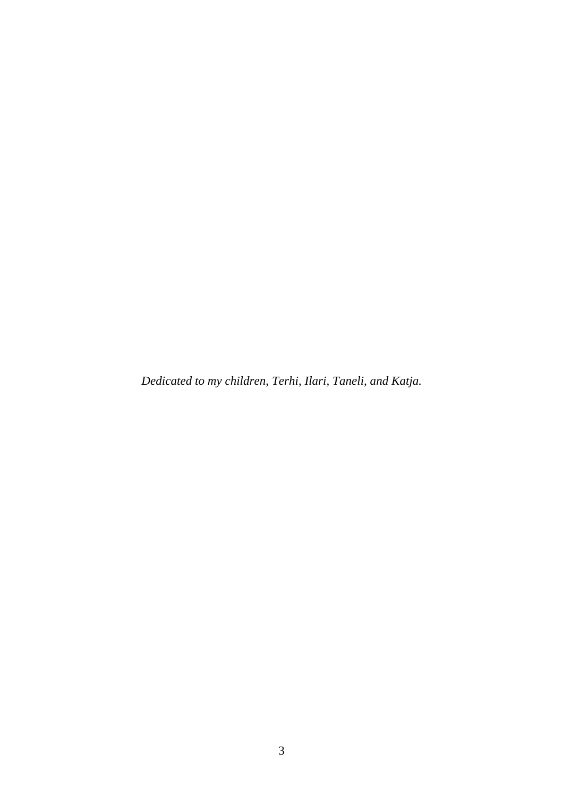*Dedicated to my children, Terhi, Ilari, Taneli, and Katja.*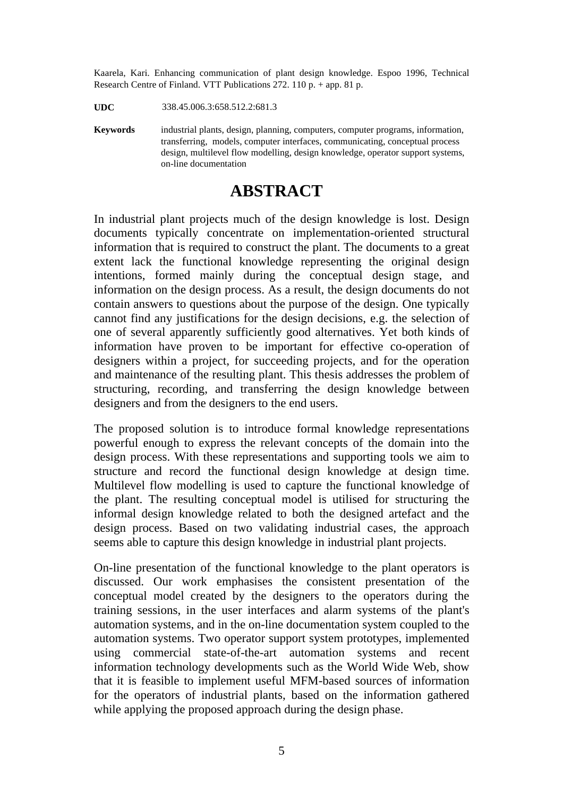Kaarela, Kari. Enhancing communication of plant design knowledge. Espoo 1996, Technical Research Centre of Finland. VTT Publications 272. 110 p. + app. 81 p.

**UDC** 338.45.006.3:658.512.2:681.3

**Keywords** industrial plants, design, planning, computers, computer programs, information, transferring, models, computer interfaces, communicating, conceptual process design, multilevel flow modelling, design knowledge, operator support systems, on-line documentation

# **ABSTRACT**

In industrial plant projects much of the design knowledge is lost. Design documents typically concentrate on implementation-oriented structural information that is required to construct the plant. The documents to a great extent lack the functional knowledge representing the original design intentions, formed mainly during the conceptual design stage, and information on the design process. As a result, the design documents do not contain answers to questions about the purpose of the design. One typically cannot find any justifications for the design decisions, e.g. the selection of one of several apparently sufficiently good alternatives. Yet both kinds of information have proven to be important for effective co-operation of designers within a project, for succeeding projects, and for the operation and maintenance of the resulting plant. This thesis addresses the problem of structuring, recording, and transferring the design knowledge between designers and from the designers to the end users.

The proposed solution is to introduce formal knowledge representations powerful enough to express the relevant concepts of the domain into the design process. With these representations and supporting tools we aim to structure and record the functional design knowledge at design time. Multilevel flow modelling is used to capture the functional knowledge of the plant. The resulting conceptual model is utilised for structuring the informal design knowledge related to both the designed artefact and the design process. Based on two validating industrial cases, the approach seems able to capture this design knowledge in industrial plant projects.

On-line presentation of the functional knowledge to the plant operators is discussed. Our work emphasises the consistent presentation of the conceptual model created by the designers to the operators during the training sessions, in the user interfaces and alarm systems of the plant's automation systems, and in the on-line documentation system coupled to the automation systems. Two operator support system prototypes, implemented using commercial state-of-the-art automation systems and recent information technology developments such as the World Wide Web, show that it is feasible to implement useful MFM-based sources of information for the operators of industrial plants, based on the information gathered while applying the proposed approach during the design phase.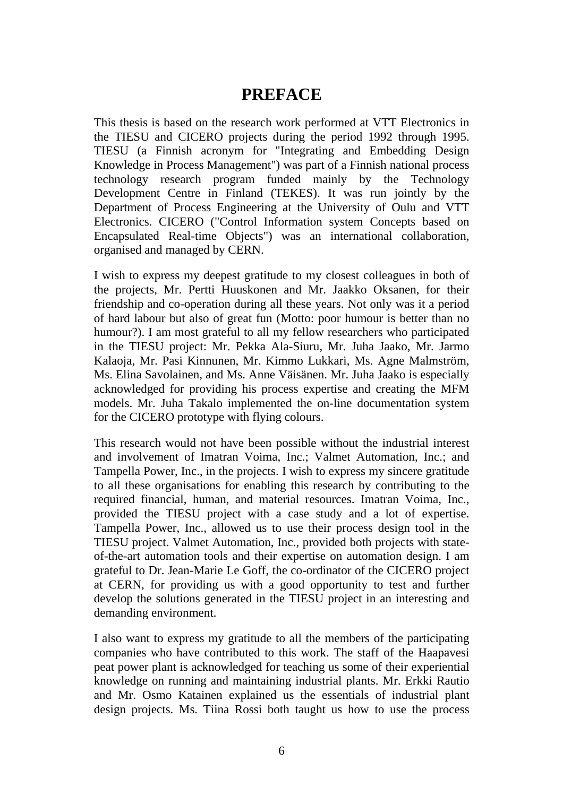# **PREFACE**

This thesis is based on the research work performed at VTT Electronics in the TIESU and CICERO projects during the period 1992 through 1995. TIESU (a Finnish acronym for "Integrating and Embedding Design Knowledge in Process Management") was part of a Finnish national process technology research program funded mainly by the Technology Development Centre in Finland (TEKES). It was run jointly by the Department of Process Engineering at the University of Oulu and VTT Electronics. CICERO ("Control Information system Concepts based on Encapsulated Real-time Objects") was an international collaboration, organised and managed by CERN.

I wish to express my deepest gratitude to my closest colleagues in both of the projects, Mr. Pertti Huuskonen and Mr. Jaakko Oksanen, for their friendship and co-operation during all these years. Not only was it a period of hard labour but also of great fun (Motto: poor humour is better than no humour?). I am most grateful to all my fellow researchers who participated in the TIESU project: Mr. Pekka Ala-Siuru, Mr. Juha Jaako, Mr. Jarmo Kalaoja, Mr. Pasi Kinnunen, Mr. Kimmo Lukkari, Ms. Agne Malmström, Ms. Elina Savolainen, and Ms. Anne Väisänen. Mr. Juha Jaako is especially acknowledged for providing his process expertise and creating the MFM models. Mr. Juha Takalo implemented the on-line documentation system for the CICERO prototype with flying colours.

This research would not have been possible without the industrial interest and involvement of Imatran Voima, Inc.; Valmet Automation, Inc.; and Tampella Power, Inc., in the projects. I wish to express my sincere gratitude to all these organisations for enabling this research by contributing to the required financial, human, and material resources. Imatran Voima, Inc., provided the TIESU project with a case study and a lot of expertise. Tampella Power, Inc., allowed us to use their process design tool in the TIESU project. Valmet Automation, Inc., provided both projects with stateof-the-art automation tools and their expertise on automation design. I am grateful to Dr. Jean-Marie Le Goff, the co-ordinator of the CICERO project at CERN, for providing us with a good opportunity to test and further develop the solutions generated in the TIESU project in an interesting and demanding environment.

I also want to express my gratitude to all the members of the participating companies who have contributed to this work. The staff of the Haapavesi peat power plant is acknowledged for teaching us some of their experiential knowledge on running and maintaining industrial plants. Mr. Erkki Rautio and Mr. Osmo Katainen explained us the essentials of industrial plant design projects. Ms. Tiina Rossi both taught us how to use the process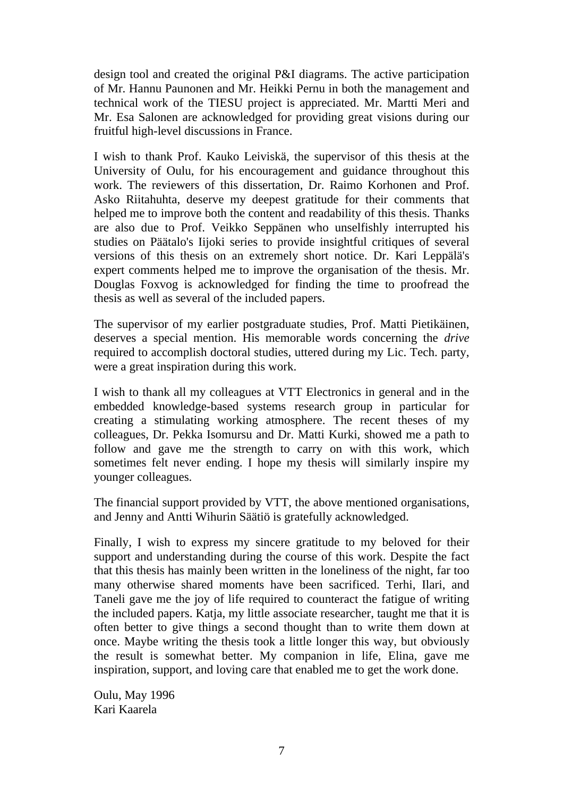design tool and created the original P&I diagrams. The active participation of Mr. Hannu Paunonen and Mr. Heikki Pernu in both the management and technical work of the TIESU project is appreciated. Mr. Martti Meri and Mr. Esa Salonen are acknowledged for providing great visions during our fruitful high-level discussions in France.

I wish to thank Prof. Kauko Leiviskä, the supervisor of this thesis at the University of Oulu, for his encouragement and guidance throughout this work. The reviewers of this dissertation, Dr. Raimo Korhonen and Prof. Asko Riitahuhta, deserve my deepest gratitude for their comments that helped me to improve both the content and readability of this thesis. Thanks are also due to Prof. Veikko Seppänen who unselfishly interrupted his studies on Päätalo's Iijoki series to provide insightful critiques of several versions of this thesis on an extremely short notice. Dr. Kari Leppälä's expert comments helped me to improve the organisation of the thesis. Mr. Douglas Foxvog is acknowledged for finding the time to proofread the thesis as well as several of the included papers.

The supervisor of my earlier postgraduate studies, Prof. Matti Pietikäinen, deserves a special mention. His memorable words concerning the *drive* required to accomplish doctoral studies, uttered during my Lic. Tech. party, were a great inspiration during this work.

I wish to thank all my colleagues at VTT Electronics in general and in the embedded knowledge-based systems research group in particular for creating a stimulating working atmosphere. The recent theses of my colleagues, Dr. Pekka Isomursu and Dr. Matti Kurki, showed me a path to follow and gave me the strength to carry on with this work, which sometimes felt never ending. I hope my thesis will similarly inspire my younger colleagues.

The financial support provided by VTT, the above mentioned organisations, and Jenny and Antti Wihurin Säätiö is gratefully acknowledged.

Finally, I wish to express my sincere gratitude to my beloved for their support and understanding during the course of this work. Despite the fact that this thesis has mainly been written in the loneliness of the night, far too many otherwise shared moments have been sacrificed. Terhi, Ilari, and Taneli gave me the joy of life required to counteract the fatigue of writing the included papers. Katja, my little associate researcher, taught me that it is often better to give things a second thought than to write them down at once. Maybe writing the thesis took a little longer this way, but obviously the result is somewhat better. My companion in life, Elina, gave me inspiration, support, and loving care that enabled me to get the work done.

Oulu, May 1996 Kari Kaarela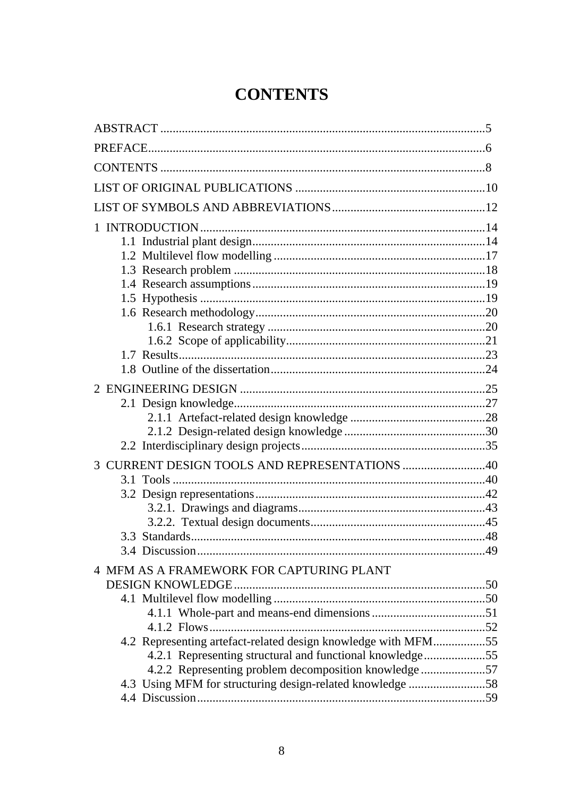# **CONTENTS**

| 3 CURRENT DESIGN TOOLS AND REPRESENTATIONS 40                 |  |
|---------------------------------------------------------------|--|
|                                                               |  |
|                                                               |  |
|                                                               |  |
|                                                               |  |
|                                                               |  |
|                                                               |  |
| 4 MFM AS A FRAMEWORK FOR CAPTURING PLANT                      |  |
|                                                               |  |
|                                                               |  |
|                                                               |  |
|                                                               |  |
| 4.2 Representing artefact-related design knowledge with MFM55 |  |
| 4.2.1 Representing structural and functional knowledge55      |  |
| 4.2.2 Representing problem decomposition knowledge 57         |  |
| 4.3 Using MFM for structuring design-related knowledge 58     |  |
|                                                               |  |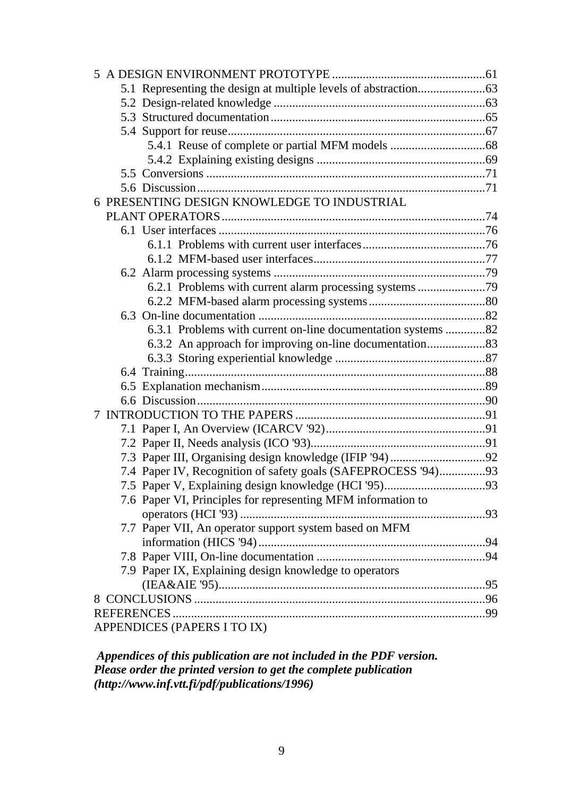| 6 PRESENTING DESIGN KNOWLEDGE TO INDUSTRIAL                   |  |  |  |
|---------------------------------------------------------------|--|--|--|
|                                                               |  |  |  |
|                                                               |  |  |  |
|                                                               |  |  |  |
|                                                               |  |  |  |
|                                                               |  |  |  |
|                                                               |  |  |  |
|                                                               |  |  |  |
|                                                               |  |  |  |
| 6.3.1 Problems with current on-line documentation systems 82  |  |  |  |
|                                                               |  |  |  |
|                                                               |  |  |  |
|                                                               |  |  |  |
|                                                               |  |  |  |
|                                                               |  |  |  |
|                                                               |  |  |  |
|                                                               |  |  |  |
|                                                               |  |  |  |
|                                                               |  |  |  |
| 7.4 Paper IV, Recognition of safety goals (SAFEPROCESS '94)93 |  |  |  |
|                                                               |  |  |  |
| 7.6 Paper VI, Principles for representing MFM information to  |  |  |  |
|                                                               |  |  |  |
| 7.7 Paper VII, An operator support system based on MFM        |  |  |  |
|                                                               |  |  |  |
|                                                               |  |  |  |
| 7.9 Paper IX, Explaining design knowledge to operators        |  |  |  |
|                                                               |  |  |  |
|                                                               |  |  |  |
|                                                               |  |  |  |
| APPENDICES (PAPERS I TO IX)                                   |  |  |  |

 *Appendices of this publication are not included in the PDF version. Please order the printed version to get the complete publication (http://www.inf.vtt.fi/pdf/publications/1996)*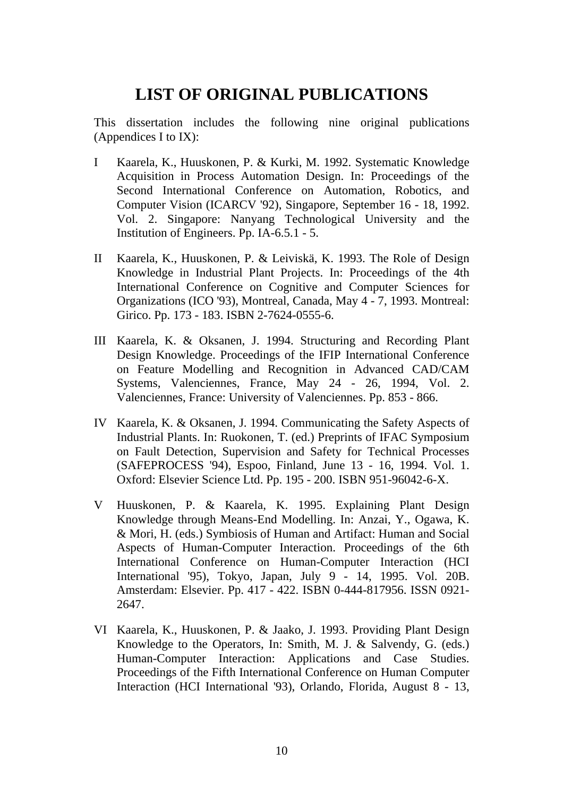# **LIST OF ORIGINAL PUBLICATIONS**

This dissertation includes the following nine original publications (Appendices I to IX):

- I Kaarela, K., Huuskonen, P. & Kurki, M. 1992. Systematic Knowledge Acquisition in Process Automation Design. In: Proceedings of the Second International Conference on Automation, Robotics, and Computer Vision (ICARCV '92), Singapore, September 16 - 18, 1992. Vol. 2. Singapore: Nanyang Technological University and the Institution of Engineers. Pp. IA-6.5.1 - 5.
- II Kaarela, K., Huuskonen, P. & Leiviskä, K. 1993. The Role of Design Knowledge in Industrial Plant Projects. In: Proceedings of the 4th International Conference on Cognitive and Computer Sciences for Organizations (ICO '93), Montreal, Canada, May 4 - 7, 1993. Montreal: Girico. Pp. 173 - 183. ISBN 2-7624-0555-6.
- III Kaarela, K. & Oksanen, J. 1994. Structuring and Recording Plant Design Knowledge. Proceedings of the IFIP International Conference on Feature Modelling and Recognition in Advanced CAD/CAM Systems, Valenciennes, France, May 24 - 26, 1994, Vol. 2. Valenciennes, France: University of Valenciennes. Pp. 853 - 866.
- IV Kaarela, K. & Oksanen, J. 1994. Communicating the Safety Aspects of Industrial Plants. In: Ruokonen, T. (ed.) Preprints of IFAC Symposium on Fault Detection, Supervision and Safety for Technical Processes (SAFEPROCESS '94), Espoo, Finland, June 13 - 16, 1994. Vol. 1. Oxford: Elsevier Science Ltd. Pp. 195 - 200. ISBN 951-96042-6-X.
- V Huuskonen, P. & Kaarela, K. 1995. Explaining Plant Design Knowledge through Means-End Modelling. In: Anzai, Y., Ogawa, K. & Mori, H. (eds.) Symbiosis of Human and Artifact: Human and Social Aspects of Human-Computer Interaction. Proceedings of the 6th International Conference on Human-Computer Interaction (HCI International '95), Tokyo, Japan, July 9 - 14, 1995. Vol. 20B. Amsterdam: Elsevier. Pp. 417 - 422. ISBN 0-444-817956. ISSN 0921- 2647.
- VI Kaarela, K., Huuskonen, P. & Jaako, J. 1993. Providing Plant Design Knowledge to the Operators, In: Smith, M. J. & Salvendy, G. (eds.) Human-Computer Interaction: Applications and Case Studies. Proceedings of the Fifth International Conference on Human Computer Interaction (HCI International '93), Orlando, Florida, August 8 - 13,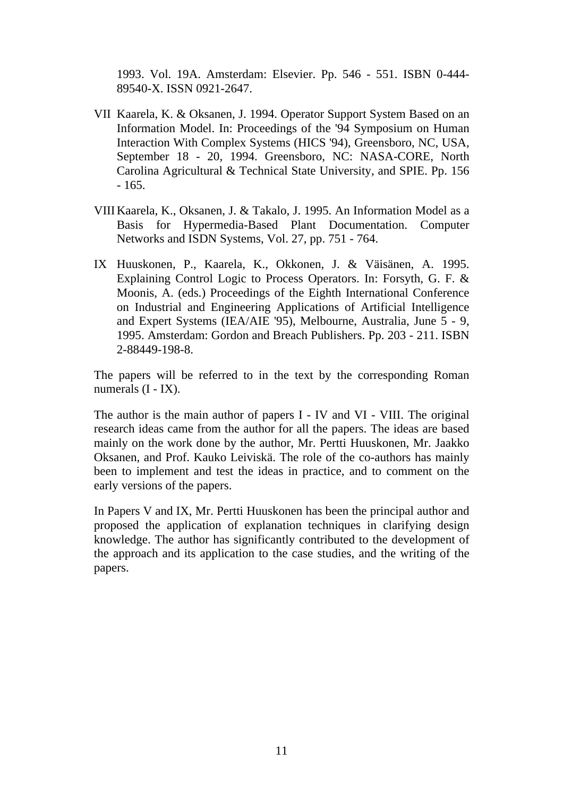1993. Vol. 19A. Amsterdam: Elsevier. Pp. 546 - 551. ISBN 0-444- 89540-X. ISSN 0921-2647.

- VII Kaarela, K. & Oksanen, J. 1994. Operator Support System Based on an Information Model. In: Proceedings of the '94 Symposium on Human Interaction With Complex Systems (HICS '94), Greensboro, NC, USA, September 18 - 20, 1994. Greensboro, NC: NASA-CORE, North Carolina Agricultural & Technical State University, and SPIE. Pp. 156 - 165.
- VIII Kaarela, K., Oksanen, J. & Takalo, J. 1995. An Information Model as a Basis for Hypermedia-Based Plant Documentation. Computer Networks and ISDN Systems, Vol. 27, pp. 751 - 764.
- IX Huuskonen, P., Kaarela, K., Okkonen, J. & Väisänen, A. 1995. Explaining Control Logic to Process Operators. In: Forsyth, G. F. & Moonis, A. (eds.) Proceedings of the Eighth International Conference on Industrial and Engineering Applications of Artificial Intelligence and Expert Systems (IEA/AIE '95), Melbourne, Australia, June 5 - 9, 1995. Amsterdam: Gordon and Breach Publishers. Pp. 203 - 211. ISBN 2-88449-198-8.

The papers will be referred to in the text by the corresponding Roman numerals  $(I - IX)$ .

The author is the main author of papers I - IV and VI - VIII. The original research ideas came from the author for all the papers. The ideas are based mainly on the work done by the author, Mr. Pertti Huuskonen, Mr. Jaakko Oksanen, and Prof. Kauko Leiviskä. The role of the co-authors has mainly been to implement and test the ideas in practice, and to comment on the early versions of the papers.

In Papers V and IX, Mr. Pertti Huuskonen has been the principal author and proposed the application of explanation techniques in clarifying design knowledge. The author has significantly contributed to the development of the approach and its application to the case studies, and the writing of the papers.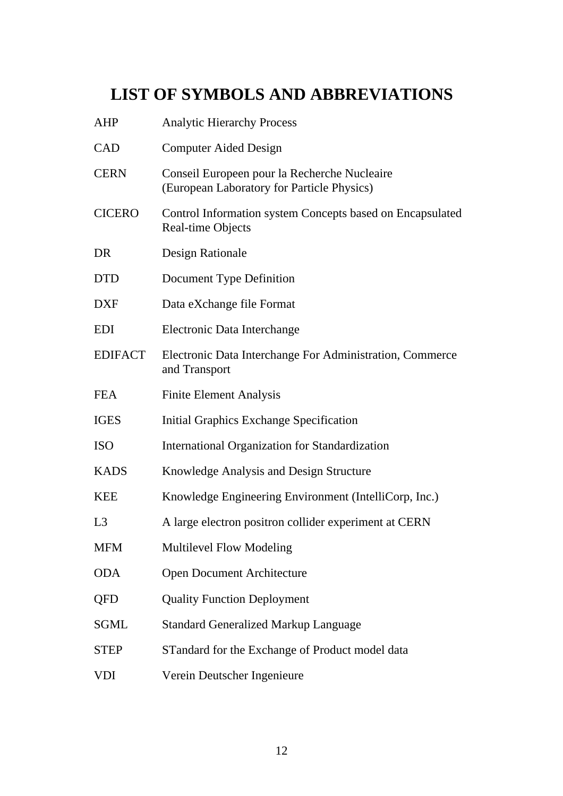# **LIST OF SYMBOLS AND ABBREVIATIONS**

| <b>AHP</b>     | <b>Analytic Hierarchy Process</b>                                                          |  |
|----------------|--------------------------------------------------------------------------------------------|--|
| <b>CAD</b>     | <b>Computer Aided Design</b>                                                               |  |
| <b>CERN</b>    | Conseil Europeen pour la Recherche Nucleaire<br>(European Laboratory for Particle Physics) |  |
| <b>CICERO</b>  | Control Information system Concepts based on Encapsulated<br>Real-time Objects             |  |
| DR             | Design Rationale                                                                           |  |
| <b>DTD</b>     | Document Type Definition                                                                   |  |
| <b>DXF</b>     | Data eXchange file Format                                                                  |  |
| <b>EDI</b>     | Electronic Data Interchange                                                                |  |
| <b>EDIFACT</b> | Electronic Data Interchange For Administration, Commerce<br>and Transport                  |  |
| <b>FEA</b>     | <b>Finite Element Analysis</b>                                                             |  |
| <b>IGES</b>    | <b>Initial Graphics Exchange Specification</b>                                             |  |
| <b>ISO</b>     | <b>International Organization for Standardization</b>                                      |  |
| <b>KADS</b>    | Knowledge Analysis and Design Structure                                                    |  |
| <b>KEE</b>     | Knowledge Engineering Environment (IntelliCorp, Inc.)                                      |  |
| L <sub>3</sub> | A large electron positron collider experiment at CERN                                      |  |
| <b>MFM</b>     | <b>Multilevel Flow Modeling</b>                                                            |  |
| <b>ODA</b>     | <b>Open Document Architecture</b>                                                          |  |
| QFD            | <b>Quality Function Deployment</b>                                                         |  |
| <b>SGML</b>    | <b>Standard Generalized Markup Language</b>                                                |  |
| <b>STEP</b>    | STandard for the Exchange of Product model data                                            |  |
| VDI            | Verein Deutscher Ingenieure                                                                |  |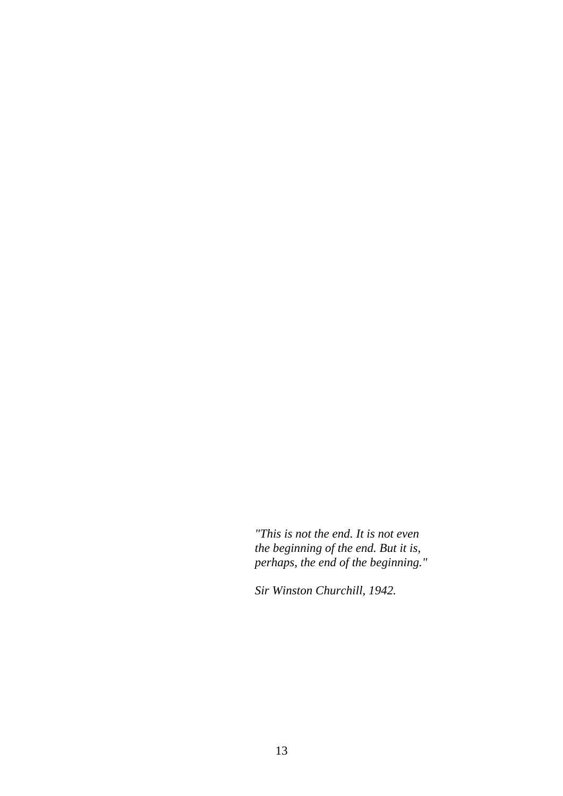*"This is not the end. It is not even the beginning of the end. But it is, perhaps, the end of the beginning."*

*Sir Winston Churchill, 1942.*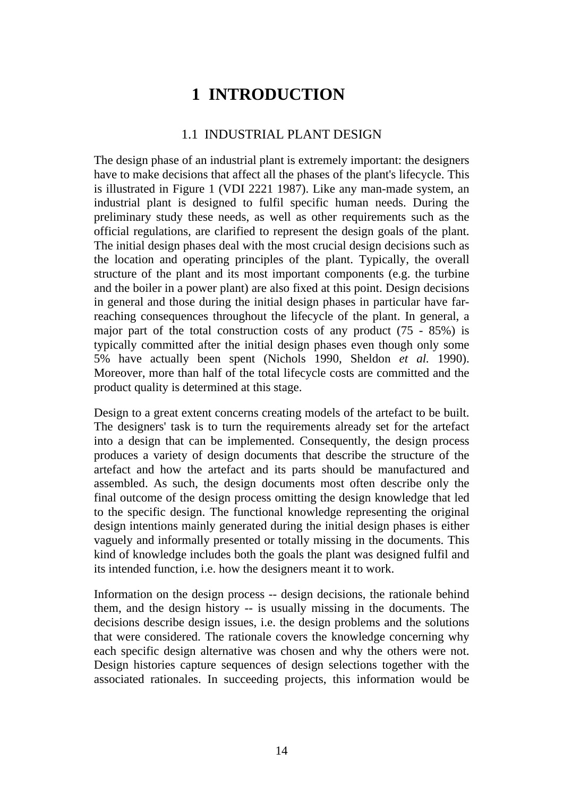# **1 INTRODUCTION**

#### 1.1 INDUSTRIAL PLANT DESIGN

The design phase of an industrial plant is extremely important: the designers have to make decisions that affect all the phases of the plant's lifecycle. This is illustrated in Figure 1 (VDI 2221 1987). Like any man-made system, an industrial plant is designed to fulfil specific human needs. During the preliminary study these needs, as well as other requirements such as the official regulations, are clarified to represent the design goals of the plant. The initial design phases deal with the most crucial design decisions such as the location and operating principles of the plant. Typically, the overall structure of the plant and its most important components (e.g. the turbine and the boiler in a power plant) are also fixed at this point. Design decisions in general and those during the initial design phases in particular have farreaching consequences throughout the lifecycle of the plant. In general, a major part of the total construction costs of any product (75 - 85%) is typically committed after the initial design phases even though only some 5% have actually been spent (Nichols 1990, Sheldon *et al.* 1990). Moreover, more than half of the total lifecycle costs are committed and the product quality is determined at this stage.

Design to a great extent concerns creating models of the artefact to be built. The designers' task is to turn the requirements already set for the artefact into a design that can be implemented. Consequently, the design process produces a variety of design documents that describe the structure of the artefact and how the artefact and its parts should be manufactured and assembled. As such, the design documents most often describe only the final outcome of the design process omitting the design knowledge that led to the specific design. The functional knowledge representing the original design intentions mainly generated during the initial design phases is either vaguely and informally presented or totally missing in the documents. This kind of knowledge includes both the goals the plant was designed fulfil and its intended function, i.e. how the designers meant it to work.

Information on the design process -- design decisions, the rationale behind them, and the design history -- is usually missing in the documents. The decisions describe design issues, i.e. the design problems and the solutions that were considered. The rationale covers the knowledge concerning why each specific design alternative was chosen and why the others were not. Design histories capture sequences of design selections together with the associated rationales. In succeeding projects, this information would be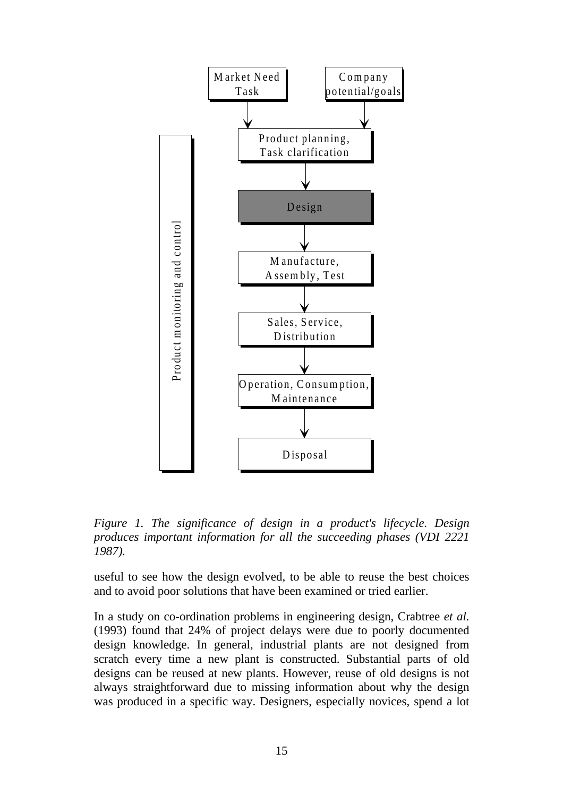

*Figure 1. The significance of design in a product's lifecycle. Design produces important information for all the succeeding phases (VDI 2221 1987).*

useful to see how the design evolved, to be able to reuse the best choices and to avoid poor solutions that have been examined or tried earlier.

In a study on co-ordination problems in engineering design, Crabtree *et al.* (1993) found that 24% of project delays were due to poorly documented design knowledge. In general, industrial plants are not designed from scratch every time a new plant is constructed. Substantial parts of old designs can be reused at new plants. However, reuse of old designs is not always straightforward due to missing information about why the design was produced in a specific way. Designers, especially novices, spend a lot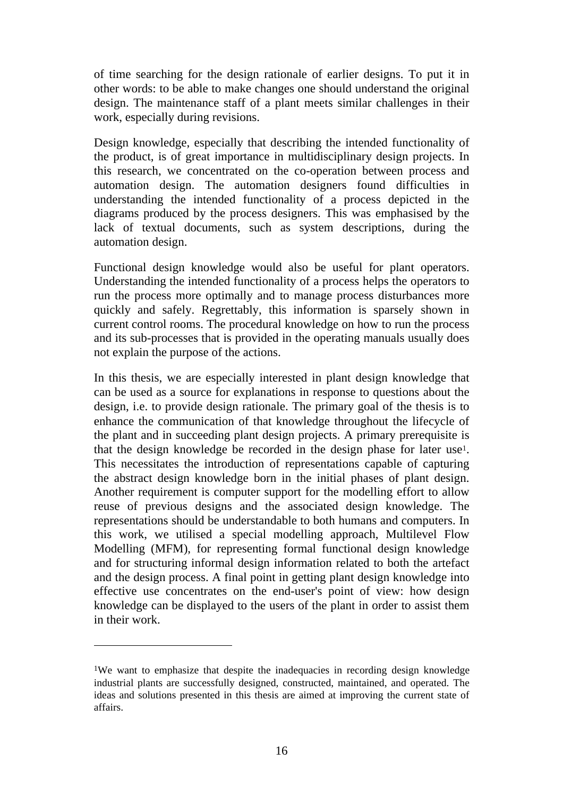of time searching for the design rationale of earlier designs. To put it in other words: to be able to make changes one should understand the original design. The maintenance staff of a plant meets similar challenges in their work, especially during revisions.

Design knowledge, especially that describing the intended functionality of the product, is of great importance in multidisciplinary design projects. In this research, we concentrated on the co-operation between process and automation design. The automation designers found difficulties in understanding the intended functionality of a process depicted in the diagrams produced by the process designers. This was emphasised by the lack of textual documents, such as system descriptions, during the automation design.

Functional design knowledge would also be useful for plant operators. Understanding the intended functionality of a process helps the operators to run the process more optimally and to manage process disturbances more quickly and safely. Regrettably, this information is sparsely shown in current control rooms. The procedural knowledge on how to run the process and its sub-processes that is provided in the operating manuals usually does not explain the purpose of the actions.

In this thesis, we are especially interested in plant design knowledge that can be used as a source for explanations in response to questions about the design, i.e. to provide design rationale. The primary goal of the thesis is to enhance the communication of that knowledge throughout the lifecycle of the plant and in succeeding plant design projects. A primary prerequisite is that the design knowledge be recorded in the design phase for later use1. This necessitates the introduction of representations capable of capturing the abstract design knowledge born in the initial phases of plant design. Another requirement is computer support for the modelling effort to allow reuse of previous designs and the associated design knowledge. The representations should be understandable to both humans and computers. In this work, we utilised a special modelling approach, Multilevel Flow Modelling (MFM), for representing formal functional design knowledge and for structuring informal design information related to both the artefact and the design process. A final point in getting plant design knowledge into effective use concentrates on the end-user's point of view: how design knowledge can be displayed to the users of the plant in order to assist them in their work.

 $\overline{a}$ 

<sup>&</sup>lt;sup>1</sup>We want to emphasize that despite the inadequacies in recording design knowledge industrial plants are successfully designed, constructed, maintained, and operated. The ideas and solutions presented in this thesis are aimed at improving the current state of affairs.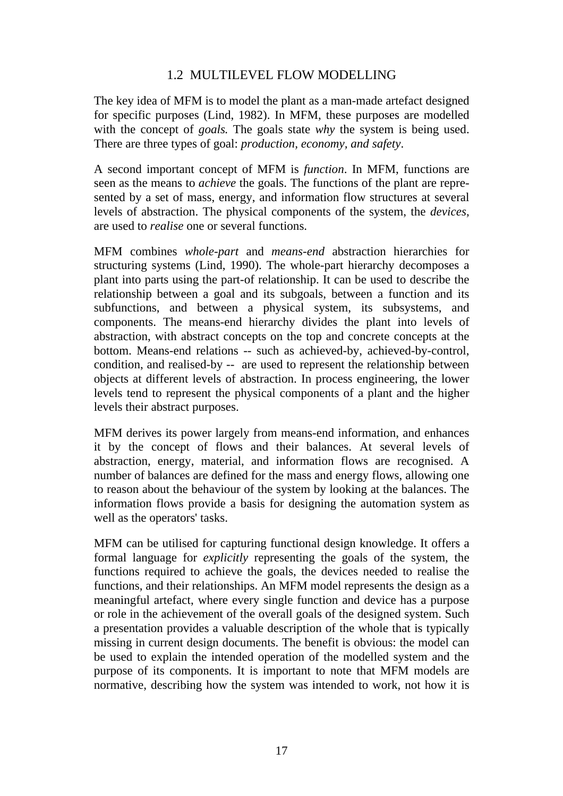### 1.2 MULTILEVEL FLOW MODELLING

The key idea of MFM is to model the plant as a man-made artefact designed for specific purposes (Lind, 1982). In MFM, these purposes are modelled with the concept of *goals*. The goals state *why* the system is being used. There are three types of goal: *production, economy, and safety*.

A second important concept of MFM is *function*. In MFM, functions are seen as the means to *achieve* the goals. The functions of the plant are represented by a set of mass, energy, and information flow structures at several levels of abstraction. The physical components of the system, the *devices,* are used to *realise* one or several functions.

MFM combines *whole-part* and *means-end* abstraction hierarchies for structuring systems (Lind, 1990). The whole-part hierarchy decomposes a plant into parts using the part-of relationship. It can be used to describe the relationship between a goal and its subgoals, between a function and its subfunctions, and between a physical system, its subsystems, and components. The means-end hierarchy divides the plant into levels of abstraction, with abstract concepts on the top and concrete concepts at the bottom. Means-end relations -- such as achieved-by, achieved-by-control, condition, and realised-by -- are used to represent the relationship between objects at different levels of abstraction. In process engineering, the lower levels tend to represent the physical components of a plant and the higher levels their abstract purposes.

MFM derives its power largely from means-end information, and enhances it by the concept of flows and their balances. At several levels of abstraction, energy, material, and information flows are recognised. A number of balances are defined for the mass and energy flows, allowing one to reason about the behaviour of the system by looking at the balances. The information flows provide a basis for designing the automation system as well as the operators' tasks.

MFM can be utilised for capturing functional design knowledge. It offers a formal language for *explicitly* representing the goals of the system, the functions required to achieve the goals, the devices needed to realise the functions, and their relationships. An MFM model represents the design as a meaningful artefact, where every single function and device has a purpose or role in the achievement of the overall goals of the designed system. Such a presentation provides a valuable description of the whole that is typically missing in current design documents. The benefit is obvious: the model can be used to explain the intended operation of the modelled system and the purpose of its components. It is important to note that MFM models are normative, describing how the system was intended to work, not how it is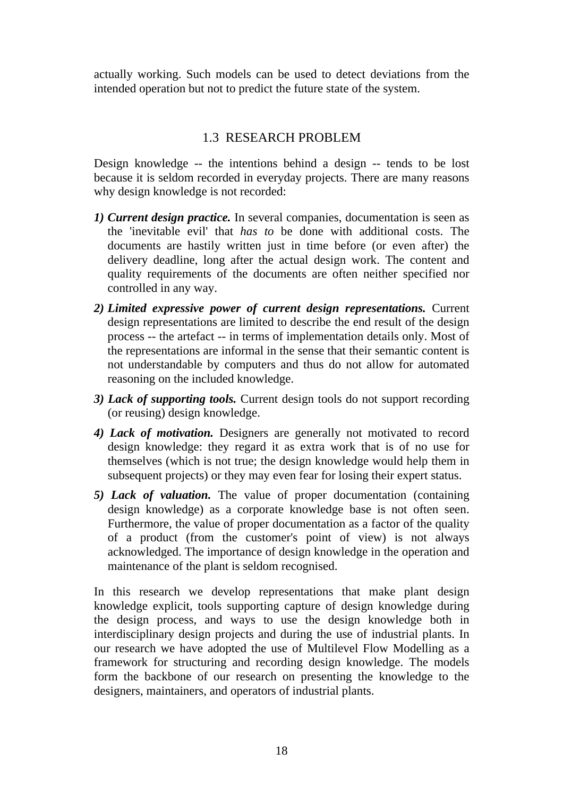actually working. Such models can be used to detect deviations from the intended operation but not to predict the future state of the system.

# 1.3 RESEARCH PROBLEM

Design knowledge -- the intentions behind a design -- tends to be lost because it is seldom recorded in everyday projects. There are many reasons why design knowledge is not recorded:

- *1) Current design practice.* In several companies, documentation is seen as the 'inevitable evil' that *has to* be done with additional costs. The documents are hastily written just in time before (or even after) the delivery deadline, long after the actual design work. The content and quality requirements of the documents are often neither specified nor controlled in any way.
- *2) Limited expressive power of current design representations.* Current design representations are limited to describe the end result of the design process -- the artefact -- in terms of implementation details only. Most of the representations are informal in the sense that their semantic content is not understandable by computers and thus do not allow for automated reasoning on the included knowledge.
- *3) Lack of supporting tools.* Current design tools do not support recording (or reusing) design knowledge.
- *4) Lack of motivation.* Designers are generally not motivated to record design knowledge: they regard it as extra work that is of no use for themselves (which is not true; the design knowledge would help them in subsequent projects) or they may even fear for losing their expert status.
- *5) Lack of valuation.* The value of proper documentation (containing design knowledge) as a corporate knowledge base is not often seen. Furthermore, the value of proper documentation as a factor of the quality of a product (from the customer's point of view) is not always acknowledged. The importance of design knowledge in the operation and maintenance of the plant is seldom recognised.

In this research we develop representations that make plant design knowledge explicit, tools supporting capture of design knowledge during the design process, and ways to use the design knowledge both in interdisciplinary design projects and during the use of industrial plants. In our research we have adopted the use of Multilevel Flow Modelling as a framework for structuring and recording design knowledge. The models form the backbone of our research on presenting the knowledge to the designers, maintainers, and operators of industrial plants.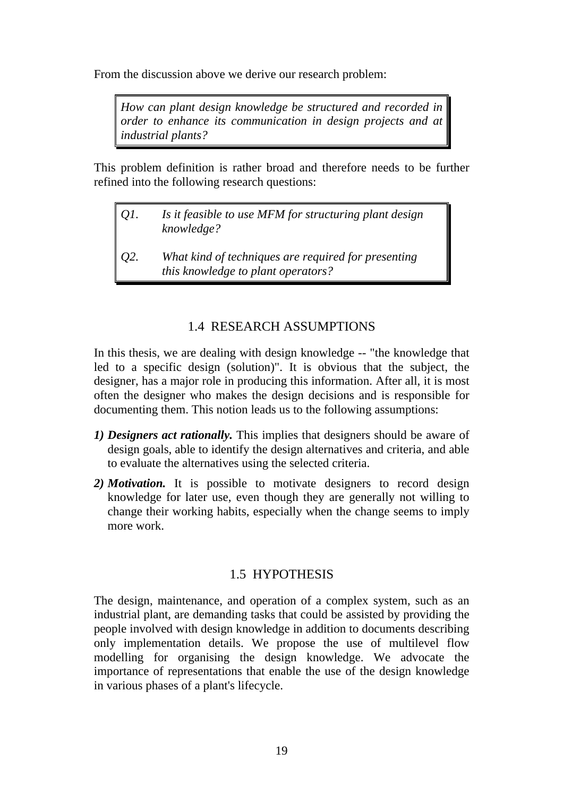From the discussion above we derive our research problem:

*How can plant design knowledge be structured and recorded in order to enhance its communication in design projects and at industrial plants?*

This problem definition is rather broad and therefore needs to be further refined into the following research questions:

- *Q1. Is it feasible to use MFM for structuring plant design knowledge?*
- *Q2. What kind of techniques are required for presenting this knowledge to plant operators?*

# 1.4 RESEARCH ASSUMPTIONS

In this thesis, we are dealing with design knowledge -- "the knowledge that led to a specific design (solution)". It is obvious that the subject, the designer, has a major role in producing this information. After all, it is most often the designer who makes the design decisions and is responsible for documenting them. This notion leads us to the following assumptions:

- *1) Designers act rationally.* This implies that designers should be aware of design goals, able to identify the design alternatives and criteria, and able to evaluate the alternatives using the selected criteria.
- *2) Motivation.* It is possible to motivate designers to record design knowledge for later use, even though they are generally not willing to change their working habits, especially when the change seems to imply more work.

#### 1.5 HYPOTHESIS

The design, maintenance, and operation of a complex system, such as an industrial plant, are demanding tasks that could be assisted by providing the people involved with design knowledge in addition to documents describing only implementation details. We propose the use of multilevel flow modelling for organising the design knowledge. We advocate the importance of representations that enable the use of the design knowledge in various phases of a plant's lifecycle.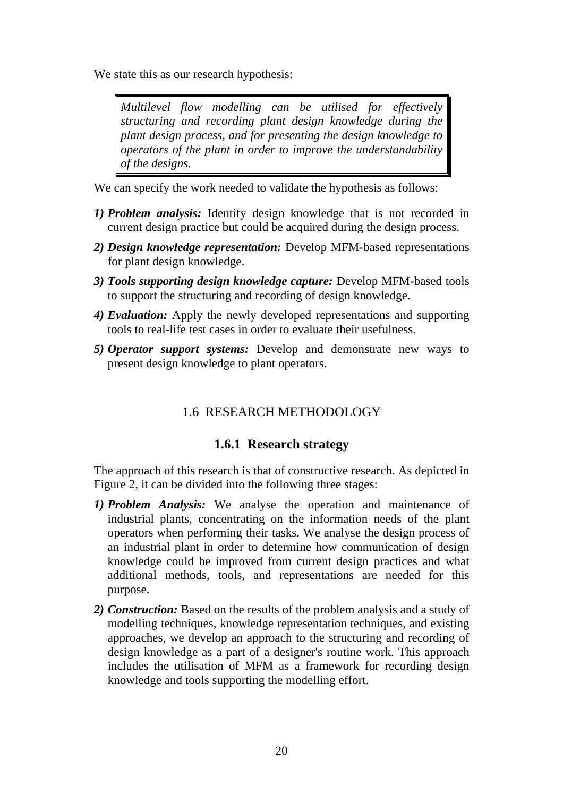We state this as our research hypothesis:

*Multilevel flow modelling can be utilised for effectively structuring and recording plant design knowledge during the plant design process, and for presenting the design knowledge to operators of the plant in order to improve the understandability of the designs.*

We can specify the work needed to validate the hypothesis as follows:

- *1) Problem analysis:* Identify design knowledge that is not recorded in current design practice but could be acquired during the design process.
- *2) Design knowledge representation:* Develop MFM-based representations for plant design knowledge.
- *3) Tools supporting design knowledge capture:* Develop MFM-based tools to support the structuring and recording of design knowledge.
- *4) Evaluation:* Apply the newly developed representations and supporting tools to real-life test cases in order to evaluate their usefulness.
- *5) Operator support systems:* Develop and demonstrate new ways to present design knowledge to plant operators.

# 1.6 RESEARCH METHODOLOGY

#### **1.6.1 Research strategy**

The approach of this research is that of constructive research. As depicted in Figure 2, it can be divided into the following three stages:

- *1) Problem Analysis:* We analyse the operation and maintenance of industrial plants, concentrating on the information needs of the plant operators when performing their tasks. We analyse the design process of an industrial plant in order to determine how communication of design knowledge could be improved from current design practices and what additional methods, tools, and representations are needed for this purpose.
- *2) Construction:* Based on the results of the problem analysis and a study of modelling techniques, knowledge representation techniques, and existing approaches, we develop an approach to the structuring and recording of design knowledge as a part of a designer's routine work. This approach includes the utilisation of MFM as a framework for recording design knowledge and tools supporting the modelling effort.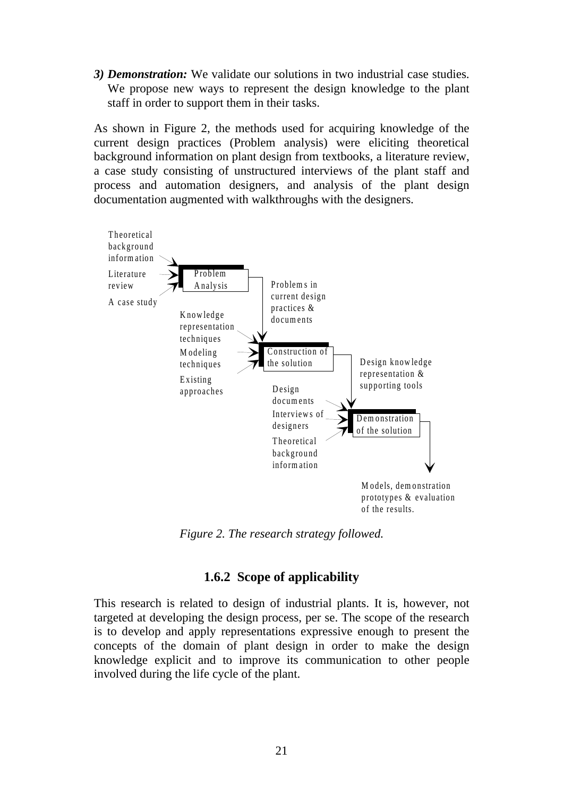*3) Demonstration:* We validate our solutions in two industrial case studies. We propose new ways to represent the design knowledge to the plant staff in order to support them in their tasks.

As shown in Figure 2, the methods used for acquiring knowledge of the current design practices (Problem analysis) were eliciting theoretical background information on plant design from textbooks, a literature review, a case study consisting of unstructured interviews of the plant staff and process and automation designers, and analysis of the plant design documentation augmented with walkthroughs with the designers.



*Figure 2. The research strategy followed.*

### **1.6.2 Scope of applicability**

This research is related to design of industrial plants. It is, however, not targeted at developing the design process, per se. The scope of the research is to develop and apply representations expressive enough to present the concepts of the domain of plant design in order to make the design knowledge explicit and to improve its communication to other people involved during the life cycle of the plant.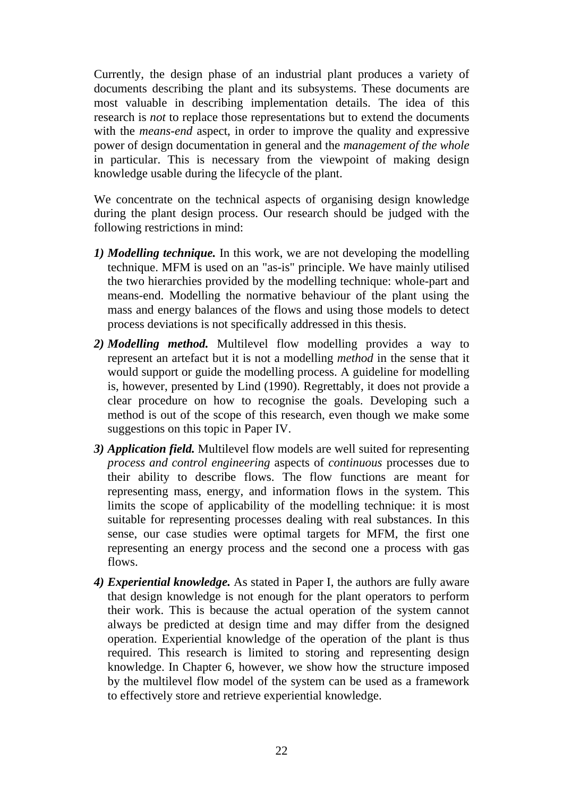Currently, the design phase of an industrial plant produces a variety of documents describing the plant and its subsystems. These documents are most valuable in describing implementation details. The idea of this research is *not* to replace those representations but to extend the documents with the *means-end* aspect, in order to improve the quality and expressive power of design documentation in general and the *management of the whole* in particular. This is necessary from the viewpoint of making design knowledge usable during the lifecycle of the plant.

We concentrate on the technical aspects of organising design knowledge during the plant design process. Our research should be judged with the following restrictions in mind:

- *1) Modelling technique.* In this work, we are not developing the modelling technique. MFM is used on an "as-is" principle. We have mainly utilised the two hierarchies provided by the modelling technique: whole-part and means-end. Modelling the normative behaviour of the plant using the mass and energy balances of the flows and using those models to detect process deviations is not specifically addressed in this thesis.
- *2) Modelling method.* Multilevel flow modelling provides a way to represent an artefact but it is not a modelling *method* in the sense that it would support or guide the modelling process. A guideline for modelling is, however, presented by Lind (1990). Regrettably, it does not provide a clear procedure on how to recognise the goals. Developing such a method is out of the scope of this research, even though we make some suggestions on this topic in Paper IV.
- *3) Application field.* Multilevel flow models are well suited for representing *process and control engineering* aspects of *continuous* processes due to their ability to describe flows. The flow functions are meant for representing mass, energy, and information flows in the system. This limits the scope of applicability of the modelling technique: it is most suitable for representing processes dealing with real substances. In this sense, our case studies were optimal targets for MFM, the first one representing an energy process and the second one a process with gas flows.
- *4) Experiential knowledge.* As stated in Paper I, the authors are fully aware that design knowledge is not enough for the plant operators to perform their work. This is because the actual operation of the system cannot always be predicted at design time and may differ from the designed operation. Experiential knowledge of the operation of the plant is thus required. This research is limited to storing and representing design knowledge. In Chapter 6, however, we show how the structure imposed by the multilevel flow model of the system can be used as a framework to effectively store and retrieve experiential knowledge.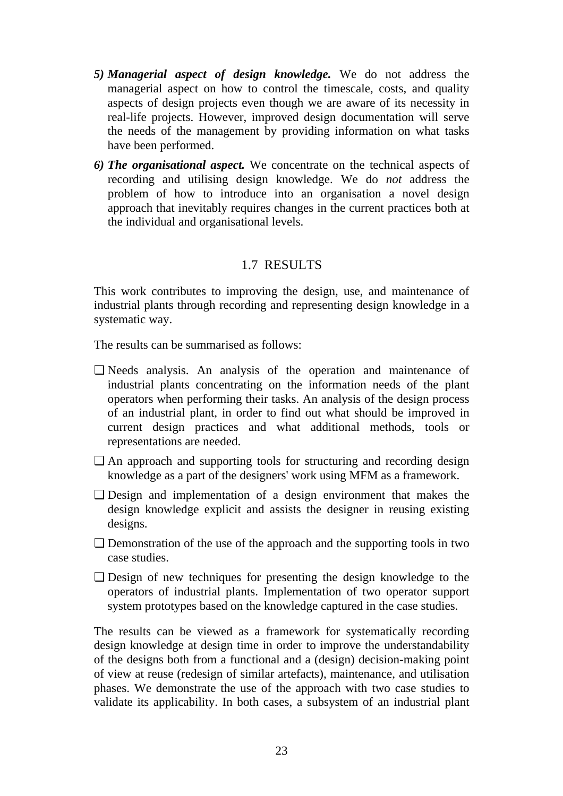- *5) Managerial aspect of design knowledge.* We do not address the managerial aspect on how to control the timescale, costs, and quality aspects of design projects even though we are aware of its necessity in real-life projects. However, improved design documentation will serve the needs of the management by providing information on what tasks have been performed.
- *6) The organisational aspect.* We concentrate on the technical aspects of recording and utilising design knowledge. We do *not* address the problem of how to introduce into an organisation a novel design approach that inevitably requires changes in the current practices both at the individual and organisational levels.

### 1.7 RESULTS

This work contributes to improving the design, use, and maintenance of industrial plants through recording and representing design knowledge in a systematic way.

The results can be summarised as follows:

- ❏ Needs analysis. An analysis of the operation and maintenance of industrial plants concentrating on the information needs of the plant operators when performing their tasks. An analysis of the design process of an industrial plant, in order to find out what should be improved in current design practices and what additional methods, tools or representations are needed.
- ❏ An approach and supporting tools for structuring and recording design knowledge as a part of the designers' work using MFM as a framework.
- ❏ Design and implementation of a design environment that makes the design knowledge explicit and assists the designer in reusing existing designs.
- ❏ Demonstration of the use of the approach and the supporting tools in two case studies.
- ❏ Design of new techniques for presenting the design knowledge to the operators of industrial plants. Implementation of two operator support system prototypes based on the knowledge captured in the case studies.

The results can be viewed as a framework for systematically recording design knowledge at design time in order to improve the understandability of the designs both from a functional and a (design) decision-making point of view at reuse (redesign of similar artefacts), maintenance, and utilisation phases. We demonstrate the use of the approach with two case studies to validate its applicability. In both cases, a subsystem of an industrial plant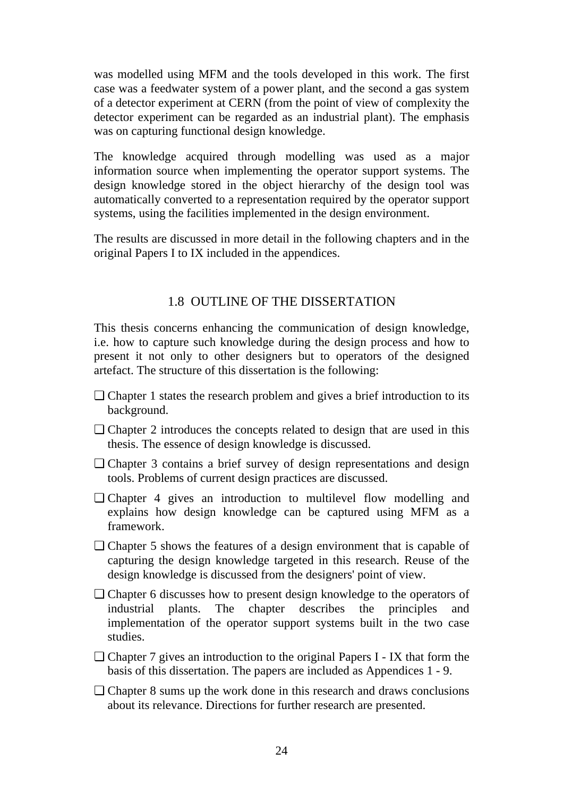was modelled using MFM and the tools developed in this work. The first case was a feedwater system of a power plant, and the second a gas system of a detector experiment at CERN (from the point of view of complexity the detector experiment can be regarded as an industrial plant). The emphasis was on capturing functional design knowledge.

The knowledge acquired through modelling was used as a major information source when implementing the operator support systems. The design knowledge stored in the object hierarchy of the design tool was automatically converted to a representation required by the operator support systems, using the facilities implemented in the design environment.

The results are discussed in more detail in the following chapters and in the original Papers I to IX included in the appendices.

### 1.8 OUTLINE OF THE DISSERTATION

This thesis concerns enhancing the communication of design knowledge, i.e. how to capture such knowledge during the design process and how to present it not only to other designers but to operators of the designed artefact. The structure of this dissertation is the following:

- ❏ Chapter 1 states the research problem and gives a brief introduction to its background.
- ❏ Chapter 2 introduces the concepts related to design that are used in this thesis. The essence of design knowledge is discussed.
- ❏ Chapter 3 contains a brief survey of design representations and design tools. Problems of current design practices are discussed.
- ❏ Chapter 4 gives an introduction to multilevel flow modelling and explains how design knowledge can be captured using MFM as a framework.
- ❏ Chapter 5 shows the features of a design environment that is capable of capturing the design knowledge targeted in this research. Reuse of the design knowledge is discussed from the designers' point of view.
- ❏ Chapter 6 discusses how to present design knowledge to the operators of industrial plants. The chapter describes the principles and implementation of the operator support systems built in the two case studies.
- ❏ Chapter 7 gives an introduction to the original Papers I IX that form the basis of this dissertation. The papers are included as Appendices 1 - 9.
- ❏ Chapter 8 sums up the work done in this research and draws conclusions about its relevance. Directions for further research are presented.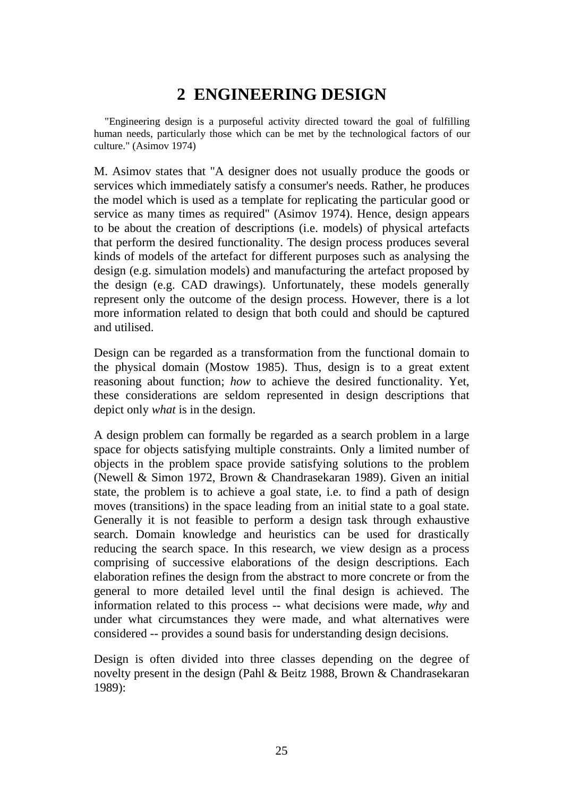# **2 ENGINEERING DESIGN**

"Engineering design is a purposeful activity directed toward the goal of fulfilling human needs, particularly those which can be met by the technological factors of our culture." (Asimov 1974)

M. Asimov states that "A designer does not usually produce the goods or services which immediately satisfy a consumer's needs. Rather, he produces the model which is used as a template for replicating the particular good or service as many times as required" (Asimov 1974). Hence, design appears to be about the creation of descriptions (i.e. models) of physical artefacts that perform the desired functionality. The design process produces several kinds of models of the artefact for different purposes such as analysing the design (e.g. simulation models) and manufacturing the artefact proposed by the design (e.g. CAD drawings). Unfortunately, these models generally represent only the outcome of the design process. However, there is a lot more information related to design that both could and should be captured and utilised.

Design can be regarded as a transformation from the functional domain to the physical domain (Mostow 1985). Thus, design is to a great extent reasoning about function; *how* to achieve the desired functionality. Yet, these considerations are seldom represented in design descriptions that depict only *what* is in the design.

A design problem can formally be regarded as a search problem in a large space for objects satisfying multiple constraints. Only a limited number of objects in the problem space provide satisfying solutions to the problem (Newell & Simon 1972, Brown & Chandrasekaran 1989). Given an initial state, the problem is to achieve a goal state, i.e. to find a path of design moves (transitions) in the space leading from an initial state to a goal state. Generally it is not feasible to perform a design task through exhaustive search. Domain knowledge and heuristics can be used for drastically reducing the search space. In this research, we view design as a process comprising of successive elaborations of the design descriptions. Each elaboration refines the design from the abstract to more concrete or from the general to more detailed level until the final design is achieved. The information related to this process -- what decisions were made, *why* and under what circumstances they were made, and what alternatives were considered -- provides a sound basis for understanding design decisions.

Design is often divided into three classes depending on the degree of novelty present in the design (Pahl & Beitz 1988, Brown & Chandrasekaran 1989):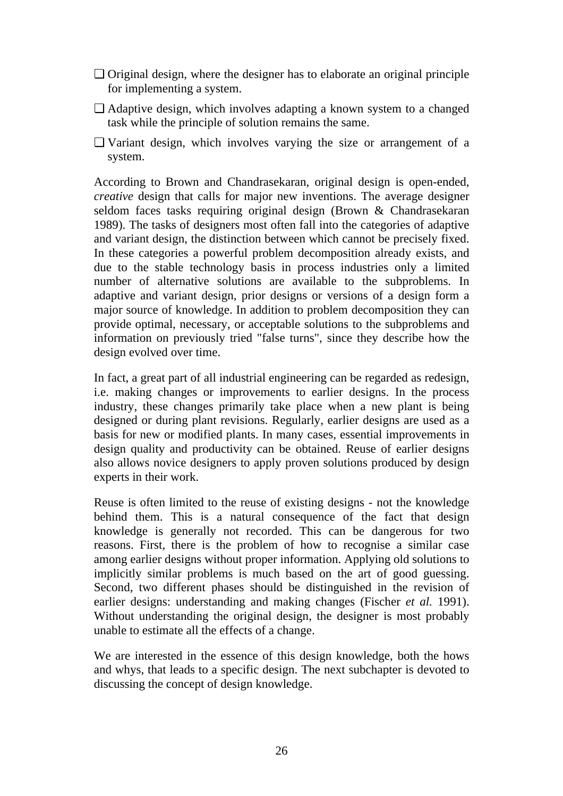- ❏ Original design, where the designer has to elaborate an original principle for implementing a system.
- ❏ Adaptive design, which involves adapting a known system to a changed task while the principle of solution remains the same.
- ❏ Variant design, which involves varying the size or arrangement of a system.

According to Brown and Chandrasekaran, original design is open-ended, *creative* design that calls for major new inventions. The average designer seldom faces tasks requiring original design (Brown & Chandrasekaran 1989). The tasks of designers most often fall into the categories of adaptive and variant design, the distinction between which cannot be precisely fixed. In these categories a powerful problem decomposition already exists, and due to the stable technology basis in process industries only a limited number of alternative solutions are available to the subproblems. In adaptive and variant design, prior designs or versions of a design form a major source of knowledge. In addition to problem decomposition they can provide optimal, necessary, or acceptable solutions to the subproblems and information on previously tried "false turns", since they describe how the design evolved over time.

In fact, a great part of all industrial engineering can be regarded as redesign, i.e. making changes or improvements to earlier designs. In the process industry, these changes primarily take place when a new plant is being designed or during plant revisions. Regularly, earlier designs are used as a basis for new or modified plants. In many cases, essential improvements in design quality and productivity can be obtained. Reuse of earlier designs also allows novice designers to apply proven solutions produced by design experts in their work.

Reuse is often limited to the reuse of existing designs - not the knowledge behind them. This is a natural consequence of the fact that design knowledge is generally not recorded. This can be dangerous for two reasons. First, there is the problem of how to recognise a similar case among earlier designs without proper information. Applying old solutions to implicitly similar problems is much based on the art of good guessing. Second, two different phases should be distinguished in the revision of earlier designs: understanding and making changes (Fischer *et al.* 1991). Without understanding the original design, the designer is most probably unable to estimate all the effects of a change.

We are interested in the essence of this design knowledge, both the hows and whys, that leads to a specific design. The next subchapter is devoted to discussing the concept of design knowledge.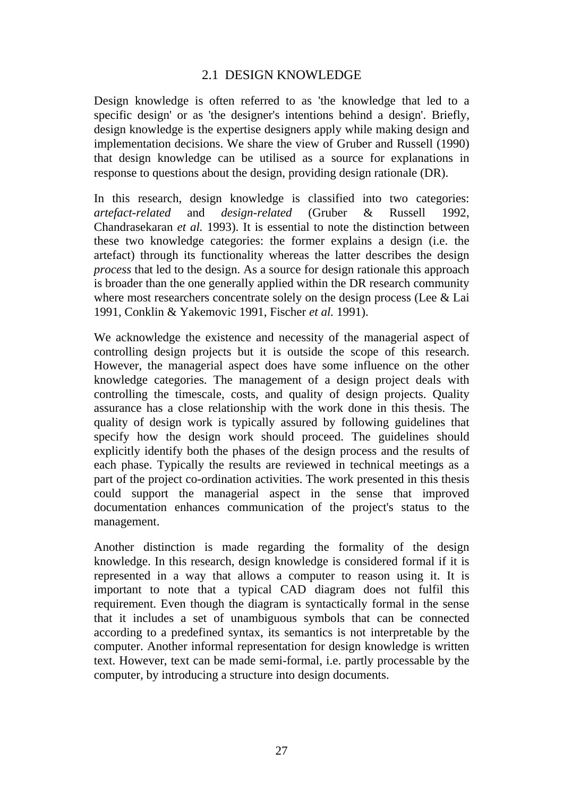### 2.1 DESIGN KNOWLEDGE

Design knowledge is often referred to as 'the knowledge that led to a specific design' or as 'the designer's intentions behind a design'. Briefly, design knowledge is the expertise designers apply while making design and implementation decisions. We share the view of Gruber and Russell (1990) that design knowledge can be utilised as a source for explanations in response to questions about the design, providing design rationale (DR).

In this research, design knowledge is classified into two categories: *artefact-related* and *design-related* (Gruber & Russell 1992, Chandrasekaran *et al.* 1993). It is essential to note the distinction between these two knowledge categories: the former explains a design (i.e. the artefact) through its functionality whereas the latter describes the design *process* that led to the design. As a source for design rationale this approach is broader than the one generally applied within the DR research community where most researchers concentrate solely on the design process (Lee & Lai 1991, Conklin & Yakemovic 1991, Fischer *et al.* 1991).

We acknowledge the existence and necessity of the managerial aspect of controlling design projects but it is outside the scope of this research. However, the managerial aspect does have some influence on the other knowledge categories. The management of a design project deals with controlling the timescale, costs, and quality of design projects. Quality assurance has a close relationship with the work done in this thesis. The quality of design work is typically assured by following guidelines that specify how the design work should proceed. The guidelines should explicitly identify both the phases of the design process and the results of each phase. Typically the results are reviewed in technical meetings as a part of the project co-ordination activities. The work presented in this thesis could support the managerial aspect in the sense that improved documentation enhances communication of the project's status to the management.

Another distinction is made regarding the formality of the design knowledge. In this research, design knowledge is considered formal if it is represented in a way that allows a computer to reason using it. It is important to note that a typical CAD diagram does not fulfil this requirement. Even though the diagram is syntactically formal in the sense that it includes a set of unambiguous symbols that can be connected according to a predefined syntax, its semantics is not interpretable by the computer. Another informal representation for design knowledge is written text. However, text can be made semi-formal, i.e. partly processable by the computer, by introducing a structure into design documents.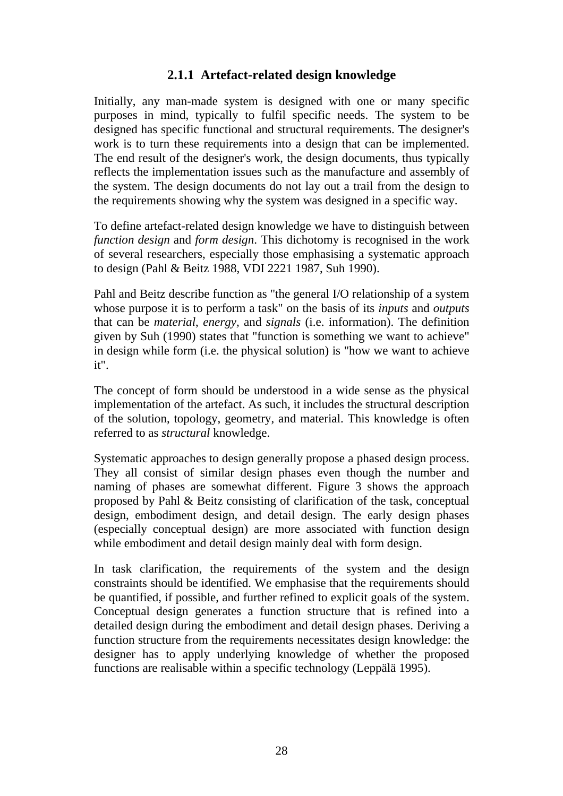### **2.1.1 Artefact-related design knowledge**

Initially, any man-made system is designed with one or many specific purposes in mind, typically to fulfil specific needs. The system to be designed has specific functional and structural requirements. The designer's work is to turn these requirements into a design that can be implemented. The end result of the designer's work, the design documents, thus typically reflects the implementation issues such as the manufacture and assembly of the system. The design documents do not lay out a trail from the design to the requirements showing why the system was designed in a specific way.

To define artefact-related design knowledge we have to distinguish between *function design* and *form design*. This dichotomy is recognised in the work of several researchers, especially those emphasising a systematic approach to design (Pahl & Beitz 1988, VDI 2221 1987, Suh 1990).

Pahl and Beitz describe function as "the general I/O relationship of a system whose purpose it is to perform a task" on the basis of its *inputs* and *outputs* that can be *material*, *energy,* and *signals* (i.e. information). The definition given by Suh (1990) states that "function is something we want to achieve" in design while form (i.e. the physical solution) is "how we want to achieve it".

The concept of form should be understood in a wide sense as the physical implementation of the artefact. As such, it includes the structural description of the solution, topology, geometry, and material. This knowledge is often referred to as *structural* knowledge.

Systematic approaches to design generally propose a phased design process. They all consist of similar design phases even though the number and naming of phases are somewhat different. Figure 3 shows the approach proposed by Pahl & Beitz consisting of clarification of the task, conceptual design, embodiment design, and detail design. The early design phases (especially conceptual design) are more associated with function design while embodiment and detail design mainly deal with form design.

In task clarification, the requirements of the system and the design constraints should be identified. We emphasise that the requirements should be quantified, if possible, and further refined to explicit goals of the system. Conceptual design generates a function structure that is refined into a detailed design during the embodiment and detail design phases. Deriving a function structure from the requirements necessitates design knowledge: the designer has to apply underlying knowledge of whether the proposed functions are realisable within a specific technology (Leppälä 1995).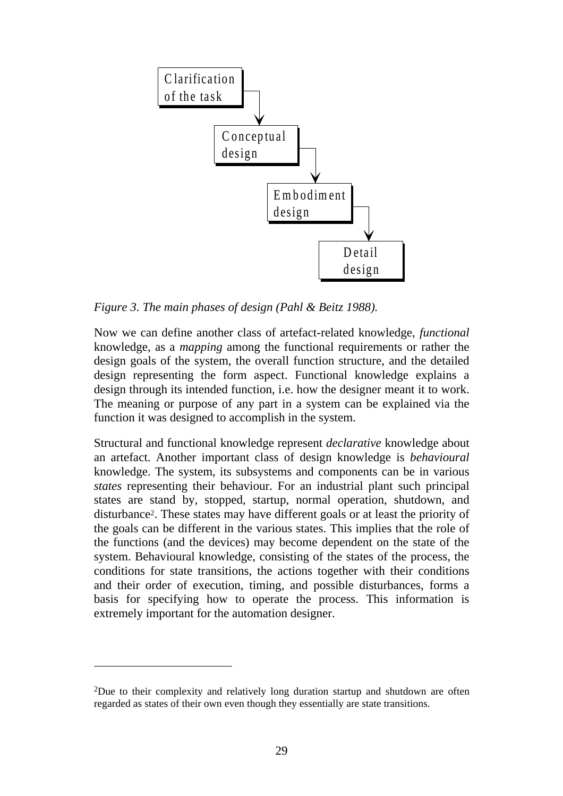

*Figure 3. The main phases of design (Pahl & Beitz 1988).*

Now we can define another class of artefact-related knowledge, *functional* knowledge, as a *mapping* among the functional requirements or rather the design goals of the system, the overall function structure, and the detailed design representing the form aspect. Functional knowledge explains a design through its intended function, i.e. how the designer meant it to work. The meaning or purpose of any part in a system can be explained via the function it was designed to accomplish in the system.

Structural and functional knowledge represent *declarative* knowledge about an artefact. Another important class of design knowledge is *behavioural* knowledge. The system, its subsystems and components can be in various *states* representing their behaviour. For an industrial plant such principal states are stand by, stopped, startup, normal operation, shutdown, and disturbance2. These states may have different goals or at least the priority of the goals can be different in the various states. This implies that the role of the functions (and the devices) may become dependent on the state of the system. Behavioural knowledge, consisting of the states of the process, the conditions for state transitions, the actions together with their conditions and their order of execution, timing, and possible disturbances, forms a basis for specifying how to operate the process. This information is extremely important for the automation designer.

 $\overline{a}$ 

<sup>2</sup>Due to their complexity and relatively long duration startup and shutdown are often regarded as states of their own even though they essentially are state transitions.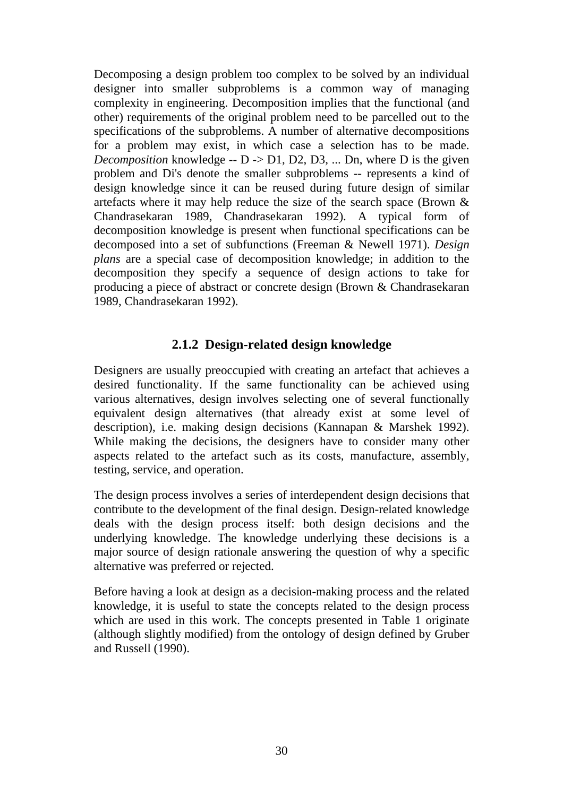Decomposing a design problem too complex to be solved by an individual designer into smaller subproblems is a common way of managing complexity in engineering. Decomposition implies that the functional (and other) requirements of the original problem need to be parcelled out to the specifications of the subproblems. A number of alternative decompositions for a problem may exist, in which case a selection has to be made. *Decomposition* knowledge -- D -> D1, D2, D3, ... Dn, where D is the given problem and Di's denote the smaller subproblems -- represents a kind of design knowledge since it can be reused during future design of similar artefacts where it may help reduce the size of the search space (Brown & Chandrasekaran 1989, Chandrasekaran 1992). A typical form of decomposition knowledge is present when functional specifications can be decomposed into a set of subfunctions (Freeman & Newell 1971). *Design plans* are a special case of decomposition knowledge; in addition to the decomposition they specify a sequence of design actions to take for producing a piece of abstract or concrete design (Brown & Chandrasekaran 1989, Chandrasekaran 1992).

### **2.1.2 Design-related design knowledge**

Designers are usually preoccupied with creating an artefact that achieves a desired functionality. If the same functionality can be achieved using various alternatives, design involves selecting one of several functionally equivalent design alternatives (that already exist at some level of description), i.e. making design decisions (Kannapan & Marshek 1992). While making the decisions, the designers have to consider many other aspects related to the artefact such as its costs, manufacture, assembly, testing, service, and operation.

The design process involves a series of interdependent design decisions that contribute to the development of the final design. Design-related knowledge deals with the design process itself: both design decisions and the underlying knowledge. The knowledge underlying these decisions is a major source of design rationale answering the question of why a specific alternative was preferred or rejected.

Before having a look at design as a decision-making process and the related knowledge, it is useful to state the concepts related to the design process which are used in this work. The concepts presented in Table 1 originate (although slightly modified) from the ontology of design defined by Gruber and Russell (1990).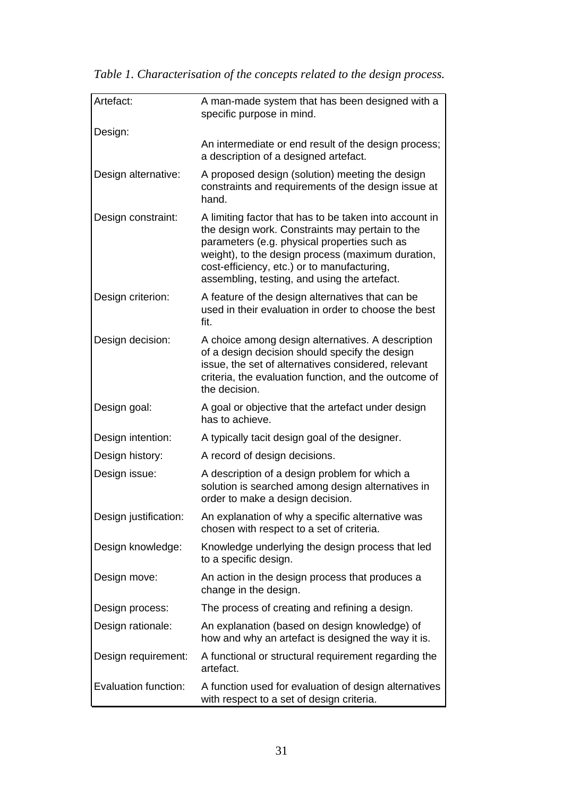| Artefact:             | A man-made system that has been designed with a<br>specific purpose in mind.                                                                                                                                                                                                                                  |
|-----------------------|---------------------------------------------------------------------------------------------------------------------------------------------------------------------------------------------------------------------------------------------------------------------------------------------------------------|
| Design:               |                                                                                                                                                                                                                                                                                                               |
|                       | An intermediate or end result of the design process;<br>a description of a designed artefact.                                                                                                                                                                                                                 |
| Design alternative:   | A proposed design (solution) meeting the design<br>constraints and requirements of the design issue at<br>hand.                                                                                                                                                                                               |
| Design constraint:    | A limiting factor that has to be taken into account in<br>the design work. Constraints may pertain to the<br>parameters (e.g. physical properties such as<br>weight), to the design process (maximum duration,<br>cost-efficiency, etc.) or to manufacturing,<br>assembling, testing, and using the artefact. |
| Design criterion:     | A feature of the design alternatives that can be<br>used in their evaluation in order to choose the best<br>fit.                                                                                                                                                                                              |
| Design decision:      | A choice among design alternatives. A description<br>of a design decision should specify the design<br>issue, the set of alternatives considered, relevant<br>criteria, the evaluation function, and the outcome of<br>the decision.                                                                          |
| Design goal:          | A goal or objective that the artefact under design<br>has to achieve.                                                                                                                                                                                                                                         |
| Design intention:     | A typically tacit design goal of the designer.                                                                                                                                                                                                                                                                |
| Design history:       | A record of design decisions.                                                                                                                                                                                                                                                                                 |
| Design issue:         | A description of a design problem for which a<br>solution is searched among design alternatives in<br>order to make a design decision.                                                                                                                                                                        |
| Design justification: | An explanation of why a specific alternative was<br>chosen with respect to a set of criteria.                                                                                                                                                                                                                 |
| Design knowledge:     | Knowledge underlying the design process that led<br>to a specific design.                                                                                                                                                                                                                                     |
| Design move:          | An action in the design process that produces a<br>change in the design.                                                                                                                                                                                                                                      |
| Design process:       | The process of creating and refining a design.                                                                                                                                                                                                                                                                |
| Design rationale:     | An explanation (based on design knowledge) of<br>how and why an artefact is designed the way it is.                                                                                                                                                                                                           |
| Design requirement:   | A functional or structural requirement regarding the<br>artefact.                                                                                                                                                                                                                                             |
| Evaluation function:  | A function used for evaluation of design alternatives<br>with respect to a set of design criteria.                                                                                                                                                                                                            |

*Table 1. Characterisation of the concepts related to the design process.*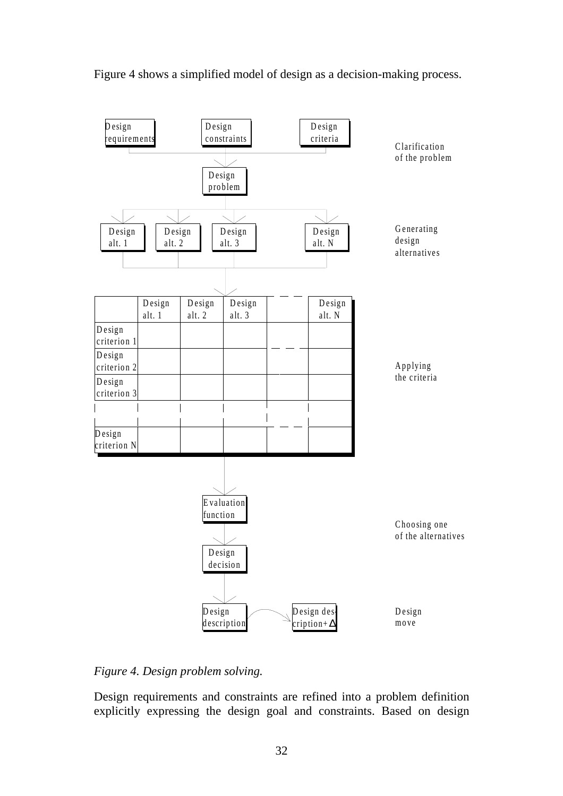Figure 4 shows a simplified model of design as a decision-making process.



#### *Figure 4. Design problem solving.*

Design requirements and constraints are refined into a problem definition explicitly expressing the design goal and constraints. Based on design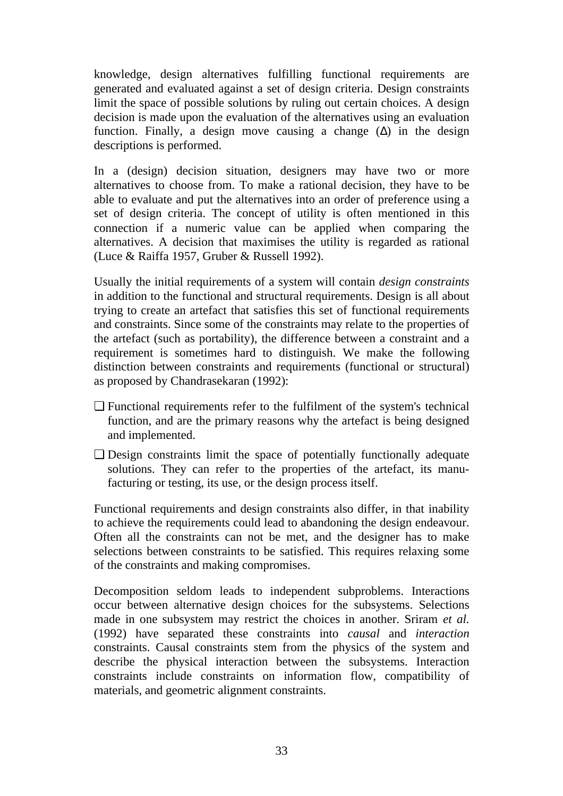knowledge, design alternatives fulfilling functional requirements are generated and evaluated against a set of design criteria. Design constraints limit the space of possible solutions by ruling out certain choices. A design decision is made upon the evaluation of the alternatives using an evaluation function. Finally, a design move causing a change  $(\Delta)$  in the design descriptions is performed.

In a (design) decision situation, designers may have two or more alternatives to choose from. To make a rational decision, they have to be able to evaluate and put the alternatives into an order of preference using a set of design criteria. The concept of utility is often mentioned in this connection if a numeric value can be applied when comparing the alternatives. A decision that maximises the utility is regarded as rational (Luce & Raiffa 1957, Gruber & Russell 1992).

Usually the initial requirements of a system will contain *design constraints* in addition to the functional and structural requirements. Design is all about trying to create an artefact that satisfies this set of functional requirements and constraints. Since some of the constraints may relate to the properties of the artefact (such as portability), the difference between a constraint and a requirement is sometimes hard to distinguish. We make the following distinction between constraints and requirements (functional or structural) as proposed by Chandrasekaran (1992):

- ❏ Functional requirements refer to the fulfilment of the system's technical function, and are the primary reasons why the artefact is being designed and implemented.
- ❏ Design constraints limit the space of potentially functionally adequate solutions. They can refer to the properties of the artefact, its manufacturing or testing, its use, or the design process itself.

Functional requirements and design constraints also differ, in that inability to achieve the requirements could lead to abandoning the design endeavour. Often all the constraints can not be met, and the designer has to make selections between constraints to be satisfied. This requires relaxing some of the constraints and making compromises.

Decomposition seldom leads to independent subproblems. Interactions occur between alternative design choices for the subsystems. Selections made in one subsystem may restrict the choices in another. Sriram *et al.* (1992) have separated these constraints into *causal* and *interaction* constraints. Causal constraints stem from the physics of the system and describe the physical interaction between the subsystems. Interaction constraints include constraints on information flow, compatibility of materials, and geometric alignment constraints.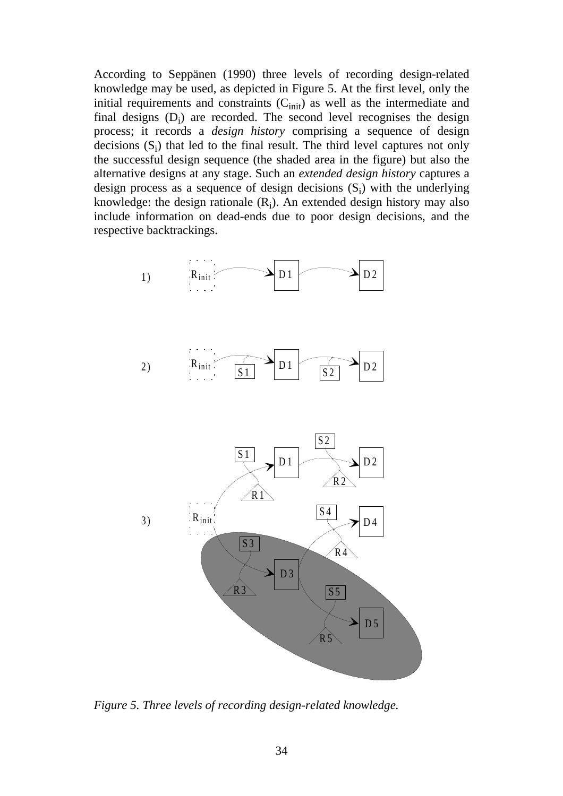According to Seppänen (1990) three levels of recording design-related knowledge may be used, as depicted in Figure 5. At the first level, only the initial requirements and constraints  $(C<sub>init</sub>)$  as well as the intermediate and final designs  $(D_i)$  are recorded. The second level recognises the design process; it records a *design history* comprising a sequence of design decisions  $(S_i)$  that led to the final result. The third level captures not only the successful design sequence (the shaded area in the figure) but also the alternative designs at any stage. Such an *extended design history* captures a design process as a sequence of design decisions  $(S_i)$  with the underlying knowledge: the design rationale  $(R_i)$ . An extended design history may also include information on dead-ends due to poor design decisions, and the respective backtrackings.



*Figure 5. Three levels of recording design-related knowledge.*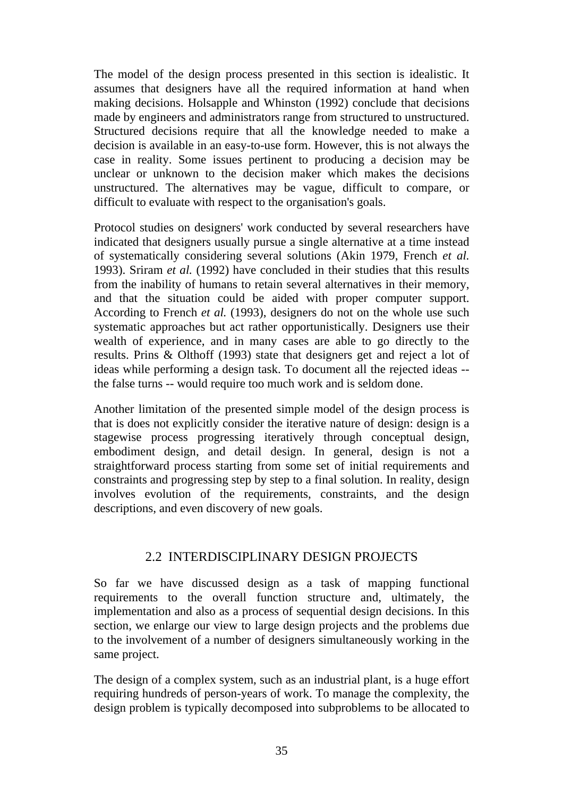The model of the design process presented in this section is idealistic. It assumes that designers have all the required information at hand when making decisions. Holsapple and Whinston (1992) conclude that decisions made by engineers and administrators range from structured to unstructured. Structured decisions require that all the knowledge needed to make a decision is available in an easy-to-use form. However, this is not always the case in reality. Some issues pertinent to producing a decision may be unclear or unknown to the decision maker which makes the decisions unstructured. The alternatives may be vague, difficult to compare, or difficult to evaluate with respect to the organisation's goals.

Protocol studies on designers' work conducted by several researchers have indicated that designers usually pursue a single alternative at a time instead of systematically considering several solutions (Akin 1979, French *et al.* 1993). Sriram *et al.* (1992) have concluded in their studies that this results from the inability of humans to retain several alternatives in their memory, and that the situation could be aided with proper computer support. According to French *et al.* (1993), designers do not on the whole use such systematic approaches but act rather opportunistically. Designers use their wealth of experience, and in many cases are able to go directly to the results. Prins & Olthoff (1993) state that designers get and reject a lot of ideas while performing a design task. To document all the rejected ideas - the false turns -- would require too much work and is seldom done.

Another limitation of the presented simple model of the design process is that is does not explicitly consider the iterative nature of design: design is a stagewise process progressing iteratively through conceptual design, embodiment design, and detail design. In general, design is not a straightforward process starting from some set of initial requirements and constraints and progressing step by step to a final solution. In reality, design involves evolution of the requirements, constraints, and the design descriptions, and even discovery of new goals.

#### 2.2 INTERDISCIPLINARY DESIGN PROJECTS

So far we have discussed design as a task of mapping functional requirements to the overall function structure and, ultimately, the implementation and also as a process of sequential design decisions. In this section, we enlarge our view to large design projects and the problems due to the involvement of a number of designers simultaneously working in the same project.

The design of a complex system, such as an industrial plant, is a huge effort requiring hundreds of person-years of work. To manage the complexity, the design problem is typically decomposed into subproblems to be allocated to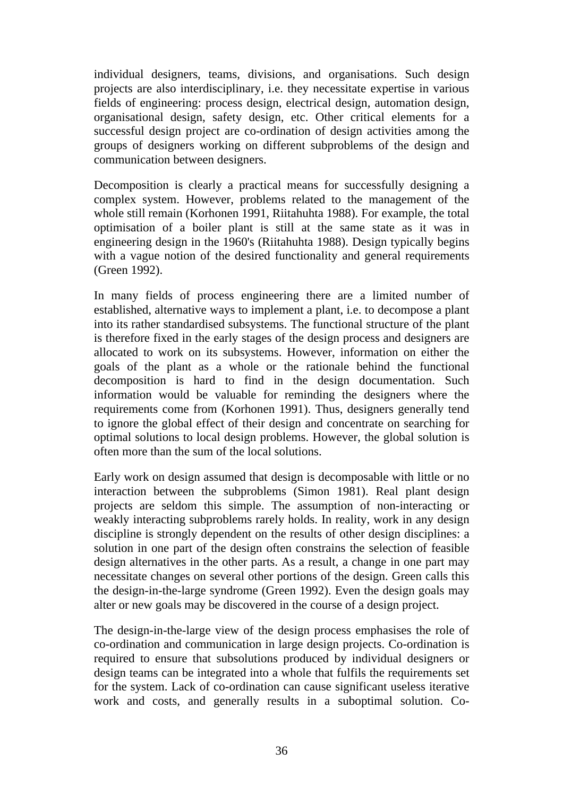individual designers, teams, divisions, and organisations. Such design projects are also interdisciplinary, i.e. they necessitate expertise in various fields of engineering: process design, electrical design, automation design, organisational design, safety design, etc. Other critical elements for a successful design project are co-ordination of design activities among the groups of designers working on different subproblems of the design and communication between designers.

Decomposition is clearly a practical means for successfully designing a complex system. However, problems related to the management of the whole still remain (Korhonen 1991, Riitahuhta 1988). For example, the total optimisation of a boiler plant is still at the same state as it was in engineering design in the 1960's (Riitahuhta 1988). Design typically begins with a vague notion of the desired functionality and general requirements (Green 1992).

In many fields of process engineering there are a limited number of established, alternative ways to implement a plant, i.e. to decompose a plant into its rather standardised subsystems. The functional structure of the plant is therefore fixed in the early stages of the design process and designers are allocated to work on its subsystems. However, information on either the goals of the plant as a whole or the rationale behind the functional decomposition is hard to find in the design documentation. Such information would be valuable for reminding the designers where the requirements come from (Korhonen 1991). Thus, designers generally tend to ignore the global effect of their design and concentrate on searching for optimal solutions to local design problems. However, the global solution is often more than the sum of the local solutions.

Early work on design assumed that design is decomposable with little or no interaction between the subproblems (Simon 1981). Real plant design projects are seldom this simple. The assumption of non-interacting or weakly interacting subproblems rarely holds. In reality, work in any design discipline is strongly dependent on the results of other design disciplines: a solution in one part of the design often constrains the selection of feasible design alternatives in the other parts. As a result, a change in one part may necessitate changes on several other portions of the design. Green calls this the design-in-the-large syndrome (Green 1992). Even the design goals may alter or new goals may be discovered in the course of a design project.

The design-in-the-large view of the design process emphasises the role of co-ordination and communication in large design projects. Co-ordination is required to ensure that subsolutions produced by individual designers or design teams can be integrated into a whole that fulfils the requirements set for the system. Lack of co-ordination can cause significant useless iterative work and costs, and generally results in a suboptimal solution. Co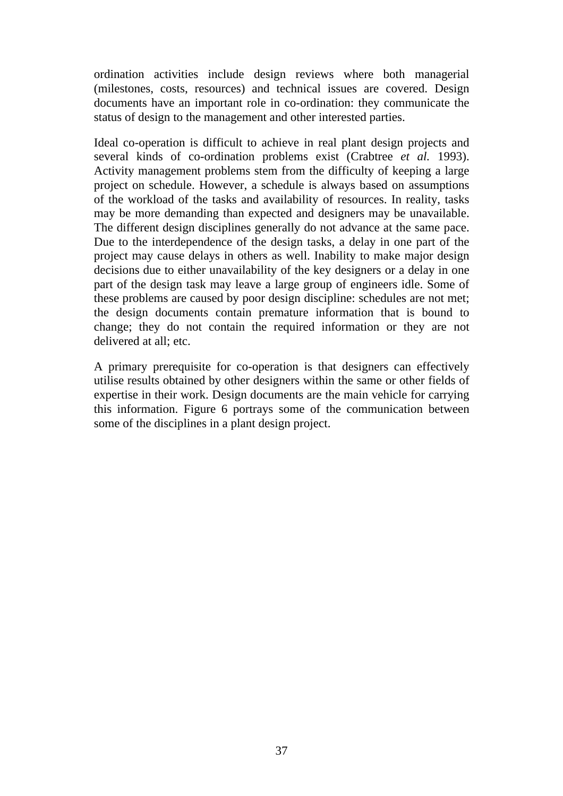ordination activities include design reviews where both managerial (milestones, costs, resources) and technical issues are covered. Design documents have an important role in co-ordination: they communicate the status of design to the management and other interested parties.

Ideal co-operation is difficult to achieve in real plant design projects and several kinds of co-ordination problems exist (Crabtree *et al.* 1993). Activity management problems stem from the difficulty of keeping a large project on schedule. However, a schedule is always based on assumptions of the workload of the tasks and availability of resources. In reality, tasks may be more demanding than expected and designers may be unavailable. The different design disciplines generally do not advance at the same pace. Due to the interdependence of the design tasks, a delay in one part of the project may cause delays in others as well. Inability to make major design decisions due to either unavailability of the key designers or a delay in one part of the design task may leave a large group of engineers idle. Some of these problems are caused by poor design discipline: schedules are not met; the design documents contain premature information that is bound to change; they do not contain the required information or they are not delivered at all; etc.

A primary prerequisite for co-operation is that designers can effectively utilise results obtained by other designers within the same or other fields of expertise in their work. Design documents are the main vehicle for carrying this information. Figure 6 portrays some of the communication between some of the disciplines in a plant design project.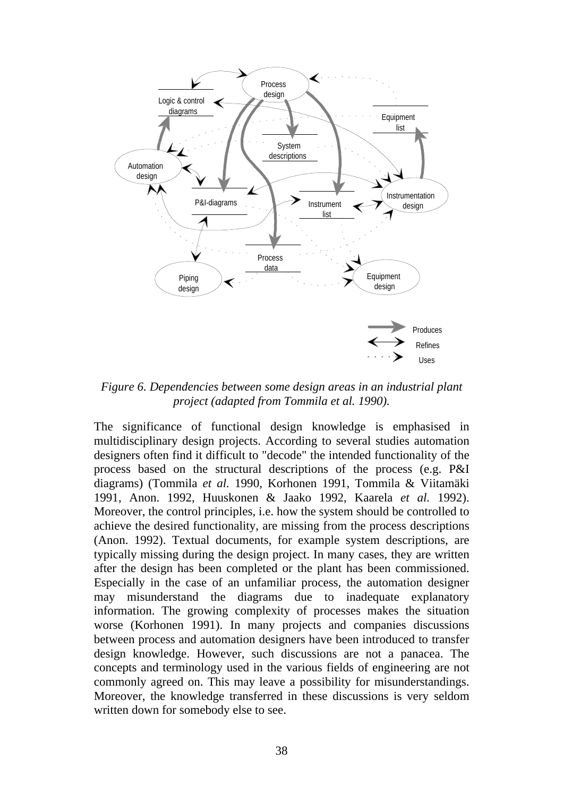

*Figure 6. Dependencies between some design areas in an industrial plant project (adapted from Tommila et al. 1990).*

The significance of functional design knowledge is emphasised in multidisciplinary design projects. According to several studies automation designers often find it difficult to "decode" the intended functionality of the process based on the structural descriptions of the process (e.g. P&I diagrams) (Tommila *et al.* 1990, Korhonen 1991, Tommila & Viitamäki 1991, Anon. 1992, Huuskonen & Jaako 1992, Kaarela *et al.* 1992). Moreover, the control principles, i.e. how the system should be controlled to achieve the desired functionality, are missing from the process descriptions (Anon. 1992). Textual documents, for example system descriptions, are typically missing during the design project. In many cases, they are written after the design has been completed or the plant has been commissioned. Especially in the case of an unfamiliar process, the automation designer may misunderstand the diagrams due to inadequate explanatory information. The growing complexity of processes makes the situation worse (Korhonen 1991). In many projects and companies discussions between process and automation designers have been introduced to transfer design knowledge. However, such discussions are not a panacea. The concepts and terminology used in the various fields of engineering are not commonly agreed on. This may leave a possibility for misunderstandings. Moreover, the knowledge transferred in these discussions is very seldom written down for somebody else to see.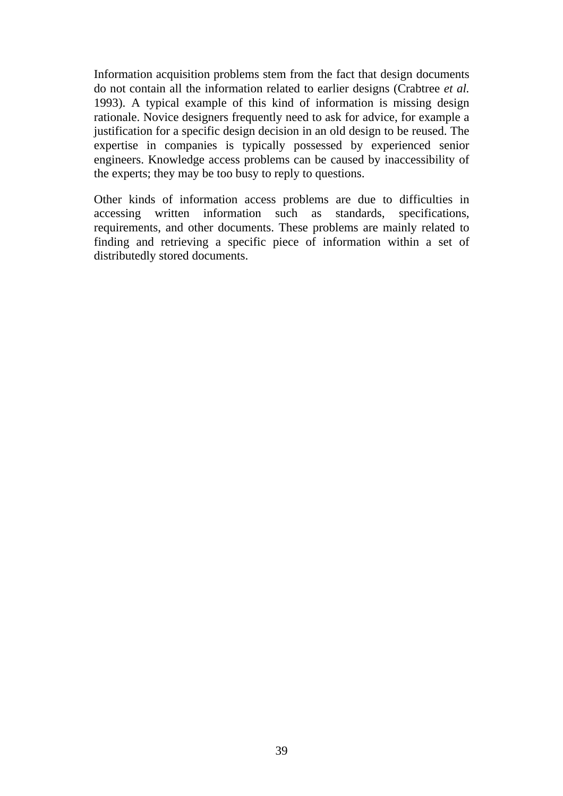Information acquisition problems stem from the fact that design documents do not contain all the information related to earlier designs (Crabtree *et al.* 1993). A typical example of this kind of information is missing design rationale. Novice designers frequently need to ask for advice, for example a justification for a specific design decision in an old design to be reused. The expertise in companies is typically possessed by experienced senior engineers. Knowledge access problems can be caused by inaccessibility of the experts; they may be too busy to reply to questions.

Other kinds of information access problems are due to difficulties in accessing written information such as standards, specifications, requirements, and other documents. These problems are mainly related to finding and retrieving a specific piece of information within a set of distributedly stored documents.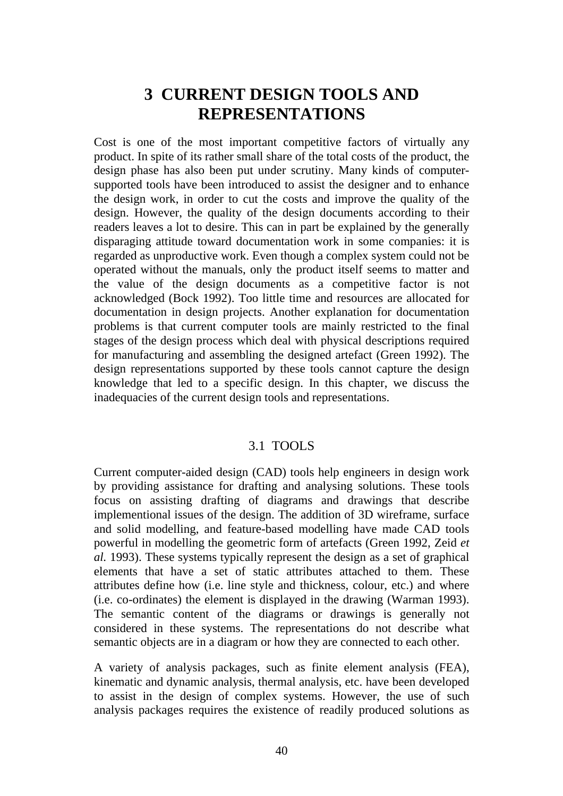# **3 CURRENT DESIGN TOOLS AND REPRESENTATIONS**

Cost is one of the most important competitive factors of virtually any product. In spite of its rather small share of the total costs of the product, the design phase has also been put under scrutiny. Many kinds of computersupported tools have been introduced to assist the designer and to enhance the design work, in order to cut the costs and improve the quality of the design. However, the quality of the design documents according to their readers leaves a lot to desire. This can in part be explained by the generally disparaging attitude toward documentation work in some companies: it is regarded as unproductive work. Even though a complex system could not be operated without the manuals, only the product itself seems to matter and the value of the design documents as a competitive factor is not acknowledged (Bock 1992). Too little time and resources are allocated for documentation in design projects. Another explanation for documentation problems is that current computer tools are mainly restricted to the final stages of the design process which deal with physical descriptions required for manufacturing and assembling the designed artefact (Green 1992). The design representations supported by these tools cannot capture the design knowledge that led to a specific design. In this chapter, we discuss the inadequacies of the current design tools and representations.

### 3.1 TOOLS

Current computer-aided design (CAD) tools help engineers in design work by providing assistance for drafting and analysing solutions. These tools focus on assisting drafting of diagrams and drawings that describe implementional issues of the design. The addition of 3D wireframe, surface and solid modelling, and feature-based modelling have made CAD tools powerful in modelling the geometric form of artefacts (Green 1992, Zeid *et al.* 1993). These systems typically represent the design as a set of graphical elements that have a set of static attributes attached to them. These attributes define how (i.e. line style and thickness, colour, etc.) and where (i.e. co-ordinates) the element is displayed in the drawing (Warman 1993). The semantic content of the diagrams or drawings is generally not considered in these systems. The representations do not describe what semantic objects are in a diagram or how they are connected to each other.

A variety of analysis packages, such as finite element analysis (FEA), kinematic and dynamic analysis, thermal analysis, etc. have been developed to assist in the design of complex systems. However, the use of such analysis packages requires the existence of readily produced solutions as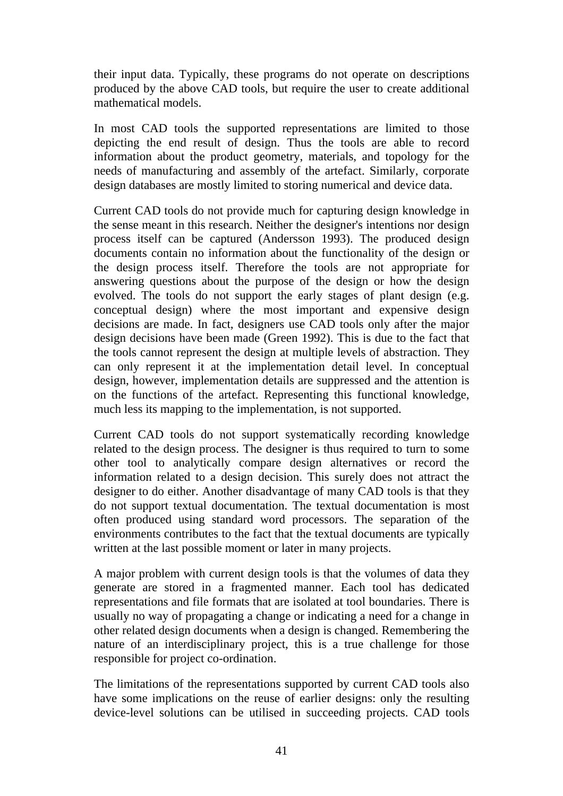their input data. Typically, these programs do not operate on descriptions produced by the above CAD tools, but require the user to create additional mathematical models.

In most CAD tools the supported representations are limited to those depicting the end result of design. Thus the tools are able to record information about the product geometry, materials, and topology for the needs of manufacturing and assembly of the artefact. Similarly, corporate design databases are mostly limited to storing numerical and device data.

Current CAD tools do not provide much for capturing design knowledge in the sense meant in this research. Neither the designer's intentions nor design process itself can be captured (Andersson 1993). The produced design documents contain no information about the functionality of the design or the design process itself. Therefore the tools are not appropriate for answering questions about the purpose of the design or how the design evolved. The tools do not support the early stages of plant design (e.g. conceptual design) where the most important and expensive design decisions are made. In fact, designers use CAD tools only after the major design decisions have been made (Green 1992). This is due to the fact that the tools cannot represent the design at multiple levels of abstraction. They can only represent it at the implementation detail level. In conceptual design, however, implementation details are suppressed and the attention is on the functions of the artefact. Representing this functional knowledge, much less its mapping to the implementation, is not supported.

Current CAD tools do not support systematically recording knowledge related to the design process. The designer is thus required to turn to some other tool to analytically compare design alternatives or record the information related to a design decision. This surely does not attract the designer to do either. Another disadvantage of many CAD tools is that they do not support textual documentation. The textual documentation is most often produced using standard word processors. The separation of the environments contributes to the fact that the textual documents are typically written at the last possible moment or later in many projects.

A major problem with current design tools is that the volumes of data they generate are stored in a fragmented manner. Each tool has dedicated representations and file formats that are isolated at tool boundaries. There is usually no way of propagating a change or indicating a need for a change in other related design documents when a design is changed. Remembering the nature of an interdisciplinary project, this is a true challenge for those responsible for project co-ordination.

The limitations of the representations supported by current CAD tools also have some implications on the reuse of earlier designs: only the resulting device-level solutions can be utilised in succeeding projects. CAD tools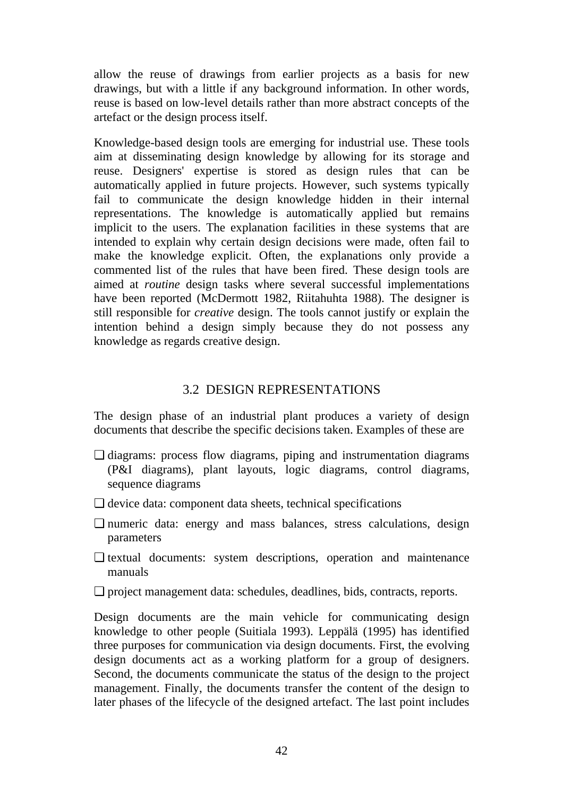allow the reuse of drawings from earlier projects as a basis for new drawings, but with a little if any background information. In other words, reuse is based on low-level details rather than more abstract concepts of the artefact or the design process itself.

Knowledge-based design tools are emerging for industrial use. These tools aim at disseminating design knowledge by allowing for its storage and reuse. Designers' expertise is stored as design rules that can be automatically applied in future projects. However, such systems typically fail to communicate the design knowledge hidden in their internal representations. The knowledge is automatically applied but remains implicit to the users. The explanation facilities in these systems that are intended to explain why certain design decisions were made, often fail to make the knowledge explicit. Often, the explanations only provide a commented list of the rules that have been fired. These design tools are aimed at *routine* design tasks where several successful implementations have been reported (McDermott 1982, Riitahuhta 1988). The designer is still responsible for *creative* design. The tools cannot justify or explain the intention behind a design simply because they do not possess any knowledge as regards creative design.

### 3.2 DESIGN REPRESENTATIONS

The design phase of an industrial plant produces a variety of design documents that describe the specific decisions taken. Examples of these are

- ❏ diagrams: process flow diagrams, piping and instrumentation diagrams (P&I diagrams), plant layouts, logic diagrams, control diagrams, sequence diagrams
- ❏ device data: component data sheets, technical specifications
- ❏ numeric data: energy and mass balances, stress calculations, design parameters
- ❏ textual documents: system descriptions, operation and maintenance manuals
- ❏ project management data: schedules, deadlines, bids, contracts, reports.

Design documents are the main vehicle for communicating design knowledge to other people (Suitiala 1993). Leppälä (1995) has identified three purposes for communication via design documents. First, the evolving design documents act as a working platform for a group of designers. Second, the documents communicate the status of the design to the project management. Finally, the documents transfer the content of the design to later phases of the lifecycle of the designed artefact. The last point includes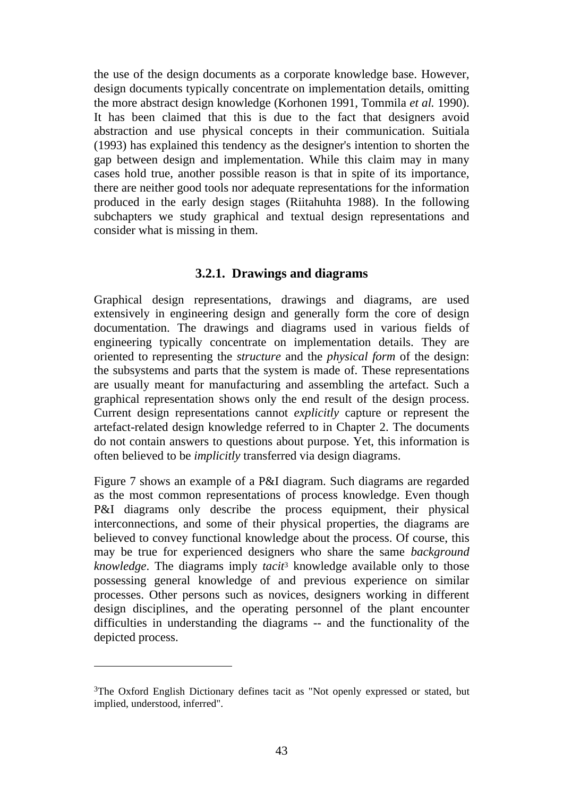the use of the design documents as a corporate knowledge base. However, design documents typically concentrate on implementation details, omitting the more abstract design knowledge (Korhonen 1991, Tommila *et al.* 1990). It has been claimed that this is due to the fact that designers avoid abstraction and use physical concepts in their communication. Suitiala (1993) has explained this tendency as the designer's intention to shorten the gap between design and implementation. While this claim may in many cases hold true, another possible reason is that in spite of its importance, there are neither good tools nor adequate representations for the information produced in the early design stages (Riitahuhta 1988). In the following subchapters we study graphical and textual design representations and consider what is missing in them.

# **3.2.1. Drawings and diagrams**

Graphical design representations, drawings and diagrams, are used extensively in engineering design and generally form the core of design documentation. The drawings and diagrams used in various fields of engineering typically concentrate on implementation details. They are oriented to representing the *structure* and the *physical form* of the design: the subsystems and parts that the system is made of. These representations are usually meant for manufacturing and assembling the artefact. Such a graphical representation shows only the end result of the design process. Current design representations cannot *explicitly* capture or represent the artefact-related design knowledge referred to in Chapter 2. The documents do not contain answers to questions about purpose. Yet, this information is often believed to be *implicitly* transferred via design diagrams.

Figure 7 shows an example of a P&I diagram. Such diagrams are regarded as the most common representations of process knowledge. Even though P&I diagrams only describe the process equipment, their physical interconnections, and some of their physical properties, the diagrams are believed to convey functional knowledge about the process. Of course, this may be true for experienced designers who share the same *background knowledge*. The diagrams imply *tacit*3 knowledge available only to those possessing general knowledge of and previous experience on similar processes. Other persons such as novices, designers working in different design disciplines, and the operating personnel of the plant encounter difficulties in understanding the diagrams -- and the functionality of the depicted process.

 $\overline{a}$ 

<sup>3</sup>The Oxford English Dictionary defines tacit as "Not openly expressed or stated, but implied, understood, inferred".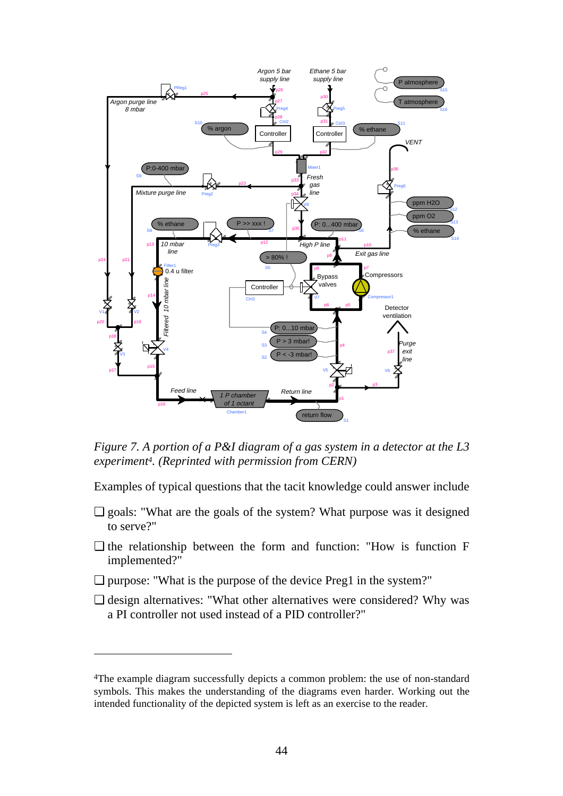

*Figure 7. A portion of a P&I diagram of a gas system in a detector at the L3 experiment4. (Reprinted with permission from CERN)*

Examples of typical questions that the tacit knowledge could answer include

- ❏ goals: "What are the goals of the system? What purpose was it designed to serve?"
- ❏ the relationship between the form and function: "How is function F implemented?"
- ❏ purpose: "What is the purpose of the device Preg1 in the system?"

 $\overline{a}$ 

❏ design alternatives: "What other alternatives were considered? Why was a PI controller not used instead of a PID controller?"

<sup>4</sup>The example diagram successfully depicts a common problem: the use of non-standard symbols. This makes the understanding of the diagrams even harder. Working out the intended functionality of the depicted system is left as an exercise to the reader.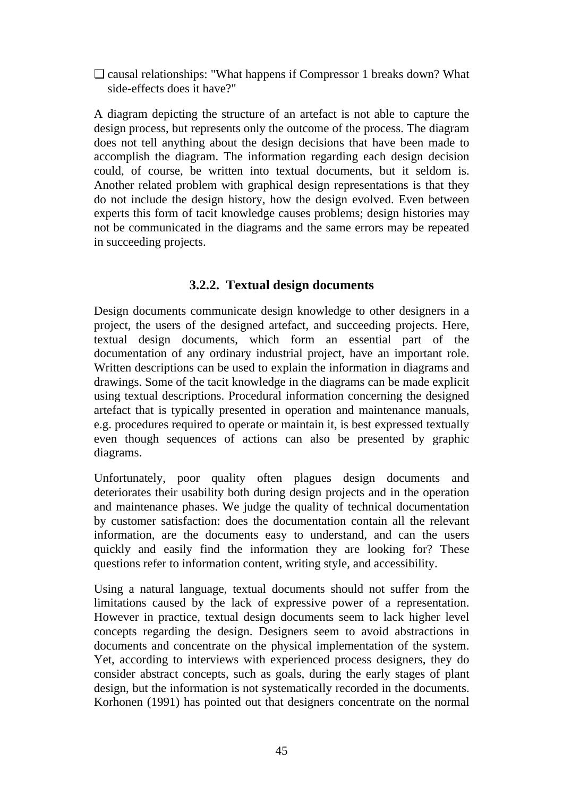❏ causal relationships: "What happens if Compressor 1 breaks down? What side-effects does it have?"

A diagram depicting the structure of an artefact is not able to capture the design process, but represents only the outcome of the process. The diagram does not tell anything about the design decisions that have been made to accomplish the diagram. The information regarding each design decision could, of course, be written into textual documents, but it seldom is. Another related problem with graphical design representations is that they do not include the design history, how the design evolved. Even between experts this form of tacit knowledge causes problems; design histories may not be communicated in the diagrams and the same errors may be repeated in succeeding projects.

# **3.2.2. Textual design documents**

Design documents communicate design knowledge to other designers in a project, the users of the designed artefact, and succeeding projects. Here, textual design documents, which form an essential part of the documentation of any ordinary industrial project, have an important role. Written descriptions can be used to explain the information in diagrams and drawings. Some of the tacit knowledge in the diagrams can be made explicit using textual descriptions. Procedural information concerning the designed artefact that is typically presented in operation and maintenance manuals, e.g. procedures required to operate or maintain it, is best expressed textually even though sequences of actions can also be presented by graphic diagrams.

Unfortunately, poor quality often plagues design documents and deteriorates their usability both during design projects and in the operation and maintenance phases. We judge the quality of technical documentation by customer satisfaction: does the documentation contain all the relevant information, are the documents easy to understand, and can the users quickly and easily find the information they are looking for? These questions refer to information content, writing style, and accessibility.

Using a natural language, textual documents should not suffer from the limitations caused by the lack of expressive power of a representation. However in practice, textual design documents seem to lack higher level concepts regarding the design. Designers seem to avoid abstractions in documents and concentrate on the physical implementation of the system. Yet, according to interviews with experienced process designers, they do consider abstract concepts, such as goals, during the early stages of plant design, but the information is not systematically recorded in the documents. Korhonen (1991) has pointed out that designers concentrate on the normal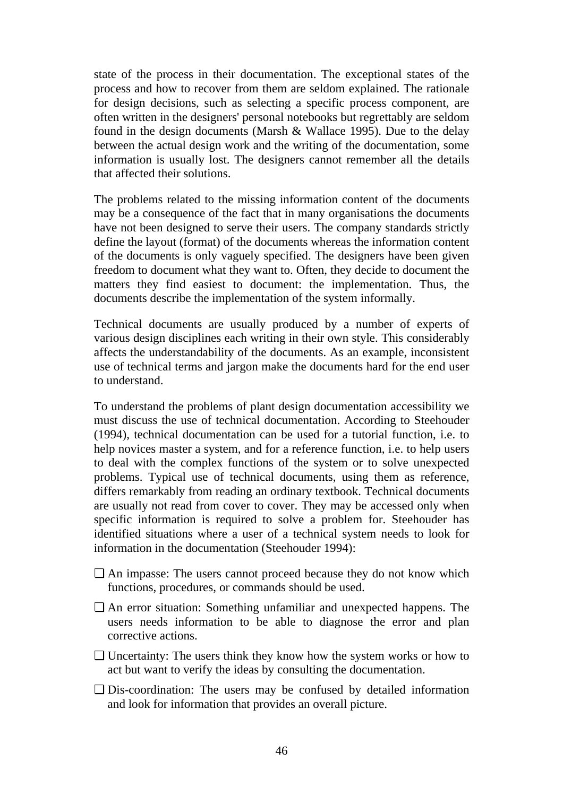state of the process in their documentation. The exceptional states of the process and how to recover from them are seldom explained. The rationale for design decisions, such as selecting a specific process component, are often written in the designers' personal notebooks but regrettably are seldom found in the design documents (Marsh & Wallace 1995). Due to the delay between the actual design work and the writing of the documentation, some information is usually lost. The designers cannot remember all the details that affected their solutions.

The problems related to the missing information content of the documents may be a consequence of the fact that in many organisations the documents have not been designed to serve their users. The company standards strictly define the layout (format) of the documents whereas the information content of the documents is only vaguely specified. The designers have been given freedom to document what they want to. Often, they decide to document the matters they find easiest to document: the implementation. Thus, the documents describe the implementation of the system informally.

Technical documents are usually produced by a number of experts of various design disciplines each writing in their own style. This considerably affects the understandability of the documents. As an example, inconsistent use of technical terms and jargon make the documents hard for the end user to understand.

To understand the problems of plant design documentation accessibility we must discuss the use of technical documentation. According to Steehouder (1994), technical documentation can be used for a tutorial function, i.e. to help novices master a system, and for a reference function, i.e. to help users to deal with the complex functions of the system or to solve unexpected problems. Typical use of technical documents, using them as reference, differs remarkably from reading an ordinary textbook. Technical documents are usually not read from cover to cover. They may be accessed only when specific information is required to solve a problem for. Steehouder has identified situations where a user of a technical system needs to look for information in the documentation (Steehouder 1994):

- ❏ An impasse: The users cannot proceed because they do not know which functions, procedures, or commands should be used.
- ❏ An error situation: Something unfamiliar and unexpected happens. The users needs information to be able to diagnose the error and plan corrective actions.
- ❏ Uncertainty: The users think they know how the system works or how to act but want to verify the ideas by consulting the documentation.
- ❏ Dis-coordination: The users may be confused by detailed information and look for information that provides an overall picture.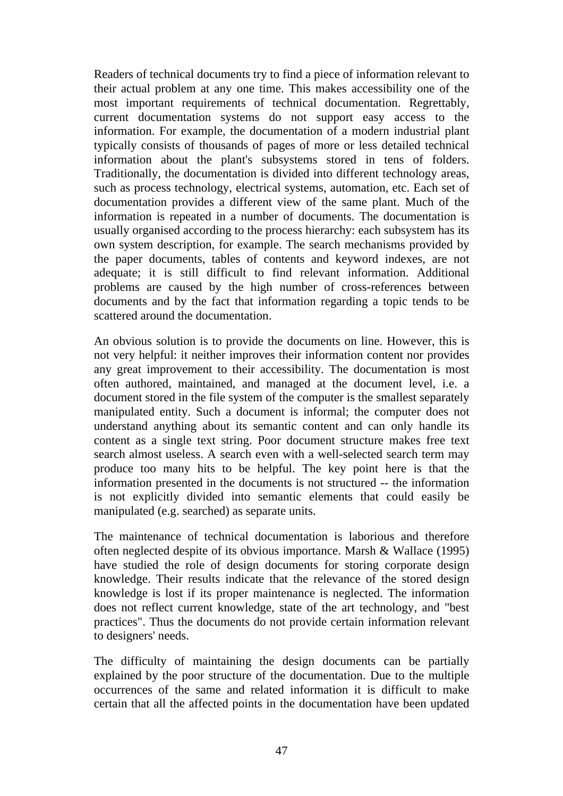Readers of technical documents try to find a piece of information relevant to their actual problem at any one time. This makes accessibility one of the most important requirements of technical documentation. Regrettably, current documentation systems do not support easy access to the information. For example, the documentation of a modern industrial plant typically consists of thousands of pages of more or less detailed technical information about the plant's subsystems stored in tens of folders. Traditionally, the documentation is divided into different technology areas, such as process technology, electrical systems, automation, etc. Each set of documentation provides a different view of the same plant. Much of the information is repeated in a number of documents. The documentation is usually organised according to the process hierarchy: each subsystem has its own system description, for example. The search mechanisms provided by the paper documents, tables of contents and keyword indexes, are not adequate; it is still difficult to find relevant information. Additional problems are caused by the high number of cross-references between documents and by the fact that information regarding a topic tends to be scattered around the documentation.

An obvious solution is to provide the documents on line. However, this is not very helpful: it neither improves their information content nor provides any great improvement to their accessibility. The documentation is most often authored, maintained, and managed at the document level, i.e. a document stored in the file system of the computer is the smallest separately manipulated entity. Such a document is informal; the computer does not understand anything about its semantic content and can only handle its content as a single text string. Poor document structure makes free text search almost useless. A search even with a well-selected search term may produce too many hits to be helpful. The key point here is that the information presented in the documents is not structured -- the information is not explicitly divided into semantic elements that could easily be manipulated (e.g. searched) as separate units.

The maintenance of technical documentation is laborious and therefore often neglected despite of its obvious importance. Marsh & Wallace (1995) have studied the role of design documents for storing corporate design knowledge. Their results indicate that the relevance of the stored design knowledge is lost if its proper maintenance is neglected. The information does not reflect current knowledge, state of the art technology, and "best practices". Thus the documents do not provide certain information relevant to designers' needs.

The difficulty of maintaining the design documents can be partially explained by the poor structure of the documentation. Due to the multiple occurrences of the same and related information it is difficult to make certain that all the affected points in the documentation have been updated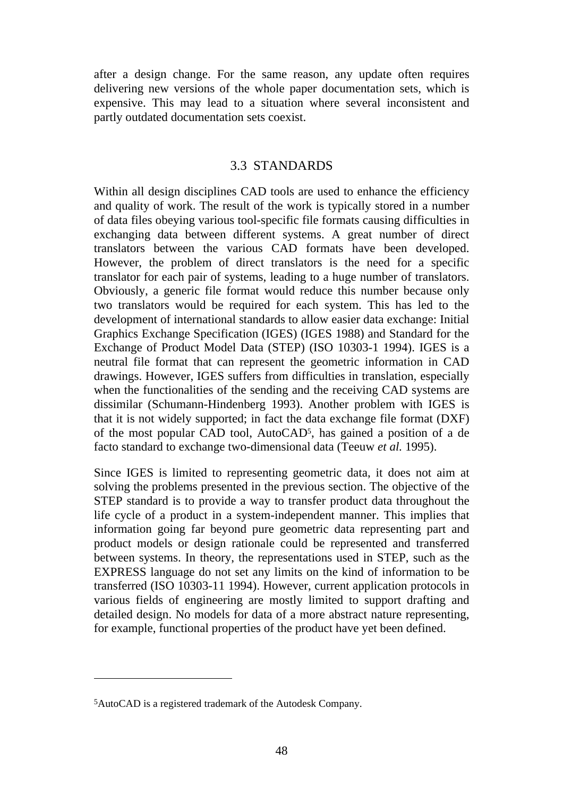after a design change. For the same reason, any update often requires delivering new versions of the whole paper documentation sets, which is expensive. This may lead to a situation where several inconsistent and partly outdated documentation sets coexist.

#### 3.3 STANDARDS

Within all design disciplines CAD tools are used to enhance the efficiency and quality of work. The result of the work is typically stored in a number of data files obeying various tool-specific file formats causing difficulties in exchanging data between different systems. A great number of direct translators between the various CAD formats have been developed. However, the problem of direct translators is the need for a specific translator for each pair of systems, leading to a huge number of translators. Obviously, a generic file format would reduce this number because only two translators would be required for each system. This has led to the development of international standards to allow easier data exchange: Initial Graphics Exchange Specification (IGES) (IGES 1988) and Standard for the Exchange of Product Model Data (STEP) (ISO 10303-1 1994). IGES is a neutral file format that can represent the geometric information in CAD drawings. However, IGES suffers from difficulties in translation, especially when the functionalities of the sending and the receiving CAD systems are dissimilar (Schumann-Hindenberg 1993). Another problem with IGES is that it is not widely supported; in fact the data exchange file format (DXF) of the most popular CAD tool, AutoCAD5, has gained a position of a de facto standard to exchange two-dimensional data (Teeuw *et al.* 1995).

Since IGES is limited to representing geometric data, it does not aim at solving the problems presented in the previous section. The objective of the STEP standard is to provide a way to transfer product data throughout the life cycle of a product in a system-independent manner. This implies that information going far beyond pure geometric data representing part and product models or design rationale could be represented and transferred between systems. In theory, the representations used in STEP, such as the EXPRESS language do not set any limits on the kind of information to be transferred (ISO 10303-11 1994). However, current application protocols in various fields of engineering are mostly limited to support drafting and detailed design. No models for data of a more abstract nature representing, for example, functional properties of the product have yet been defined.

-

<sup>5</sup>AutoCAD is a registered trademark of the Autodesk Company.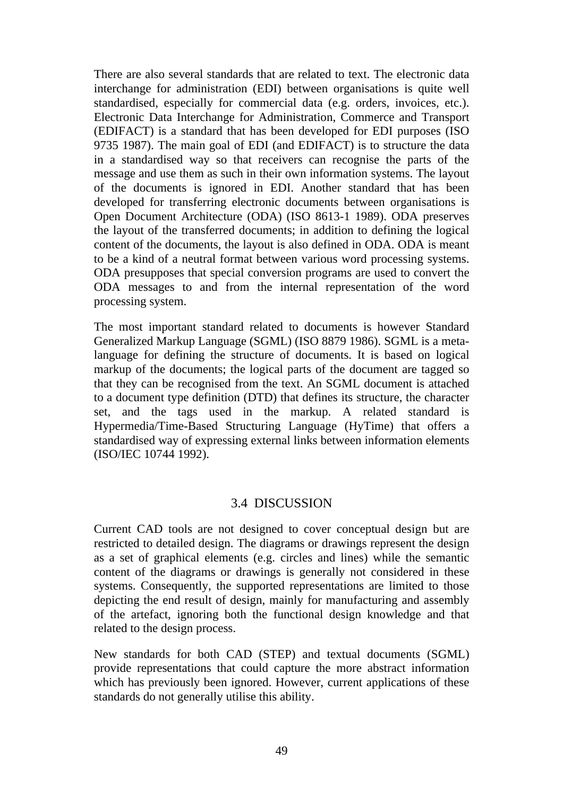There are also several standards that are related to text. The electronic data interchange for administration (EDI) between organisations is quite well standardised, especially for commercial data (e.g. orders, invoices, etc.). Electronic Data Interchange for Administration, Commerce and Transport (EDIFACT) is a standard that has been developed for EDI purposes (ISO 9735 1987). The main goal of EDI (and EDIFACT) is to structure the data in a standardised way so that receivers can recognise the parts of the message and use them as such in their own information systems. The layout of the documents is ignored in EDI. Another standard that has been developed for transferring electronic documents between organisations is Open Document Architecture (ODA) (ISO 8613-1 1989). ODA preserves the layout of the transferred documents; in addition to defining the logical content of the documents, the layout is also defined in ODA. ODA is meant to be a kind of a neutral format between various word processing systems. ODA presupposes that special conversion programs are used to convert the ODA messages to and from the internal representation of the word processing system.

The most important standard related to documents is however Standard Generalized Markup Language (SGML) (ISO 8879 1986). SGML is a metalanguage for defining the structure of documents. It is based on logical markup of the documents; the logical parts of the document are tagged so that they can be recognised from the text. An SGML document is attached to a document type definition (DTD) that defines its structure, the character set, and the tags used in the markup. A related standard is Hypermedia/Time-Based Structuring Language (HyTime) that offers a standardised way of expressing external links between information elements (ISO/IEC 10744 1992).

### 3.4 DISCUSSION

Current CAD tools are not designed to cover conceptual design but are restricted to detailed design. The diagrams or drawings represent the design as a set of graphical elements (e.g. circles and lines) while the semantic content of the diagrams or drawings is generally not considered in these systems. Consequently, the supported representations are limited to those depicting the end result of design, mainly for manufacturing and assembly of the artefact, ignoring both the functional design knowledge and that related to the design process.

New standards for both CAD (STEP) and textual documents (SGML) provide representations that could capture the more abstract information which has previously been ignored. However, current applications of these standards do not generally utilise this ability.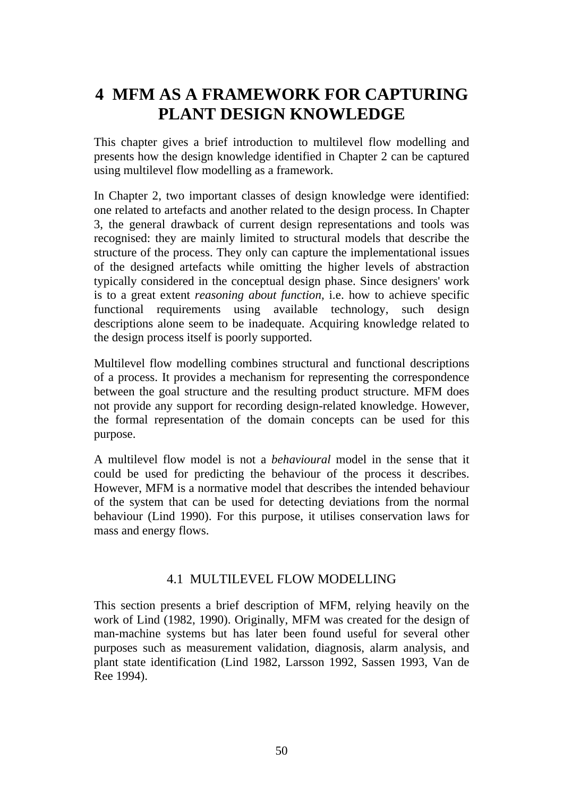# **4 MFM AS A FRAMEWORK FOR CAPTURING PLANT DESIGN KNOWLEDGE**

This chapter gives a brief introduction to multilevel flow modelling and presents how the design knowledge identified in Chapter 2 can be captured using multilevel flow modelling as a framework.

In Chapter 2, two important classes of design knowledge were identified: one related to artefacts and another related to the design process. In Chapter 3, the general drawback of current design representations and tools was recognised: they are mainly limited to structural models that describe the structure of the process. They only can capture the implementational issues of the designed artefacts while omitting the higher levels of abstraction typically considered in the conceptual design phase. Since designers' work is to a great extent *reasoning about function,* i.e. how to achieve specific functional requirements using available technology, such design descriptions alone seem to be inadequate. Acquiring knowledge related to the design process itself is poorly supported.

Multilevel flow modelling combines structural and functional descriptions of a process. It provides a mechanism for representing the correspondence between the goal structure and the resulting product structure. MFM does not provide any support for recording design-related knowledge. However, the formal representation of the domain concepts can be used for this purpose.

A multilevel flow model is not a *behavioural* model in the sense that it could be used for predicting the behaviour of the process it describes. However, MFM is a normative model that describes the intended behaviour of the system that can be used for detecting deviations from the normal behaviour (Lind 1990). For this purpose, it utilises conservation laws for mass and energy flows.

# 4.1 MULTILEVEL FLOW MODELLING

This section presents a brief description of MFM, relying heavily on the work of Lind (1982, 1990). Originally, MFM was created for the design of man-machine systems but has later been found useful for several other purposes such as measurement validation, diagnosis, alarm analysis, and plant state identification (Lind 1982, Larsson 1992, Sassen 1993, Van de Ree 1994).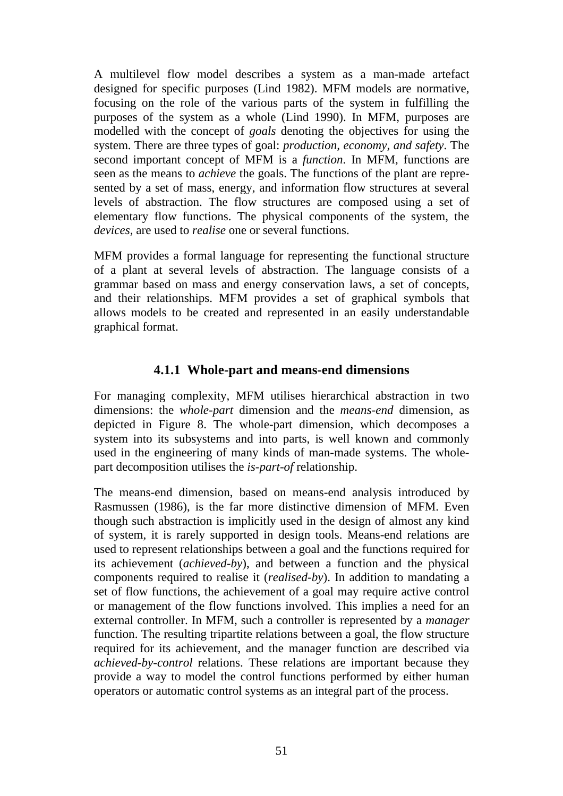A multilevel flow model describes a system as a man-made artefact designed for specific purposes (Lind 1982). MFM models are normative, focusing on the role of the various parts of the system in fulfilling the purposes of the system as a whole (Lind 1990). In MFM, purposes are modelled with the concept of *goals* denoting the objectives for using the system. There are three types of goal: *production, economy, and safety*. The second important concept of MFM is a *function*. In MFM, functions are seen as the means to *achieve* the goals. The functions of the plant are represented by a set of mass, energy, and information flow structures at several levels of abstraction. The flow structures are composed using a set of elementary flow functions. The physical components of the system, the *devices,* are used to *realise* one or several functions.

MFM provides a formal language for representing the functional structure of a plant at several levels of abstraction. The language consists of a grammar based on mass and energy conservation laws, a set of concepts, and their relationships. MFM provides a set of graphical symbols that allows models to be created and represented in an easily understandable graphical format.

### **4.1.1 Whole-part and means-end dimensions**

For managing complexity, MFM utilises hierarchical abstraction in two dimensions: the *whole-part* dimension and the *means-end* dimension, as depicted in Figure 8. The whole-part dimension, which decomposes a system into its subsystems and into parts, is well known and commonly used in the engineering of many kinds of man-made systems. The wholepart decomposition utilises the *is-part-of* relationship.

The means-end dimension, based on means-end analysis introduced by Rasmussen (1986), is the far more distinctive dimension of MFM. Even though such abstraction is implicitly used in the design of almost any kind of system, it is rarely supported in design tools. Means-end relations are used to represent relationships between a goal and the functions required for its achievement (*achieved-by*), and between a function and the physical components required to realise it (*realised-by*). In addition to mandating a set of flow functions, the achievement of a goal may require active control or management of the flow functions involved. This implies a need for an external controller. In MFM, such a controller is represented by a *manager* function. The resulting tripartite relations between a goal, the flow structure required for its achievement, and the manager function are described via *achieved-by-control* relations. These relations are important because they provide a way to model the control functions performed by either human operators or automatic control systems as an integral part of the process.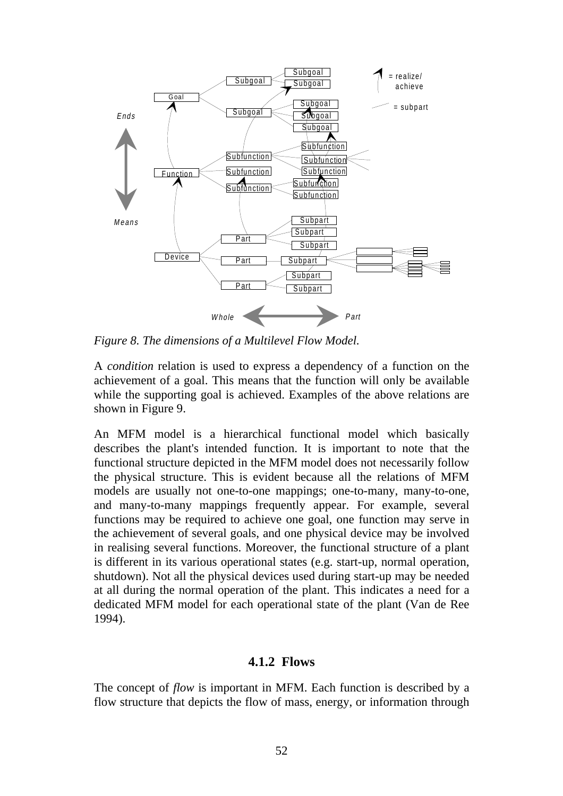

*Figure 8. The dimensions of a Multilevel Flow Model.*

A *condition* relation is used to express a dependency of a function on the achievement of a goal. This means that the function will only be available while the supporting goal is achieved. Examples of the above relations are shown in Figure 9.

An MFM model is a hierarchical functional model which basically describes the plant's intended function. It is important to note that the functional structure depicted in the MFM model does not necessarily follow the physical structure. This is evident because all the relations of MFM models are usually not one-to-one mappings; one-to-many, many-to-one, and many-to-many mappings frequently appear. For example, several functions may be required to achieve one goal, one function may serve in the achievement of several goals, and one physical device may be involved in realising several functions. Moreover, the functional structure of a plant is different in its various operational states (e.g. start-up, normal operation, shutdown). Not all the physical devices used during start-up may be needed at all during the normal operation of the plant. This indicates a need for a dedicated MFM model for each operational state of the plant (Van de Ree 1994).

#### **4.1.2 Flows**

The concept of *flow* is important in MFM. Each function is described by a flow structure that depicts the flow of mass, energy, or information through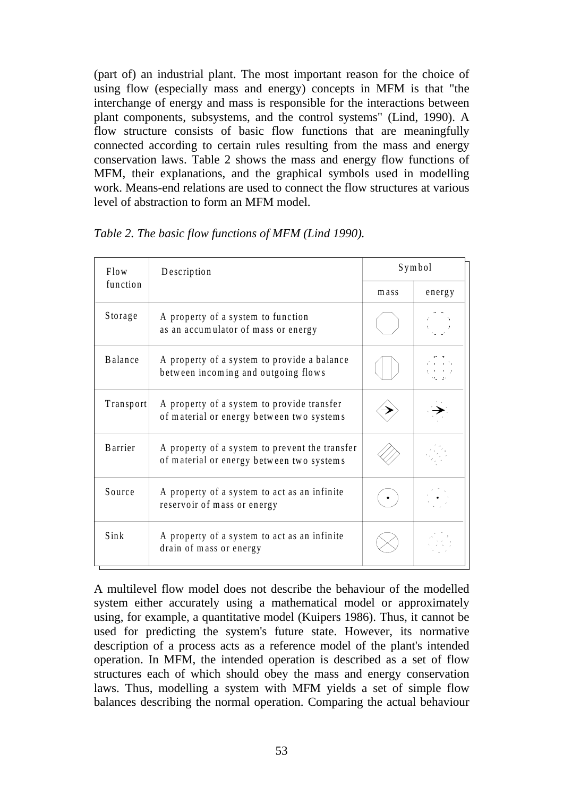(part of) an industrial plant. The most important reason for the choice of using flow (especially mass and energy) concepts in MFM is that "the interchange of energy and mass is responsible for the interactions between plant components, subsystems, and the control systems" (Lind, 1990). A flow structure consists of basic flow functions that are meaningfully connected according to certain rules resulting from the mass and energy conservation laws. Table 2 shows the mass and energy flow functions of MFM, their explanations, and the graphical symbols used in modelling work. Means-end relations are used to connect the flow structures at various level of abstraction to form an MFM model.

| Flow<br>function | Description                                                                                 | Symbol |        |
|------------------|---------------------------------------------------------------------------------------------|--------|--------|
|                  |                                                                                             | mass   | energy |
| Storage          | A property of a system to function<br>as an accumulator of mass or energy                   |        |        |
| Balance          | A property of a system to provide a balance<br>between incoming and outgoing flows          |        |        |
| Transport        | A property of a system to provide transfer<br>of material or energy between two systems     |        |        |
| <b>B</b> arrier  | A property of a system to prevent the transfer<br>of material or energy between two systems |        |        |
| Source           | A property of a system to act as an infinite<br>reservoir of mass or energy                 |        |        |
| Sink             | A property of a system to act as an infinite<br>drain of mass or energy                     |        |        |

*Table 2. The basic flow functions of MFM (Lind 1990).*

A multilevel flow model does not describe the behaviour of the modelled system either accurately using a mathematical model or approximately using, for example, a quantitative model (Kuipers 1986). Thus, it cannot be used for predicting the system's future state. However, its normative description of a process acts as a reference model of the plant's intended operation. In MFM, the intended operation is described as a set of flow structures each of which should obey the mass and energy conservation laws. Thus, modelling a system with MFM yields a set of simple flow balances describing the normal operation. Comparing the actual behaviour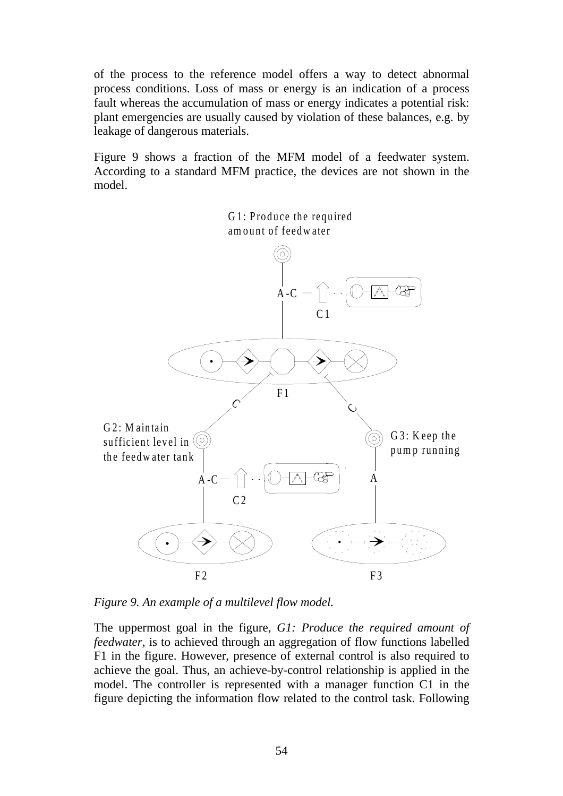of the process to the reference model offers a way to detect abnormal process conditions. Loss of mass or energy is an indication of a process fault whereas the accumulation of mass or energy indicates a potential risk: plant emergencies are usually caused by violation of these balances, e.g. by leakage of dangerous materials.

Figure 9 shows a fraction of the MFM model of a feedwater system. According to a standard MFM practice, the devices are not shown in the model.



*Figure 9. An example of a multilevel flow model.*

The uppermost goal in the figure, *G1: Produce the required amount of feedwater*, is to achieved through an aggregation of flow functions labelled F1 in the figure. However, presence of external control is also required to achieve the goal. Thus, an achieve-by-control relationship is applied in the model. The controller is represented with a manager function C1 in the figure depicting the information flow related to the control task. Following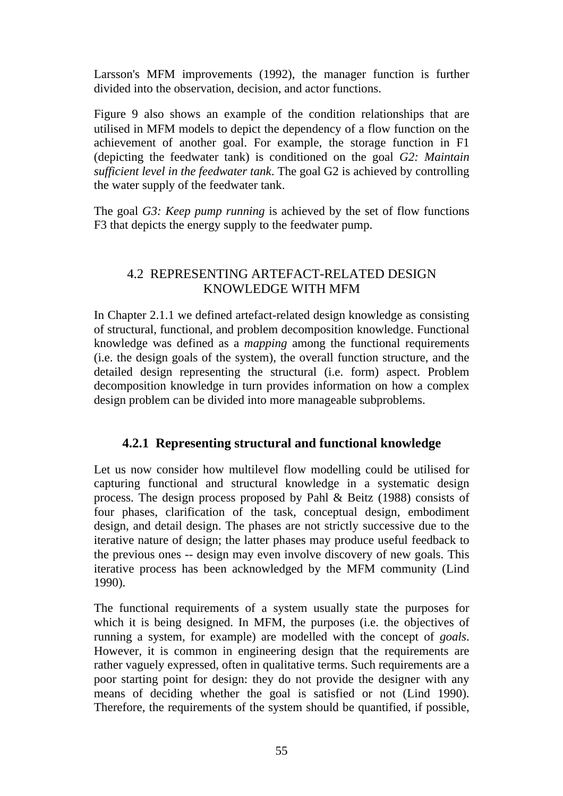Larsson's MFM improvements (1992), the manager function is further divided into the observation, decision, and actor functions.

Figure 9 also shows an example of the condition relationships that are utilised in MFM models to depict the dependency of a flow function on the achievement of another goal. For example, the storage function in F1 (depicting the feedwater tank) is conditioned on the goal *G2: Maintain sufficient level in the feedwater tank*. The goal G2 is achieved by controlling the water supply of the feedwater tank.

The goal *G3: Keep pump running* is achieved by the set of flow functions F3 that depicts the energy supply to the feedwater pump.

# 4.2 REPRESENTING ARTEFACT-RELATED DESIGN KNOWLEDGE WITH MFM

In Chapter 2.1.1 we defined artefact-related design knowledge as consisting of structural, functional, and problem decomposition knowledge. Functional knowledge was defined as a *mapping* among the functional requirements (i.e. the design goals of the system), the overall function structure, and the detailed design representing the structural (i.e. form) aspect. Problem decomposition knowledge in turn provides information on how a complex design problem can be divided into more manageable subproblems.

# **4.2.1 Representing structural and functional knowledge**

Let us now consider how multilevel flow modelling could be utilised for capturing functional and structural knowledge in a systematic design process. The design process proposed by Pahl & Beitz (1988) consists of four phases, clarification of the task, conceptual design, embodiment design, and detail design. The phases are not strictly successive due to the iterative nature of design; the latter phases may produce useful feedback to the previous ones -- design may even involve discovery of new goals. This iterative process has been acknowledged by the MFM community (Lind 1990).

The functional requirements of a system usually state the purposes for which it is being designed. In MFM, the purposes (i.e. the objectives of running a system, for example) are modelled with the concept of *goals*. However, it is common in engineering design that the requirements are rather vaguely expressed, often in qualitative terms. Such requirements are a poor starting point for design: they do not provide the designer with any means of deciding whether the goal is satisfied or not (Lind 1990). Therefore, the requirements of the system should be quantified, if possible,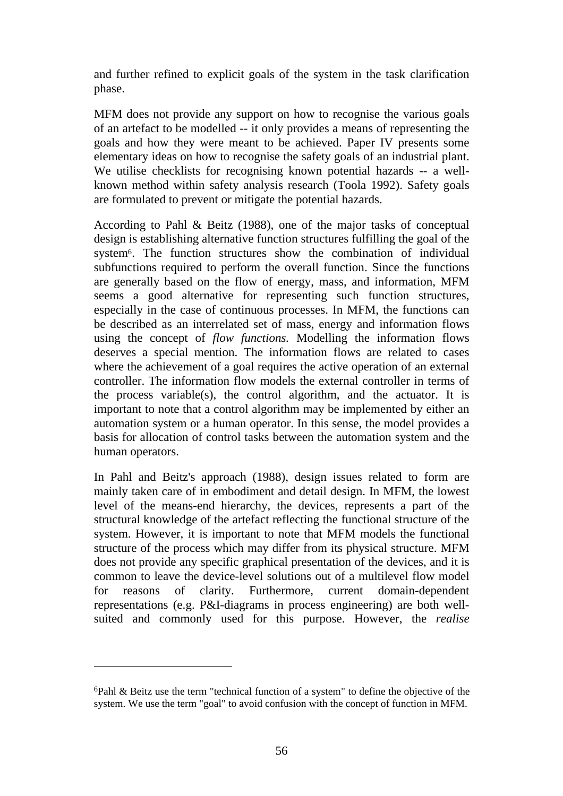and further refined to explicit goals of the system in the task clarification phase.

MFM does not provide any support on how to recognise the various goals of an artefact to be modelled -- it only provides a means of representing the goals and how they were meant to be achieved. Paper IV presents some elementary ideas on how to recognise the safety goals of an industrial plant. We utilise checklists for recognising known potential hazards -- a wellknown method within safety analysis research (Toola 1992). Safety goals are formulated to prevent or mitigate the potential hazards.

According to Pahl & Beitz (1988), one of the major tasks of conceptual design is establishing alternative function structures fulfilling the goal of the system6. The function structures show the combination of individual subfunctions required to perform the overall function. Since the functions are generally based on the flow of energy, mass, and information, MFM seems a good alternative for representing such function structures, especially in the case of continuous processes. In MFM, the functions can be described as an interrelated set of mass, energy and information flows using the concept of *flow functions.* Modelling the information flows deserves a special mention. The information flows are related to cases where the achievement of a goal requires the active operation of an external controller. The information flow models the external controller in terms of the process variable(s), the control algorithm, and the actuator. It is important to note that a control algorithm may be implemented by either an automation system or a human operator. In this sense, the model provides a basis for allocation of control tasks between the automation system and the human operators.

In Pahl and Beitz's approach (1988), design issues related to form are mainly taken care of in embodiment and detail design. In MFM, the lowest level of the means-end hierarchy, the devices, represents a part of the structural knowledge of the artefact reflecting the functional structure of the system. However, it is important to note that MFM models the functional structure of the process which may differ from its physical structure. MFM does not provide any specific graphical presentation of the devices, and it is common to leave the device-level solutions out of a multilevel flow model for reasons of clarity. Furthermore, current domain-dependent representations (e.g. P&I-diagrams in process engineering) are both wellsuited and commonly used for this purpose. However, the *realise*

 $\overline{a}$ 

<sup>6</sup>Pahl & Beitz use the term "technical function of a system" to define the objective of the system. We use the term "goal" to avoid confusion with the concept of function in MFM.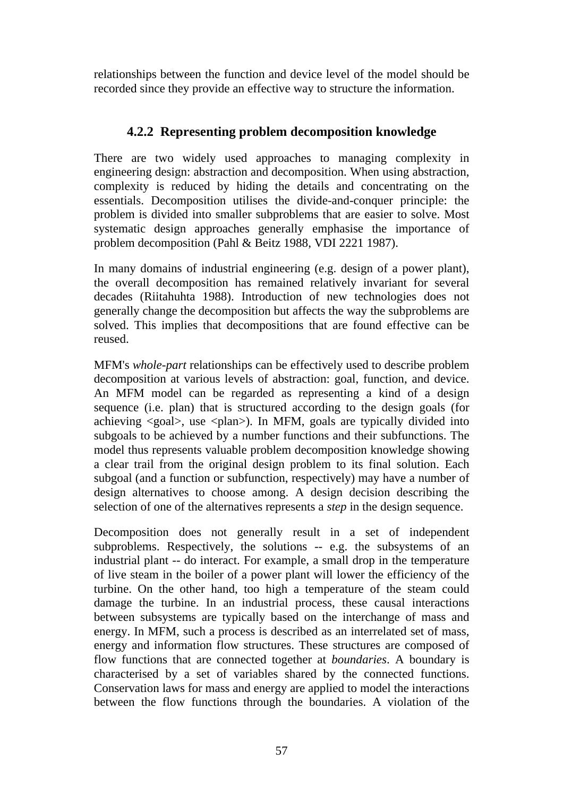relationships between the function and device level of the model should be recorded since they provide an effective way to structure the information.

# **4.2.2 Representing problem decomposition knowledge**

There are two widely used approaches to managing complexity in engineering design: abstraction and decomposition. When using abstraction, complexity is reduced by hiding the details and concentrating on the essentials. Decomposition utilises the divide-and-conquer principle: the problem is divided into smaller subproblems that are easier to solve. Most systematic design approaches generally emphasise the importance of problem decomposition (Pahl & Beitz 1988, VDI 2221 1987).

In many domains of industrial engineering (e.g. design of a power plant), the overall decomposition has remained relatively invariant for several decades (Riitahuhta 1988). Introduction of new technologies does not generally change the decomposition but affects the way the subproblems are solved. This implies that decompositions that are found effective can be reused.

MFM's *whole-part* relationships can be effectively used to describe problem decomposition at various levels of abstraction: goal, function, and device. An MFM model can be regarded as representing a kind of a design sequence (i.e. plan) that is structured according to the design goals (for achieving  $\langle goal \rangle$ , use  $\langle plan \rangle$ ). In MFM, goals are typically divided into subgoals to be achieved by a number functions and their subfunctions. The model thus represents valuable problem decomposition knowledge showing a clear trail from the original design problem to its final solution. Each subgoal (and a function or subfunction, respectively) may have a number of design alternatives to choose among. A design decision describing the selection of one of the alternatives represents a *step* in the design sequence.

Decomposition does not generally result in a set of independent subproblems. Respectively, the solutions -- e.g. the subsystems of an industrial plant -- do interact. For example, a small drop in the temperature of live steam in the boiler of a power plant will lower the efficiency of the turbine. On the other hand, too high a temperature of the steam could damage the turbine. In an industrial process, these causal interactions between subsystems are typically based on the interchange of mass and energy. In MFM, such a process is described as an interrelated set of mass, energy and information flow structures. These structures are composed of flow functions that are connected together at *boundaries*. A boundary is characterised by a set of variables shared by the connected functions. Conservation laws for mass and energy are applied to model the interactions between the flow functions through the boundaries. A violation of the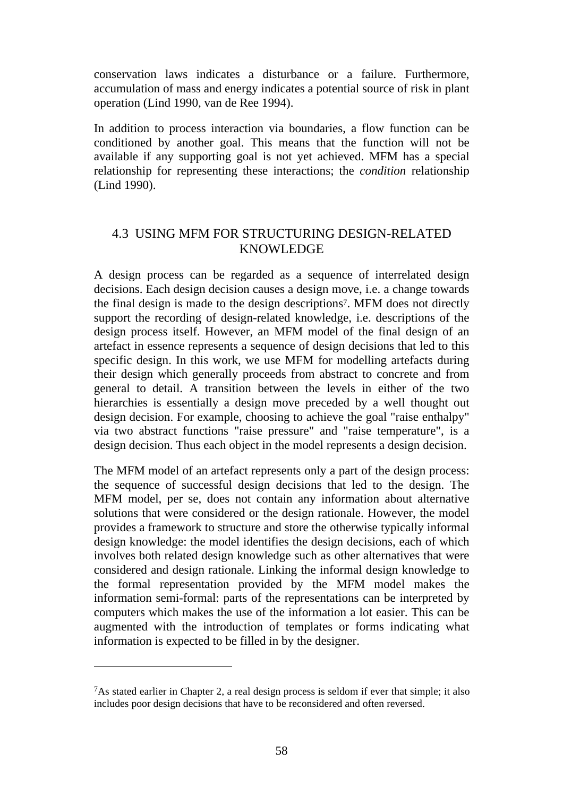conservation laws indicates a disturbance or a failure. Furthermore, accumulation of mass and energy indicates a potential source of risk in plant operation (Lind 1990, van de Ree 1994).

In addition to process interaction via boundaries, a flow function can be conditioned by another goal. This means that the function will not be available if any supporting goal is not yet achieved. MFM has a special relationship for representing these interactions; the *condition* relationship (Lind 1990).

# 4.3 USING MFM FOR STRUCTURING DESIGN-RELATED KNOWLEDGE

A design process can be regarded as a sequence of interrelated design decisions. Each design decision causes a design move, i.e. a change towards the final design is made to the design descriptions7. MFM does not directly support the recording of design-related knowledge, i.e. descriptions of the design process itself. However, an MFM model of the final design of an artefact in essence represents a sequence of design decisions that led to this specific design. In this work, we use MFM for modelling artefacts during their design which generally proceeds from abstract to concrete and from general to detail. A transition between the levels in either of the two hierarchies is essentially a design move preceded by a well thought out design decision. For example, choosing to achieve the goal "raise enthalpy" via two abstract functions "raise pressure" and "raise temperature", is a design decision. Thus each object in the model represents a design decision.

The MFM model of an artefact represents only a part of the design process: the sequence of successful design decisions that led to the design. The MFM model, per se, does not contain any information about alternative solutions that were considered or the design rationale. However, the model provides a framework to structure and store the otherwise typically informal design knowledge: the model identifies the design decisions, each of which involves both related design knowledge such as other alternatives that were considered and design rationale. Linking the informal design knowledge to the formal representation provided by the MFM model makes the information semi-formal: parts of the representations can be interpreted by computers which makes the use of the information a lot easier. This can be augmented with the introduction of templates or forms indicating what information is expected to be filled in by the designer.

 $\overline{a}$ 

<sup>7</sup>As stated earlier in Chapter 2, a real design process is seldom if ever that simple; it also includes poor design decisions that have to be reconsidered and often reversed.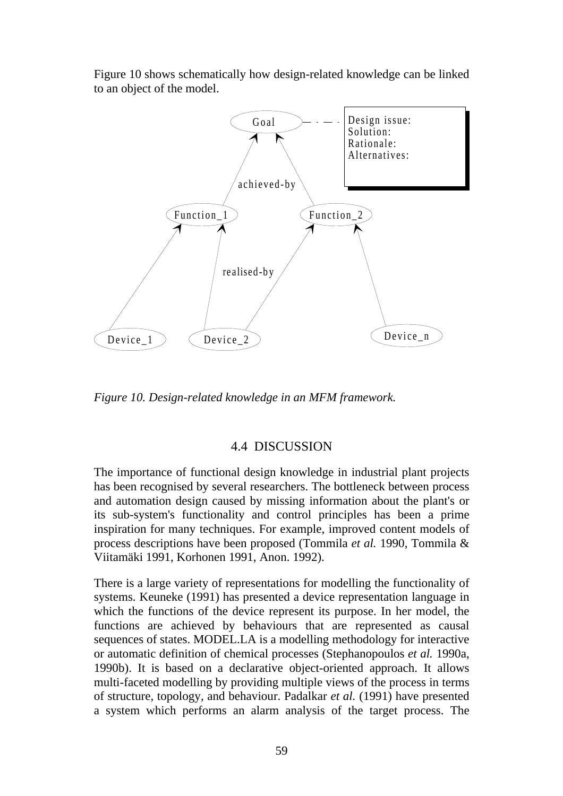Figure 10 shows schematically how design-related knowledge can be linked to an object of the model.



*Figure 10. Design-related knowledge in an MFM framework.*

### 4.4 DISCUSSION

The importance of functional design knowledge in industrial plant projects has been recognised by several researchers. The bottleneck between process and automation design caused by missing information about the plant's or its sub-system's functionality and control principles has been a prime inspiration for many techniques. For example, improved content models of process descriptions have been proposed (Tommila *et al.* 1990, Tommila & Viitamäki 1991, Korhonen 1991, Anon. 1992).

There is a large variety of representations for modelling the functionality of systems. Keuneke (1991) has presented a device representation language in which the functions of the device represent its purpose. In her model, the functions are achieved by behaviours that are represented as causal sequences of states. MODEL.LA is a modelling methodology for interactive or automatic definition of chemical processes (Stephanopoulos *et al.* 1990a, 1990b). It is based on a declarative object-oriented approach. It allows multi-faceted modelling by providing multiple views of the process in terms of structure, topology, and behaviour. Padalkar *et al.* (1991) have presented a system which performs an alarm analysis of the target process. The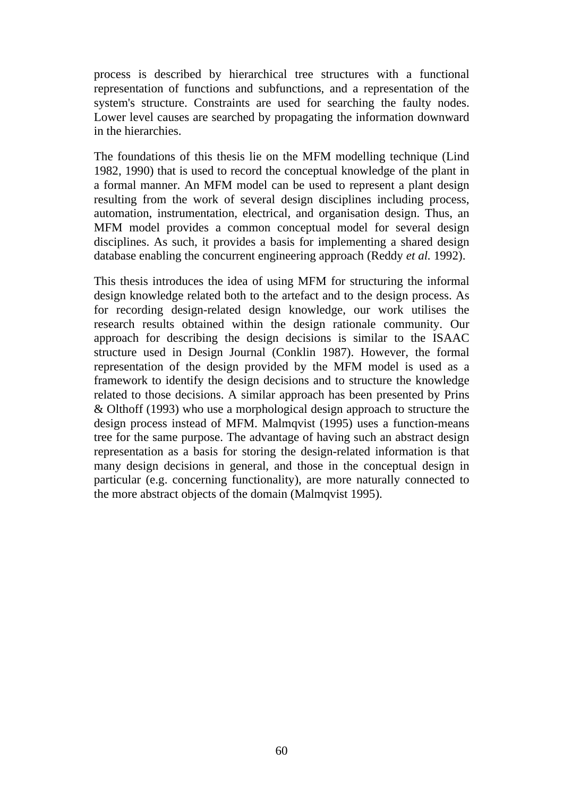process is described by hierarchical tree structures with a functional representation of functions and subfunctions, and a representation of the system's structure. Constraints are used for searching the faulty nodes. Lower level causes are searched by propagating the information downward in the hierarchies.

The foundations of this thesis lie on the MFM modelling technique (Lind 1982, 1990) that is used to record the conceptual knowledge of the plant in a formal manner. An MFM model can be used to represent a plant design resulting from the work of several design disciplines including process, automation, instrumentation, electrical, and organisation design. Thus, an MFM model provides a common conceptual model for several design disciplines. As such, it provides a basis for implementing a shared design database enabling the concurrent engineering approach (Reddy *et al.* 1992).

This thesis introduces the idea of using MFM for structuring the informal design knowledge related both to the artefact and to the design process. As for recording design-related design knowledge, our work utilises the research results obtained within the design rationale community. Our approach for describing the design decisions is similar to the ISAAC structure used in Design Journal (Conklin 1987). However, the formal representation of the design provided by the MFM model is used as a framework to identify the design decisions and to structure the knowledge related to those decisions. A similar approach has been presented by Prins & Olthoff (1993) who use a morphological design approach to structure the design process instead of MFM. Malmqvist (1995) uses a function-means tree for the same purpose. The advantage of having such an abstract design representation as a basis for storing the design-related information is that many design decisions in general, and those in the conceptual design in particular (e.g. concerning functionality), are more naturally connected to the more abstract objects of the domain (Malmqvist 1995).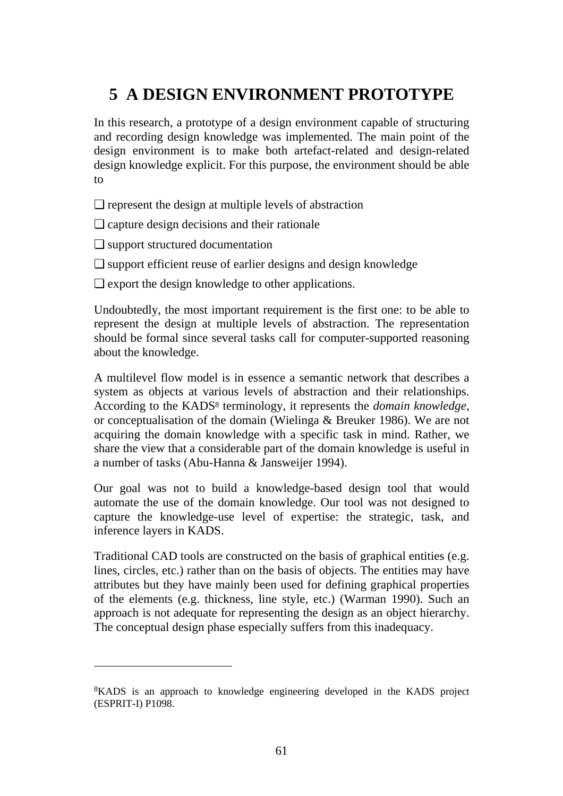# **5 A DESIGN ENVIRONMENT PROTOTYPE**

In this research, a prototype of a design environment capable of structuring and recording design knowledge was implemented. The main point of the design environment is to make both artefact-related and design-related design knowledge explicit. For this purpose, the environment should be able to

❏ represent the design at multiple levels of abstraction

❏ capture design decisions and their rationale

❏ support structured documentation

 $\overline{a}$ 

❏ support efficient reuse of earlier designs and design knowledge

❏ export the design knowledge to other applications.

Undoubtedly, the most important requirement is the first one: to be able to represent the design at multiple levels of abstraction. The representation should be formal since several tasks call for computer-supported reasoning about the knowledge.

A multilevel flow model is in essence a semantic network that describes a system as objects at various levels of abstraction and their relationships. According to the KADS8 terminology, it represents the *domain knowledge*, or conceptualisation of the domain (Wielinga & Breuker 1986). We are not acquiring the domain knowledge with a specific task in mind. Rather, we share the view that a considerable part of the domain knowledge is useful in a number of tasks (Abu-Hanna & Jansweijer 1994).

Our goal was not to build a knowledge-based design tool that would automate the use of the domain knowledge. Our tool was not designed to capture the knowledge-use level of expertise: the strategic, task, and inference layers in KADS.

Traditional CAD tools are constructed on the basis of graphical entities (e.g. lines, circles, etc.) rather than on the basis of objects. The entities may have attributes but they have mainly been used for defining graphical properties of the elements (e.g. thickness, line style, etc.) (Warman 1990). Such an approach is not adequate for representing the design as an object hierarchy. The conceptual design phase especially suffers from this inadequacy.

<sup>8</sup>KADS is an approach to knowledge engineering developed in the KADS project (ESPRIT-I) P1098.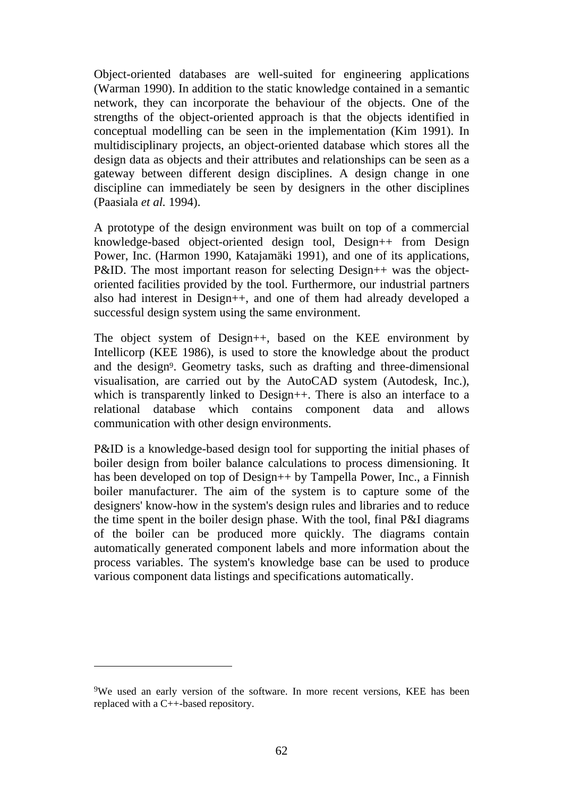Object-oriented databases are well-suited for engineering applications (Warman 1990). In addition to the static knowledge contained in a semantic network, they can incorporate the behaviour of the objects. One of the strengths of the object-oriented approach is that the objects identified in conceptual modelling can be seen in the implementation (Kim 1991). In multidisciplinary projects, an object-oriented database which stores all the design data as objects and their attributes and relationships can be seen as a gateway between different design disciplines. A design change in one discipline can immediately be seen by designers in the other disciplines (Paasiala *et al.* 1994).

A prototype of the design environment was built on top of a commercial knowledge-based object-oriented design tool, Design++ from Design Power, Inc. (Harmon 1990, Katajamäki 1991), and one of its applications, P&ID. The most important reason for selecting Design++ was the objectoriented facilities provided by the tool. Furthermore, our industrial partners also had interest in Design++, and one of them had already developed a successful design system using the same environment.

The object system of Design++, based on the KEE environment by Intellicorp (KEE 1986), is used to store the knowledge about the product and the design9. Geometry tasks, such as drafting and three-dimensional visualisation, are carried out by the AutoCAD system (Autodesk, Inc.), which is transparently linked to Design++. There is also an interface to a relational database which contains component data and allows communication with other design environments.

P&ID is a knowledge-based design tool for supporting the initial phases of boiler design from boiler balance calculations to process dimensioning. It has been developed on top of Design++ by Tampella Power, Inc., a Finnish boiler manufacturer. The aim of the system is to capture some of the designers' know-how in the system's design rules and libraries and to reduce the time spent in the boiler design phase. With the tool, final P&I diagrams of the boiler can be produced more quickly. The diagrams contain automatically generated component labels and more information about the process variables. The system's knowledge base can be used to produce various component data listings and specifications automatically.

 $\overline{a}$ 

<sup>9</sup>We used an early version of the software. In more recent versions, KEE has been replaced with a C++-based repository.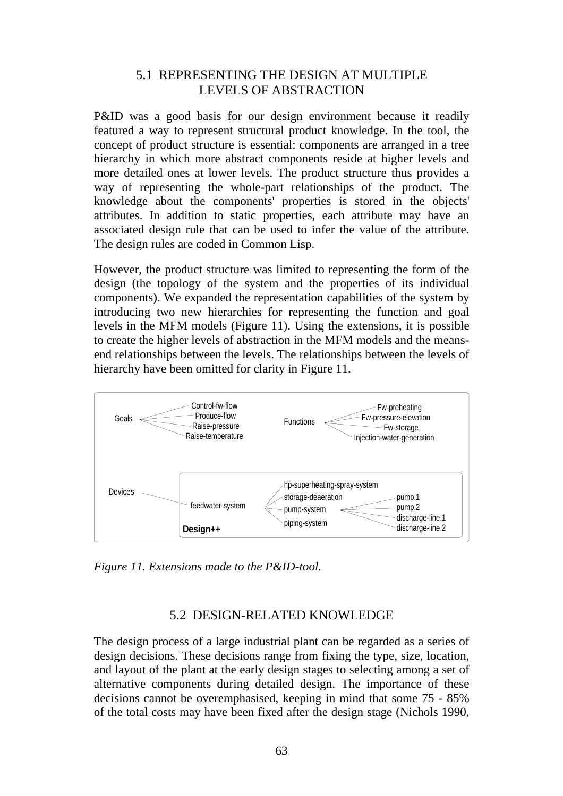# 5.1 REPRESENTING THE DESIGN AT MULTIPLE LEVELS OF ABSTRACTION

P&ID was a good basis for our design environment because it readily featured a way to represent structural product knowledge. In the tool, the concept of product structure is essential: components are arranged in a tree hierarchy in which more abstract components reside at higher levels and more detailed ones at lower levels. The product structure thus provides a way of representing the whole-part relationships of the product. The knowledge about the components' properties is stored in the objects' attributes. In addition to static properties, each attribute may have an associated design rule that can be used to infer the value of the attribute. The design rules are coded in Common Lisp.

However, the product structure was limited to representing the form of the design (the topology of the system and the properties of its individual components). We expanded the representation capabilities of the system by introducing two new hierarchies for representing the function and goal levels in the MFM models (Figure 11). Using the extensions, it is possible to create the higher levels of abstraction in the MFM models and the meansend relationships between the levels. The relationships between the levels of hierarchy have been omitted for clarity in Figure 11.



*Figure 11. Extensions made to the P&ID-tool.*

# 5.2 DESIGN-RELATED KNOWLEDGE

The design process of a large industrial plant can be regarded as a series of design decisions. These decisions range from fixing the type, size, location, and layout of the plant at the early design stages to selecting among a set of alternative components during detailed design. The importance of these decisions cannot be overemphasised, keeping in mind that some 75 - 85% of the total costs may have been fixed after the design stage (Nichols 1990,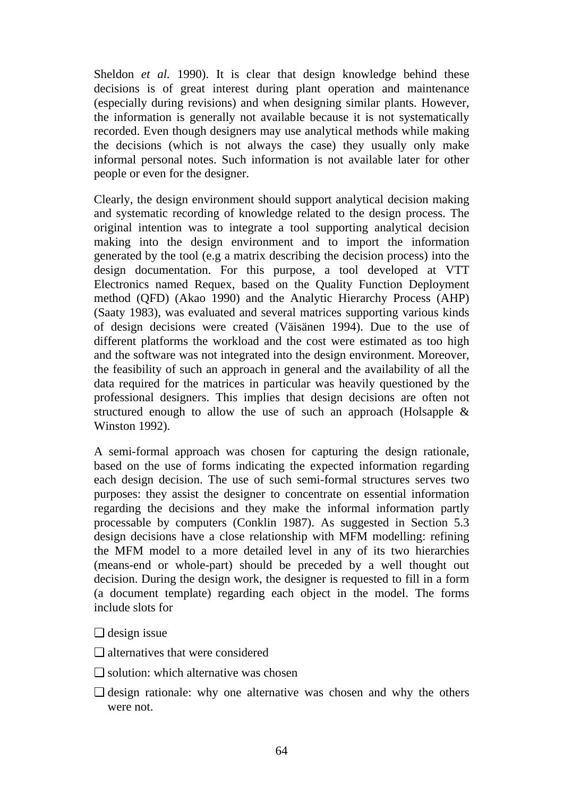Sheldon *et al.* 1990). It is clear that design knowledge behind these decisions is of great interest during plant operation and maintenance (especially during revisions) and when designing similar plants. However, the information is generally not available because it is not systematically recorded. Even though designers may use analytical methods while making the decisions (which is not always the case) they usually only make informal personal notes. Such information is not available later for other people or even for the designer.

Clearly, the design environment should support analytical decision making and systematic recording of knowledge related to the design process. The original intention was to integrate a tool supporting analytical decision making into the design environment and to import the information generated by the tool (e.g a matrix describing the decision process) into the design documentation. For this purpose, a tool developed at VTT Electronics named Requex, based on the Quality Function Deployment method (QFD) (Akao 1990) and the Analytic Hierarchy Process (AHP) (Saaty 1983), was evaluated and several matrices supporting various kinds of design decisions were created (Väisänen 1994). Due to the use of different platforms the workload and the cost were estimated as too high and the software was not integrated into the design environment. Moreover, the feasibility of such an approach in general and the availability of all the data required for the matrices in particular was heavily questioned by the professional designers. This implies that design decisions are often not structured enough to allow the use of such an approach (Holsapple & Winston 1992).

A semi-formal approach was chosen for capturing the design rationale, based on the use of forms indicating the expected information regarding each design decision. The use of such semi-formal structures serves two purposes: they assist the designer to concentrate on essential information regarding the decisions and they make the informal information partly processable by computers (Conklin 1987). As suggested in Section 5.3 design decisions have a close relationship with MFM modelling: refining the MFM model to a more detailed level in any of its two hierarchies (means-end or whole-part) should be preceded by a well thought out decision. During the design work, the designer is requested to fill in a form (a document template) regarding each object in the model. The forms include slots for

- ❏ design issue
- ❏ alternatives that were considered
- ❏ solution: which alternative was chosen
- ❏ design rationale: why one alternative was chosen and why the others were not.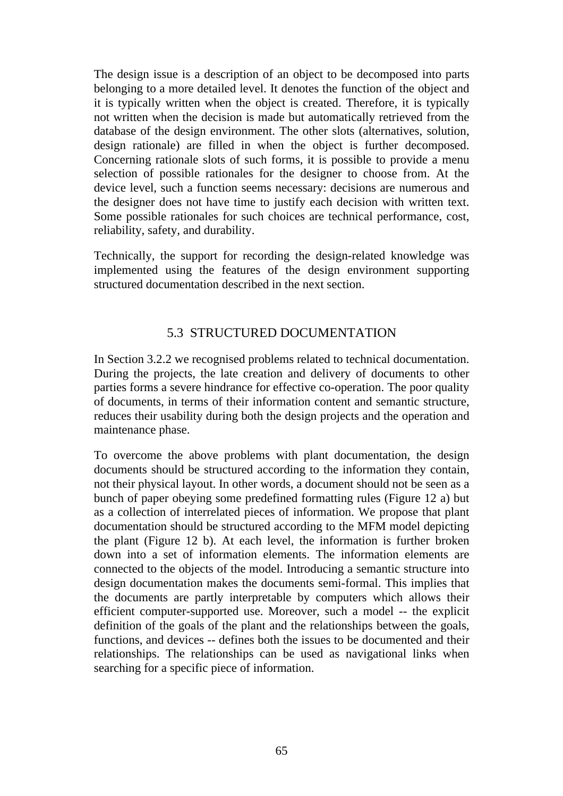The design issue is a description of an object to be decomposed into parts belonging to a more detailed level. It denotes the function of the object and it is typically written when the object is created. Therefore, it is typically not written when the decision is made but automatically retrieved from the database of the design environment. The other slots (alternatives, solution, design rationale) are filled in when the object is further decomposed. Concerning rationale slots of such forms, it is possible to provide a menu selection of possible rationales for the designer to choose from. At the device level, such a function seems necessary: decisions are numerous and the designer does not have time to justify each decision with written text. Some possible rationales for such choices are technical performance, cost, reliability, safety, and durability.

Technically, the support for recording the design-related knowledge was implemented using the features of the design environment supporting structured documentation described in the next section.

# 5.3 STRUCTURED DOCUMENTATION

In Section 3.2.2 we recognised problems related to technical documentation. During the projects, the late creation and delivery of documents to other parties forms a severe hindrance for effective co-operation. The poor quality of documents, in terms of their information content and semantic structure, reduces their usability during both the design projects and the operation and maintenance phase.

To overcome the above problems with plant documentation, the design documents should be structured according to the information they contain, not their physical layout. In other words, a document should not be seen as a bunch of paper obeying some predefined formatting rules (Figure 12 a) but as a collection of interrelated pieces of information. We propose that plant documentation should be structured according to the MFM model depicting the plant (Figure 12 b). At each level, the information is further broken down into a set of information elements. The information elements are connected to the objects of the model. Introducing a semantic structure into design documentation makes the documents semi-formal. This implies that the documents are partly interpretable by computers which allows their efficient computer-supported use. Moreover, such a model -- the explicit definition of the goals of the plant and the relationships between the goals. functions, and devices -- defines both the issues to be documented and their relationships. The relationships can be used as navigational links when searching for a specific piece of information.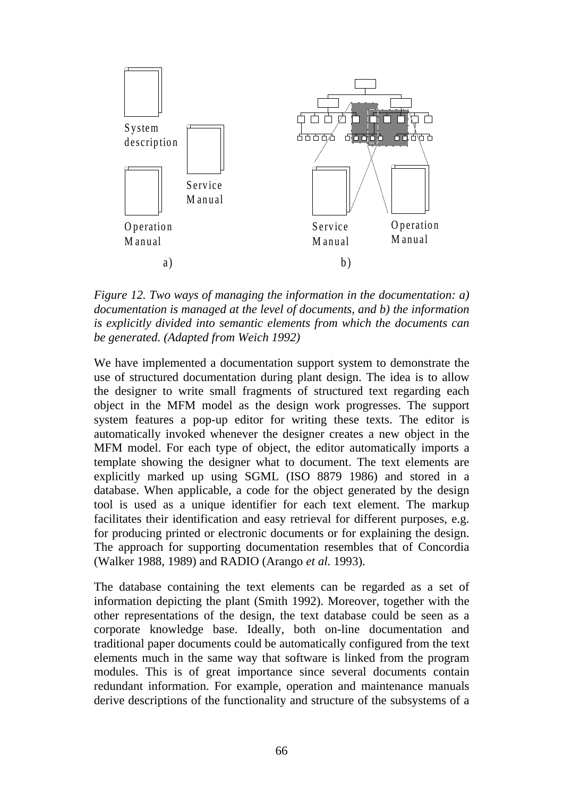

*Figure 12. Two ways of managing the information in the documentation: a) documentation is managed at the level of documents, and b) the information is explicitly divided into semantic elements from which the documents can be generated. (Adapted from Weich 1992)*

We have implemented a documentation support system to demonstrate the use of structured documentation during plant design. The idea is to allow the designer to write small fragments of structured text regarding each object in the MFM model as the design work progresses. The support system features a pop-up editor for writing these texts. The editor is automatically invoked whenever the designer creates a new object in the MFM model. For each type of object, the editor automatically imports a template showing the designer what to document. The text elements are explicitly marked up using SGML (ISO 8879 1986) and stored in a database. When applicable, a code for the object generated by the design tool is used as a unique identifier for each text element. The markup facilitates their identification and easy retrieval for different purposes, e.g. for producing printed or electronic documents or for explaining the design. The approach for supporting documentation resembles that of Concordia (Walker 1988, 1989) and RADIO (Arango *et al.* 1993).

The database containing the text elements can be regarded as a set of information depicting the plant (Smith 1992). Moreover, together with the other representations of the design, the text database could be seen as a corporate knowledge base. Ideally, both on-line documentation and traditional paper documents could be automatically configured from the text elements much in the same way that software is linked from the program modules. This is of great importance since several documents contain redundant information. For example, operation and maintenance manuals derive descriptions of the functionality and structure of the subsystems of a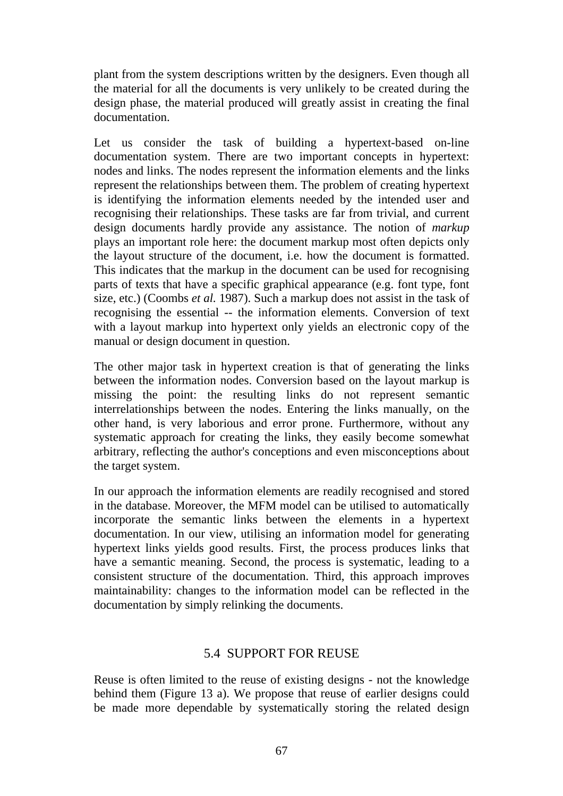plant from the system descriptions written by the designers. Even though all the material for all the documents is very unlikely to be created during the design phase, the material produced will greatly assist in creating the final documentation.

Let us consider the task of building a hypertext-based on-line documentation system. There are two important concepts in hypertext: nodes and links. The nodes represent the information elements and the links represent the relationships between them. The problem of creating hypertext is identifying the information elements needed by the intended user and recognising their relationships. These tasks are far from trivial, and current design documents hardly provide any assistance. The notion of *markup* plays an important role here: the document markup most often depicts only the layout structure of the document, i.e. how the document is formatted. This indicates that the markup in the document can be used for recognising parts of texts that have a specific graphical appearance (e.g. font type, font size, etc.) (Coombs *et al.* 1987). Such a markup does not assist in the task of recognising the essential -- the information elements. Conversion of text with a layout markup into hypertext only yields an electronic copy of the manual or design document in question.

The other major task in hypertext creation is that of generating the links between the information nodes. Conversion based on the layout markup is missing the point: the resulting links do not represent semantic interrelationships between the nodes. Entering the links manually, on the other hand, is very laborious and error prone. Furthermore, without any systematic approach for creating the links, they easily become somewhat arbitrary, reflecting the author's conceptions and even misconceptions about the target system.

In our approach the information elements are readily recognised and stored in the database. Moreover, the MFM model can be utilised to automatically incorporate the semantic links between the elements in a hypertext documentation. In our view, utilising an information model for generating hypertext links yields good results. First, the process produces links that have a semantic meaning. Second, the process is systematic, leading to a consistent structure of the documentation. Third, this approach improves maintainability: changes to the information model can be reflected in the documentation by simply relinking the documents.

### 5.4 SUPPORT FOR REUSE

Reuse is often limited to the reuse of existing designs - not the knowledge behind them (Figure 13 a). We propose that reuse of earlier designs could be made more dependable by systematically storing the related design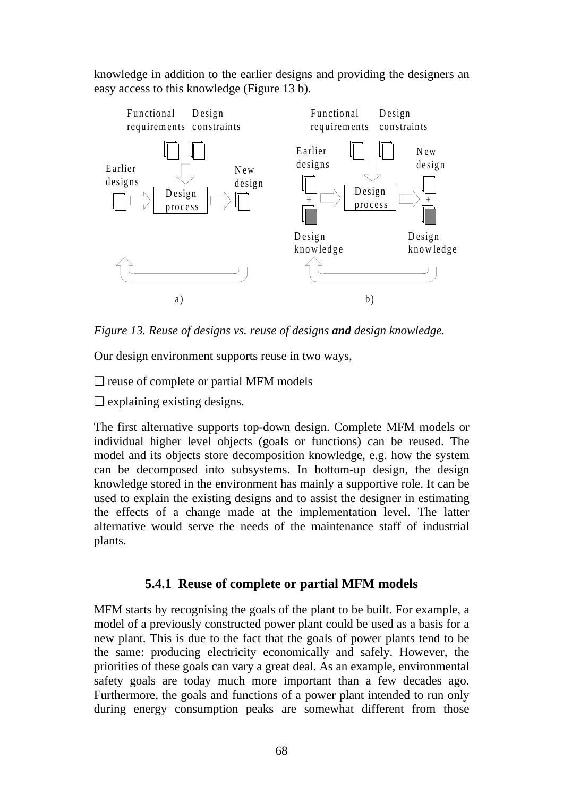knowledge in addition to the earlier designs and providing the designers an easy access to this knowledge (Figure 13 b).



*Figure 13. Reuse of designs vs. reuse of designs and design knowledge.*

Our design environment supports reuse in two ways,

❏ reuse of complete or partial MFM models

❏ explaining existing designs.

The first alternative supports top-down design. Complete MFM models or individual higher level objects (goals or functions) can be reused. The model and its objects store decomposition knowledge, e.g. how the system can be decomposed into subsystems. In bottom-up design, the design knowledge stored in the environment has mainly a supportive role. It can be used to explain the existing designs and to assist the designer in estimating the effects of a change made at the implementation level. The latter alternative would serve the needs of the maintenance staff of industrial plants.

# **5.4.1 Reuse of complete or partial MFM models**

MFM starts by recognising the goals of the plant to be built. For example, a model of a previously constructed power plant could be used as a basis for a new plant. This is due to the fact that the goals of power plants tend to be the same: producing electricity economically and safely. However, the priorities of these goals can vary a great deal. As an example, environmental safety goals are today much more important than a few decades ago. Furthermore, the goals and functions of a power plant intended to run only during energy consumption peaks are somewhat different from those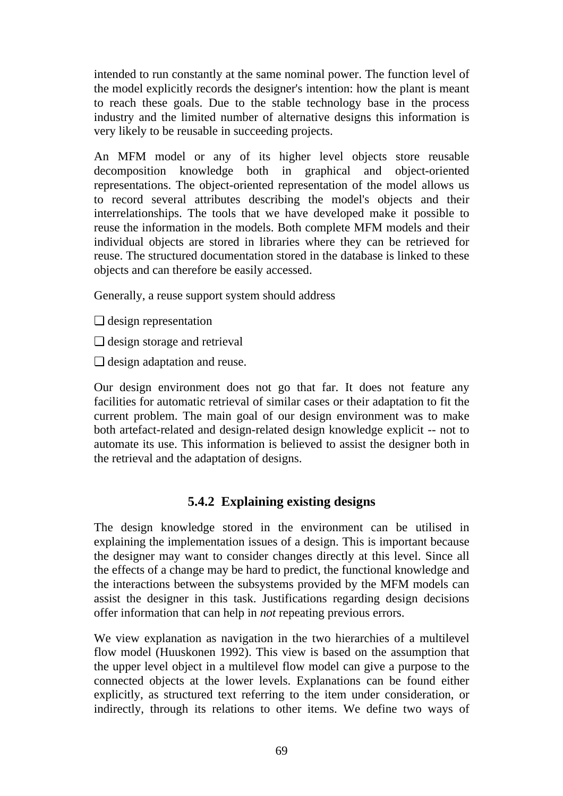intended to run constantly at the same nominal power. The function level of the model explicitly records the designer's intention: how the plant is meant to reach these goals. Due to the stable technology base in the process industry and the limited number of alternative designs this information is very likely to be reusable in succeeding projects.

An MFM model or any of its higher level objects store reusable decomposition knowledge both in graphical and object-oriented representations. The object-oriented representation of the model allows us to record several attributes describing the model's objects and their interrelationships. The tools that we have developed make it possible to reuse the information in the models. Both complete MFM models and their individual objects are stored in libraries where they can be retrieved for reuse. The structured documentation stored in the database is linked to these objects and can therefore be easily accessed.

Generally, a reuse support system should address

- ❏ design representation
- ❏ design storage and retrieval
- ❏ design adaptation and reuse.

Our design environment does not go that far. It does not feature any facilities for automatic retrieval of similar cases or their adaptation to fit the current problem. The main goal of our design environment was to make both artefact-related and design-related design knowledge explicit -- not to automate its use. This information is believed to assist the designer both in the retrieval and the adaptation of designs.

# **5.4.2 Explaining existing designs**

The design knowledge stored in the environment can be utilised in explaining the implementation issues of a design. This is important because the designer may want to consider changes directly at this level. Since all the effects of a change may be hard to predict, the functional knowledge and the interactions between the subsystems provided by the MFM models can assist the designer in this task. Justifications regarding design decisions offer information that can help in *not* repeating previous errors.

We view explanation as navigation in the two hierarchies of a multilevel flow model (Huuskonen 1992). This view is based on the assumption that the upper level object in a multilevel flow model can give a purpose to the connected objects at the lower levels. Explanations can be found either explicitly, as structured text referring to the item under consideration, or indirectly, through its relations to other items. We define two ways of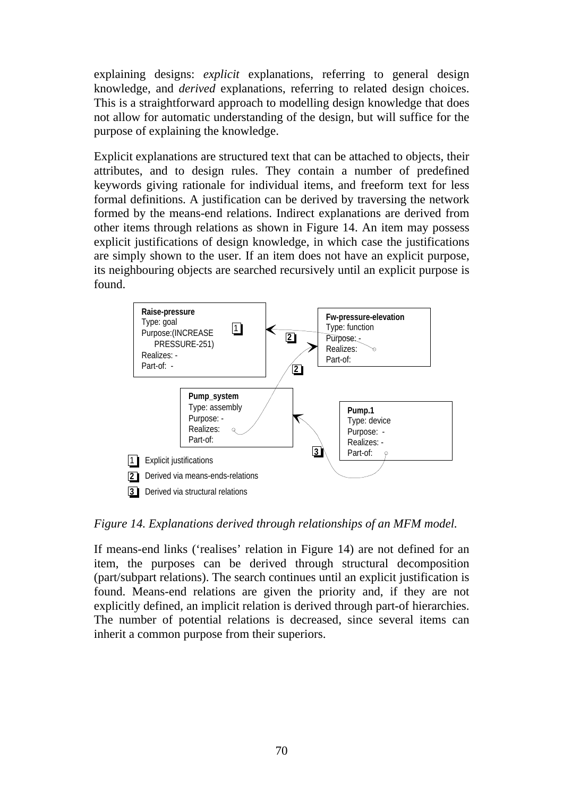explaining designs: *explicit* explanations, referring to general design knowledge, and *derived* explanations, referring to related design choices. This is a straightforward approach to modelling design knowledge that does not allow for automatic understanding of the design, but will suffice for the purpose of explaining the knowledge.

Explicit explanations are structured text that can be attached to objects, their attributes, and to design rules. They contain a number of predefined keywords giving rationale for individual items, and freeform text for less formal definitions. A justification can be derived by traversing the network formed by the means-end relations. Indirect explanations are derived from other items through relations as shown in Figure 14. An item may possess explicit justifications of design knowledge, in which case the justifications are simply shown to the user. If an item does not have an explicit purpose, its neighbouring objects are searched recursively until an explicit purpose is found.



*Figure 14. Explanations derived through relationships of an MFM model.*

If means-end links ('realises' relation in Figure 14) are not defined for an item, the purposes can be derived through structural decomposition (part/subpart relations). The search continues until an explicit justification is found. Means-end relations are given the priority and, if they are not explicitly defined, an implicit relation is derived through part-of hierarchies. The number of potential relations is decreased, since several items can inherit a common purpose from their superiors.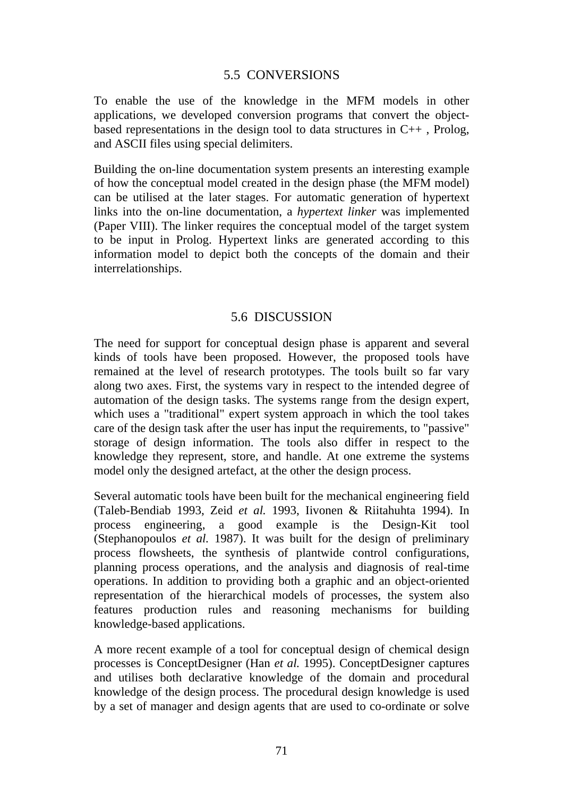### 5.5 CONVERSIONS

To enable the use of the knowledge in the MFM models in other applications, we developed conversion programs that convert the objectbased representations in the design tool to data structures in  $C_{++}$ , Prolog, and ASCII files using special delimiters.

Building the on-line documentation system presents an interesting example of how the conceptual model created in the design phase (the MFM model) can be utilised at the later stages. For automatic generation of hypertext links into the on-line documentation, a *hypertext linker* was implemented (Paper VIII). The linker requires the conceptual model of the target system to be input in Prolog. Hypertext links are generated according to this information model to depict both the concepts of the domain and their interrelationships.

### 5.6 DISCUSSION

The need for support for conceptual design phase is apparent and several kinds of tools have been proposed. However, the proposed tools have remained at the level of research prototypes. The tools built so far vary along two axes. First, the systems vary in respect to the intended degree of automation of the design tasks. The systems range from the design expert, which uses a "traditional" expert system approach in which the tool takes care of the design task after the user has input the requirements, to "passive" storage of design information. The tools also differ in respect to the knowledge they represent, store, and handle. At one extreme the systems model only the designed artefact, at the other the design process.

Several automatic tools have been built for the mechanical engineering field (Taleb-Bendiab 1993, Zeid *et al.* 1993, Iivonen & Riitahuhta 1994). In process engineering, a good example is the Design-Kit tool (Stephanopoulos *et al.* 1987). It was built for the design of preliminary process flowsheets, the synthesis of plantwide control configurations, planning process operations, and the analysis and diagnosis of real-time operations. In addition to providing both a graphic and an object-oriented representation of the hierarchical models of processes, the system also features production rules and reasoning mechanisms for building knowledge-based applications.

A more recent example of a tool for conceptual design of chemical design processes is ConceptDesigner (Han *et al.* 1995). ConceptDesigner captures and utilises both declarative knowledge of the domain and procedural knowledge of the design process. The procedural design knowledge is used by a set of manager and design agents that are used to co-ordinate or solve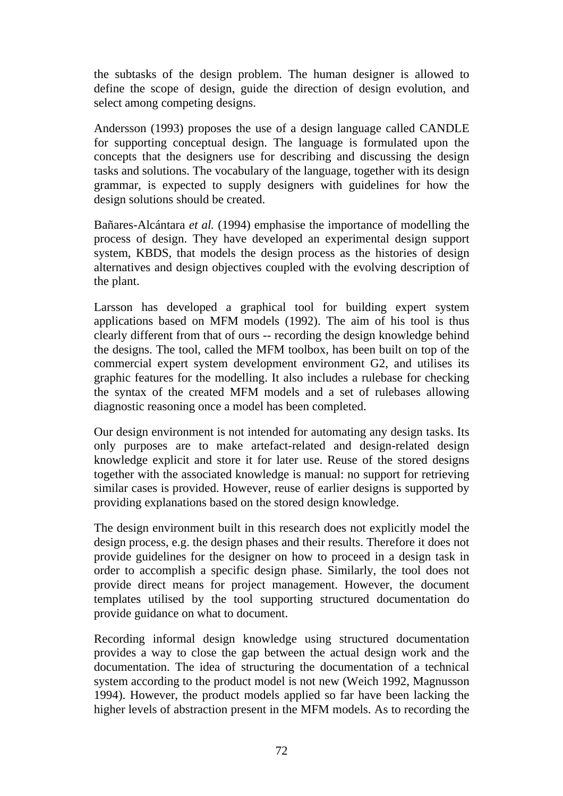the subtasks of the design problem. The human designer is allowed to define the scope of design, guide the direction of design evolution, and select among competing designs.

Andersson (1993) proposes the use of a design language called CANDLE for supporting conceptual design. The language is formulated upon the concepts that the designers use for describing and discussing the design tasks and solutions. The vocabulary of the language, together with its design grammar, is expected to supply designers with guidelines for how the design solutions should be created.

Bañares-Alcántara *et al.* (1994) emphasise the importance of modelling the process of design. They have developed an experimental design support system, KBDS, that models the design process as the histories of design alternatives and design objectives coupled with the evolving description of the plant.

Larsson has developed a graphical tool for building expert system applications based on MFM models (1992). The aim of his tool is thus clearly different from that of ours -- recording the design knowledge behind the designs. The tool, called the MFM toolbox, has been built on top of the commercial expert system development environment G2, and utilises its graphic features for the modelling. It also includes a rulebase for checking the syntax of the created MFM models and a set of rulebases allowing diagnostic reasoning once a model has been completed.

Our design environment is not intended for automating any design tasks. Its only purposes are to make artefact-related and design-related design knowledge explicit and store it for later use. Reuse of the stored designs together with the associated knowledge is manual: no support for retrieving similar cases is provided. However, reuse of earlier designs is supported by providing explanations based on the stored design knowledge.

The design environment built in this research does not explicitly model the design process, e.g. the design phases and their results. Therefore it does not provide guidelines for the designer on how to proceed in a design task in order to accomplish a specific design phase. Similarly, the tool does not provide direct means for project management. However, the document templates utilised by the tool supporting structured documentation do provide guidance on what to document.

Recording informal design knowledge using structured documentation provides a way to close the gap between the actual design work and the documentation. The idea of structuring the documentation of a technical system according to the product model is not new (Weich 1992, Magnusson 1994). However, the product models applied so far have been lacking the higher levels of abstraction present in the MFM models. As to recording the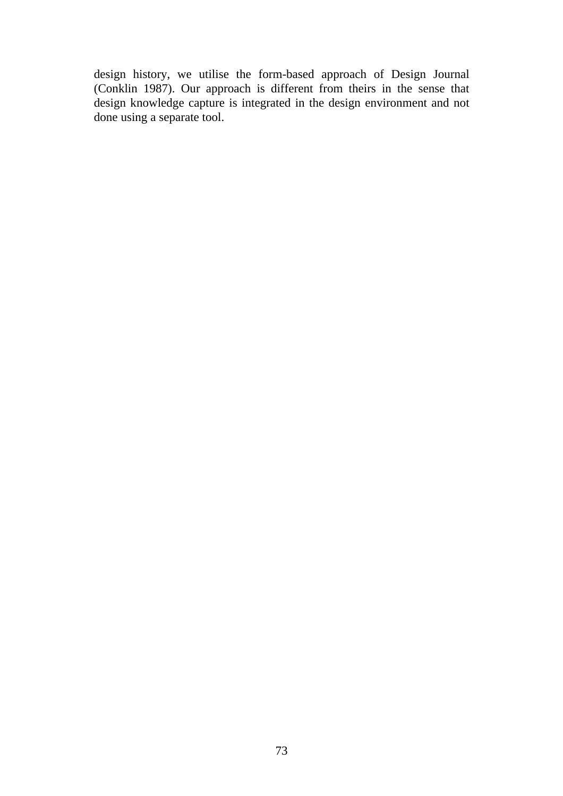design history, we utilise the form-based approach of Design Journal (Conklin 1987). Our approach is different from theirs in the sense that design knowledge capture is integrated in the design environment and not done using a separate tool.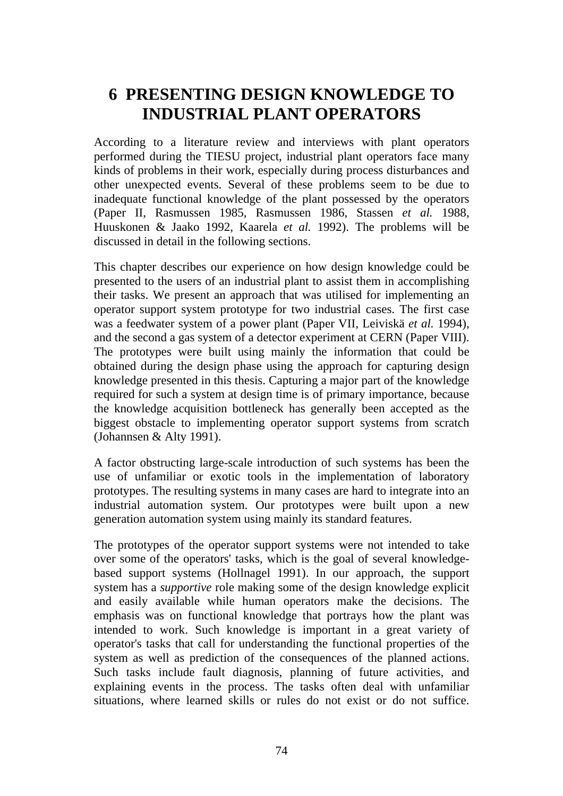# **6 PRESENTING DESIGN KNOWLEDGE TO INDUSTRIAL PLANT OPERATORS**

According to a literature review and interviews with plant operators performed during the TIESU project, industrial plant operators face many kinds of problems in their work, especially during process disturbances and other unexpected events. Several of these problems seem to be due to inadequate functional knowledge of the plant possessed by the operators (Paper II, Rasmussen 1985, Rasmussen 1986, Stassen *et al.* 1988, Huuskonen & Jaako 1992, Kaarela *et al.* 1992). The problems will be discussed in detail in the following sections.

This chapter describes our experience on how design knowledge could be presented to the users of an industrial plant to assist them in accomplishing their tasks. We present an approach that was utilised for implementing an operator support system prototype for two industrial cases. The first case was a feedwater system of a power plant (Paper VII, Leiviskä *et al.* 1994), and the second a gas system of a detector experiment at CERN (Paper VIII). The prototypes were built using mainly the information that could be obtained during the design phase using the approach for capturing design knowledge presented in this thesis. Capturing a major part of the knowledge required for such a system at design time is of primary importance, because the knowledge acquisition bottleneck has generally been accepted as the biggest obstacle to implementing operator support systems from scratch (Johannsen & Alty 1991).

A factor obstructing large-scale introduction of such systems has been the use of unfamiliar or exotic tools in the implementation of laboratory prototypes. The resulting systems in many cases are hard to integrate into an industrial automation system. Our prototypes were built upon a new generation automation system using mainly its standard features.

The prototypes of the operator support systems were not intended to take over some of the operators' tasks, which is the goal of several knowledgebased support systems (Hollnagel 1991). In our approach, the support system has a *supportive* role making some of the design knowledge explicit and easily available while human operators make the decisions. The emphasis was on functional knowledge that portrays how the plant was intended to work. Such knowledge is important in a great variety of operator's tasks that call for understanding the functional properties of the system as well as prediction of the consequences of the planned actions. Such tasks include fault diagnosis, planning of future activities, and explaining events in the process. The tasks often deal with unfamiliar situations, where learned skills or rules do not exist or do not suffice.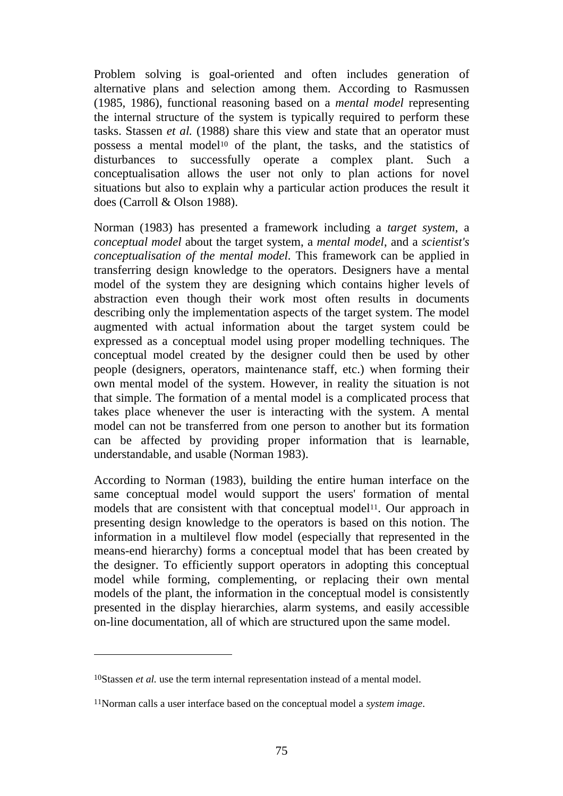Problem solving is goal-oriented and often includes generation of alternative plans and selection among them. According to Rasmussen (1985, 1986), functional reasoning based on a *mental model* representing the internal structure of the system is typically required to perform these tasks. Stassen *et al.* (1988) share this view and state that an operator must possess a mental model<sup>10</sup> of the plant, the tasks, and the statistics of disturbances to successfully operate a complex plant. Such a conceptualisation allows the user not only to plan actions for novel situations but also to explain why a particular action produces the result it does (Carroll & Olson 1988).

Norman (1983) has presented a framework including a *target system*, a *conceptual model* about the target system, a *mental model*, and a *scientist's conceptualisation of the mental model*. This framework can be applied in transferring design knowledge to the operators. Designers have a mental model of the system they are designing which contains higher levels of abstraction even though their work most often results in documents describing only the implementation aspects of the target system. The model augmented with actual information about the target system could be expressed as a conceptual model using proper modelling techniques. The conceptual model created by the designer could then be used by other people (designers, operators, maintenance staff, etc.) when forming their own mental model of the system. However, in reality the situation is not that simple. The formation of a mental model is a complicated process that takes place whenever the user is interacting with the system. A mental model can not be transferred from one person to another but its formation can be affected by providing proper information that is learnable, understandable, and usable (Norman 1983).

According to Norman (1983), building the entire human interface on the same conceptual model would support the users' formation of mental models that are consistent with that conceptual model<sup>11</sup>. Our approach in presenting design knowledge to the operators is based on this notion. The information in a multilevel flow model (especially that represented in the means-end hierarchy) forms a conceptual model that has been created by the designer. To efficiently support operators in adopting this conceptual model while forming, complementing, or replacing their own mental models of the plant, the information in the conceptual model is consistently presented in the display hierarchies, alarm systems, and easily accessible on-line documentation, all of which are structured upon the same model.

 $\overline{a}$ 

<sup>10</sup>Stassen *et al.* use the term internal representation instead of a mental model.

<sup>11</sup>Norman calls a user interface based on the conceptual model a *system image*.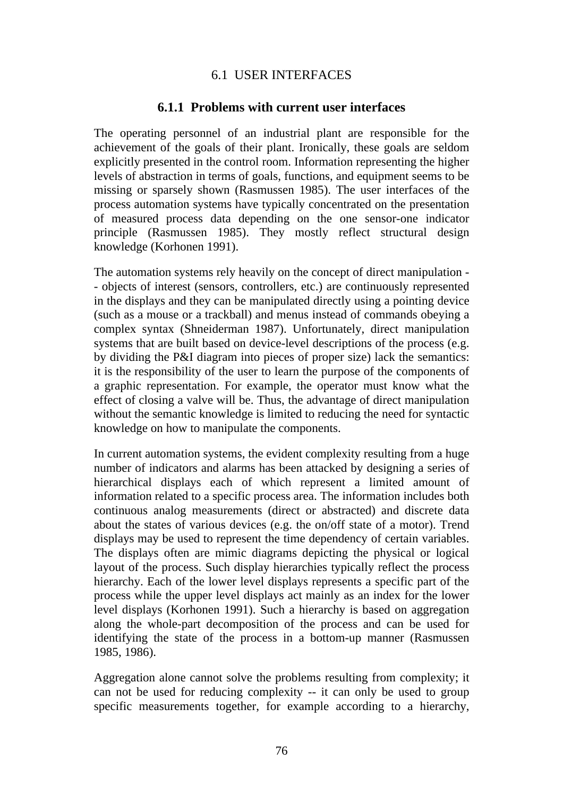### 6.1 USER INTERFACES

### **6.1.1 Problems with current user interfaces**

The operating personnel of an industrial plant are responsible for the achievement of the goals of their plant. Ironically, these goals are seldom explicitly presented in the control room. Information representing the higher levels of abstraction in terms of goals, functions, and equipment seems to be missing or sparsely shown (Rasmussen 1985). The user interfaces of the process automation systems have typically concentrated on the presentation of measured process data depending on the one sensor-one indicator principle (Rasmussen 1985). They mostly reflect structural design knowledge (Korhonen 1991).

The automation systems rely heavily on the concept of direct manipulation - - objects of interest (sensors, controllers, etc.) are continuously represented in the displays and they can be manipulated directly using a pointing device (such as a mouse or a trackball) and menus instead of commands obeying a complex syntax (Shneiderman 1987). Unfortunately, direct manipulation systems that are built based on device-level descriptions of the process (e.g. by dividing the P&I diagram into pieces of proper size) lack the semantics: it is the responsibility of the user to learn the purpose of the components of a graphic representation. For example, the operator must know what the effect of closing a valve will be. Thus, the advantage of direct manipulation without the semantic knowledge is limited to reducing the need for syntactic knowledge on how to manipulate the components.

In current automation systems, the evident complexity resulting from a huge number of indicators and alarms has been attacked by designing a series of hierarchical displays each of which represent a limited amount of information related to a specific process area. The information includes both continuous analog measurements (direct or abstracted) and discrete data about the states of various devices (e.g. the on/off state of a motor). Trend displays may be used to represent the time dependency of certain variables. The displays often are mimic diagrams depicting the physical or logical layout of the process. Such display hierarchies typically reflect the process hierarchy. Each of the lower level displays represents a specific part of the process while the upper level displays act mainly as an index for the lower level displays (Korhonen 1991). Such a hierarchy is based on aggregation along the whole-part decomposition of the process and can be used for identifying the state of the process in a bottom-up manner (Rasmussen 1985, 1986).

Aggregation alone cannot solve the problems resulting from complexity; it can not be used for reducing complexity -- it can only be used to group specific measurements together, for example according to a hierarchy,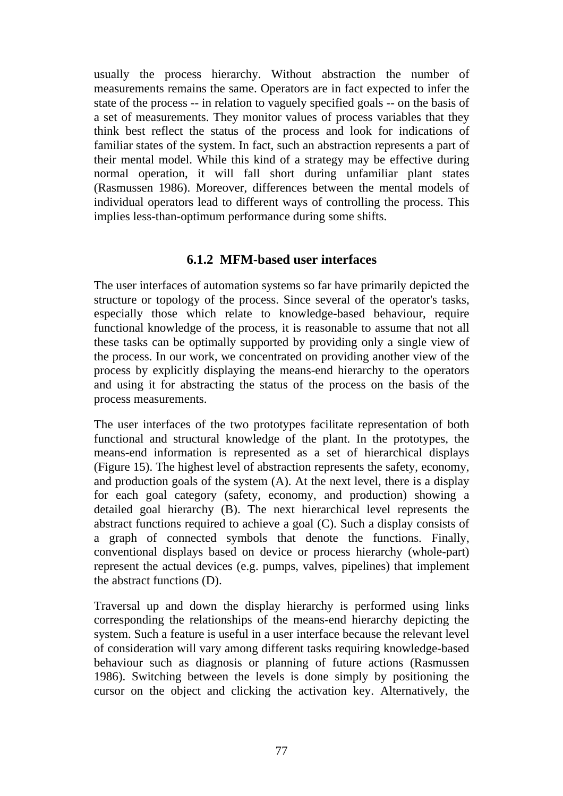usually the process hierarchy. Without abstraction the number of measurements remains the same. Operators are in fact expected to infer the state of the process -- in relation to vaguely specified goals -- on the basis of a set of measurements. They monitor values of process variables that they think best reflect the status of the process and look for indications of familiar states of the system. In fact, such an abstraction represents a part of their mental model. While this kind of a strategy may be effective during normal operation, it will fall short during unfamiliar plant states (Rasmussen 1986). Moreover, differences between the mental models of individual operators lead to different ways of controlling the process. This implies less-than-optimum performance during some shifts.

### **6.1.2 MFM-based user interfaces**

The user interfaces of automation systems so far have primarily depicted the structure or topology of the process. Since several of the operator's tasks, especially those which relate to knowledge-based behaviour, require functional knowledge of the process, it is reasonable to assume that not all these tasks can be optimally supported by providing only a single view of the process. In our work, we concentrated on providing another view of the process by explicitly displaying the means-end hierarchy to the operators and using it for abstracting the status of the process on the basis of the process measurements.

The user interfaces of the two prototypes facilitate representation of both functional and structural knowledge of the plant. In the prototypes, the means-end information is represented as a set of hierarchical displays (Figure 15). The highest level of abstraction represents the safety, economy, and production goals of the system (A). At the next level, there is a display for each goal category (safety, economy, and production) showing a detailed goal hierarchy (B). The next hierarchical level represents the abstract functions required to achieve a goal (C). Such a display consists of a graph of connected symbols that denote the functions. Finally, conventional displays based on device or process hierarchy (whole-part) represent the actual devices (e.g. pumps, valves, pipelines) that implement the abstract functions (D).

Traversal up and down the display hierarchy is performed using links corresponding the relationships of the means-end hierarchy depicting the system. Such a feature is useful in a user interface because the relevant level of consideration will vary among different tasks requiring knowledge-based behaviour such as diagnosis or planning of future actions (Rasmussen 1986). Switching between the levels is done simply by positioning the cursor on the object and clicking the activation key. Alternatively, the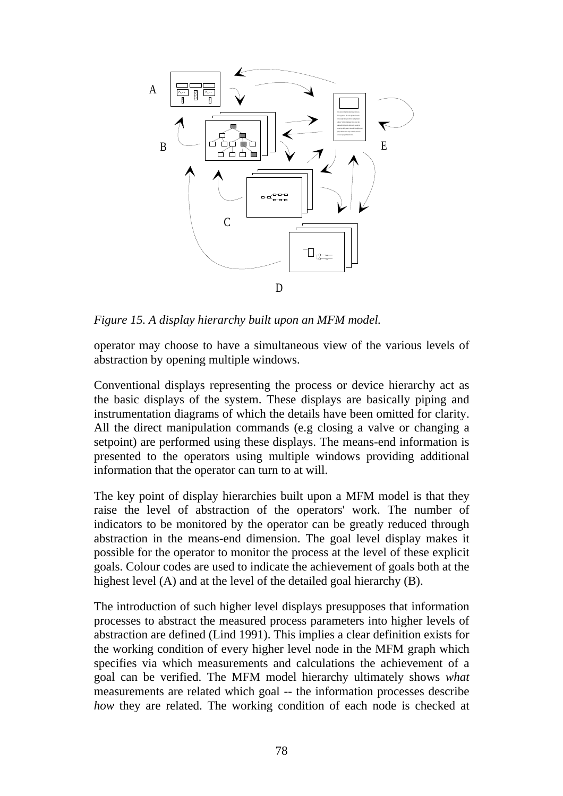

*Figure 15. A display hierarchy built upon an MFM model.*

operator may choose to have a simultaneous view of the various levels of abstraction by opening multiple windows.

Conventional displays representing the process or device hierarchy act as the basic displays of the system. These displays are basically piping and instrumentation diagrams of which the details have been omitted for clarity. All the direct manipulation commands (e.g closing a valve or changing a setpoint) are performed using these displays. The means-end information is presented to the operators using multiple windows providing additional information that the operator can turn to at will.

The key point of display hierarchies built upon a MFM model is that they raise the level of abstraction of the operators' work. The number of indicators to be monitored by the operator can be greatly reduced through abstraction in the means-end dimension. The goal level display makes it possible for the operator to monitor the process at the level of these explicit goals. Colour codes are used to indicate the achievement of goals both at the highest level (A) and at the level of the detailed goal hierarchy (B).

The introduction of such higher level displays presupposes that information processes to abstract the measured process parameters into higher levels of abstraction are defined (Lind 1991). This implies a clear definition exists for the working condition of every higher level node in the MFM graph which specifies via which measurements and calculations the achievement of a goal can be verified. The MFM model hierarchy ultimately shows *what* measurements are related which goal -- the information processes describe *how* they are related. The working condition of each node is checked at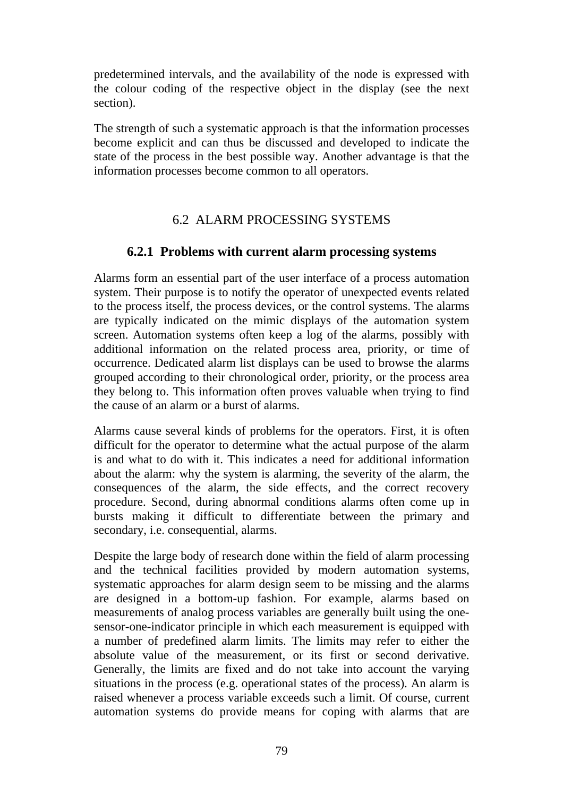predetermined intervals, and the availability of the node is expressed with the colour coding of the respective object in the display (see the next section).

The strength of such a systematic approach is that the information processes become explicit and can thus be discussed and developed to indicate the state of the process in the best possible way. Another advantage is that the information processes become common to all operators.

# 6.2 ALARM PROCESSING SYSTEMS

# **6.2.1 Problems with current alarm processing systems**

Alarms form an essential part of the user interface of a process automation system. Their purpose is to notify the operator of unexpected events related to the process itself, the process devices, or the control systems. The alarms are typically indicated on the mimic displays of the automation system screen. Automation systems often keep a log of the alarms, possibly with additional information on the related process area, priority, or time of occurrence. Dedicated alarm list displays can be used to browse the alarms grouped according to their chronological order, priority, or the process area they belong to. This information often proves valuable when trying to find the cause of an alarm or a burst of alarms.

Alarms cause several kinds of problems for the operators. First, it is often difficult for the operator to determine what the actual purpose of the alarm is and what to do with it. This indicates a need for additional information about the alarm: why the system is alarming, the severity of the alarm, the consequences of the alarm, the side effects, and the correct recovery procedure. Second, during abnormal conditions alarms often come up in bursts making it difficult to differentiate between the primary and secondary, i.e. consequential, alarms.

Despite the large body of research done within the field of alarm processing and the technical facilities provided by modern automation systems, systematic approaches for alarm design seem to be missing and the alarms are designed in a bottom-up fashion. For example, alarms based on measurements of analog process variables are generally built using the onesensor-one-indicator principle in which each measurement is equipped with a number of predefined alarm limits. The limits may refer to either the absolute value of the measurement, or its first or second derivative. Generally, the limits are fixed and do not take into account the varying situations in the process (e.g. operational states of the process). An alarm is raised whenever a process variable exceeds such a limit. Of course, current automation systems do provide means for coping with alarms that are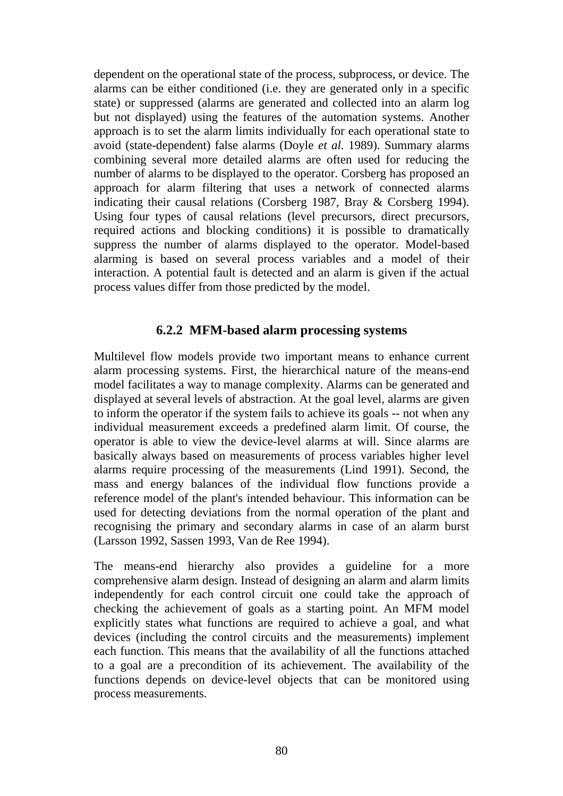dependent on the operational state of the process, subprocess, or device. The alarms can be either conditioned (i.e. they are generated only in a specific state) or suppressed (alarms are generated and collected into an alarm log but not displayed) using the features of the automation systems. Another approach is to set the alarm limits individually for each operational state to avoid (state-dependent) false alarms (Doyle *et al.* 1989). Summary alarms combining several more detailed alarms are often used for reducing the number of alarms to be displayed to the operator. Corsberg has proposed an approach for alarm filtering that uses a network of connected alarms indicating their causal relations (Corsberg 1987, Bray & Corsberg 1994). Using four types of causal relations (level precursors, direct precursors, required actions and blocking conditions) it is possible to dramatically suppress the number of alarms displayed to the operator. Model-based alarming is based on several process variables and a model of their interaction. A potential fault is detected and an alarm is given if the actual process values differ from those predicted by the model.

### **6.2.2 MFM-based alarm processing systems**

Multilevel flow models provide two important means to enhance current alarm processing systems. First, the hierarchical nature of the means-end model facilitates a way to manage complexity. Alarms can be generated and displayed at several levels of abstraction. At the goal level, alarms are given to inform the operator if the system fails to achieve its goals -- not when any individual measurement exceeds a predefined alarm limit. Of course, the operator is able to view the device-level alarms at will. Since alarms are basically always based on measurements of process variables higher level alarms require processing of the measurements (Lind 1991). Second, the mass and energy balances of the individual flow functions provide a reference model of the plant's intended behaviour. This information can be used for detecting deviations from the normal operation of the plant and recognising the primary and secondary alarms in case of an alarm burst (Larsson 1992, Sassen 1993, Van de Ree 1994).

The means-end hierarchy also provides a guideline for a more comprehensive alarm design. Instead of designing an alarm and alarm limits independently for each control circuit one could take the approach of checking the achievement of goals as a starting point. An MFM model explicitly states what functions are required to achieve a goal, and what devices (including the control circuits and the measurements) implement each function. This means that the availability of all the functions attached to a goal are a precondition of its achievement. The availability of the functions depends on device-level objects that can be monitored using process measurements.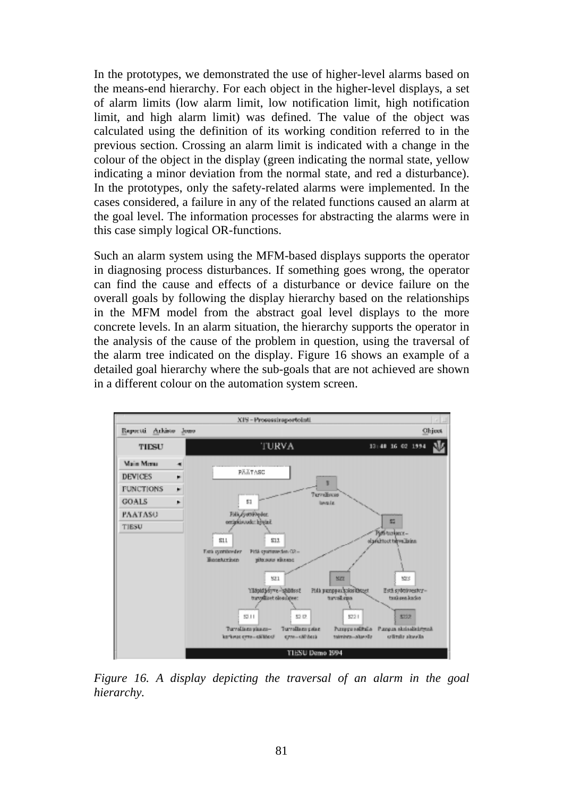In the prototypes, we demonstrated the use of higher-level alarms based on the means-end hierarchy. For each object in the higher-level displays, a set of alarm limits (low alarm limit, low notification limit, high notification limit, and high alarm limit) was defined. The value of the object was calculated using the definition of its working condition referred to in the previous section. Crossing an alarm limit is indicated with a change in the colour of the object in the display (green indicating the normal state, yellow indicating a minor deviation from the normal state, and red a disturbance). In the prototypes, only the safety-related alarms were implemented. In the cases considered, a failure in any of the related functions caused an alarm at the goal level. The information processes for abstracting the alarms were in this case simply logical OR-functions.

Such an alarm system using the MFM-based displays supports the operator in diagnosing process disturbances. If something goes wrong, the operator can find the cause and effects of a disturbance or device failure on the overall goals by following the display hierarchy based on the relationships in the MFM model from the abstract goal level displays to the more concrete levels. In an alarm situation, the hierarchy supports the operator in the analysis of the cause of the problem in question, using the traversal of the alarm tree indicated on the display. Figure 16 shows an example of a detailed goal hierarchy where the sub-goals that are not achieved are shown in a different colour on the automation system screen.



*Figure 16. A display depicting the traversal of an alarm in the goal hierarchy.*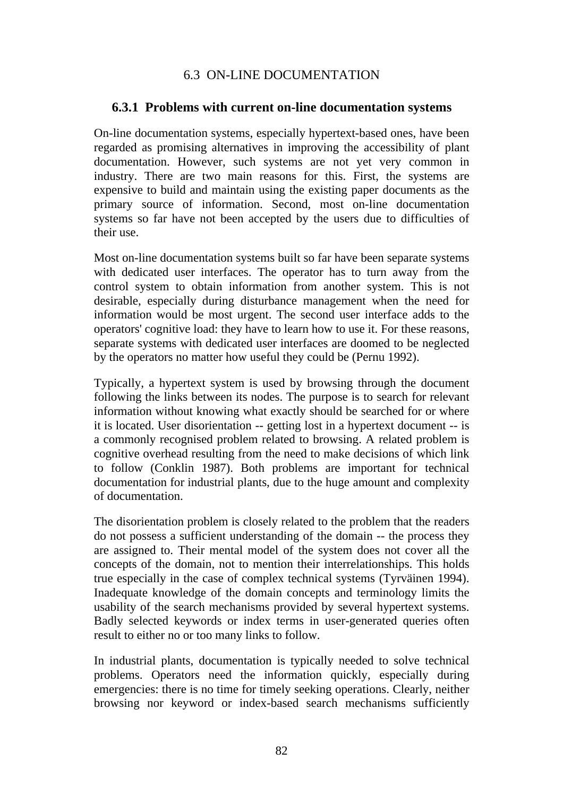# 6.3 ON-LINE DOCUMENTATION

### **6.3.1 Problems with current on-line documentation systems**

On-line documentation systems, especially hypertext-based ones, have been regarded as promising alternatives in improving the accessibility of plant documentation. However, such systems are not yet very common in industry. There are two main reasons for this. First, the systems are expensive to build and maintain using the existing paper documents as the primary source of information. Second, most on-line documentation systems so far have not been accepted by the users due to difficulties of their use.

Most on-line documentation systems built so far have been separate systems with dedicated user interfaces. The operator has to turn away from the control system to obtain information from another system. This is not desirable, especially during disturbance management when the need for information would be most urgent. The second user interface adds to the operators' cognitive load: they have to learn how to use it. For these reasons, separate systems with dedicated user interfaces are doomed to be neglected by the operators no matter how useful they could be (Pernu 1992).

Typically, a hypertext system is used by browsing through the document following the links between its nodes. The purpose is to search for relevant information without knowing what exactly should be searched for or where it is located. User disorientation -- getting lost in a hypertext document -- is a commonly recognised problem related to browsing. A related problem is cognitive overhead resulting from the need to make decisions of which link to follow (Conklin 1987). Both problems are important for technical documentation for industrial plants, due to the huge amount and complexity of documentation.

The disorientation problem is closely related to the problem that the readers do not possess a sufficient understanding of the domain -- the process they are assigned to. Their mental model of the system does not cover all the concepts of the domain, not to mention their interrelationships. This holds true especially in the case of complex technical systems (Tyrväinen 1994). Inadequate knowledge of the domain concepts and terminology limits the usability of the search mechanisms provided by several hypertext systems. Badly selected keywords or index terms in user-generated queries often result to either no or too many links to follow.

In industrial plants, documentation is typically needed to solve technical problems. Operators need the information quickly, especially during emergencies: there is no time for timely seeking operations. Clearly, neither browsing nor keyword or index-based search mechanisms sufficiently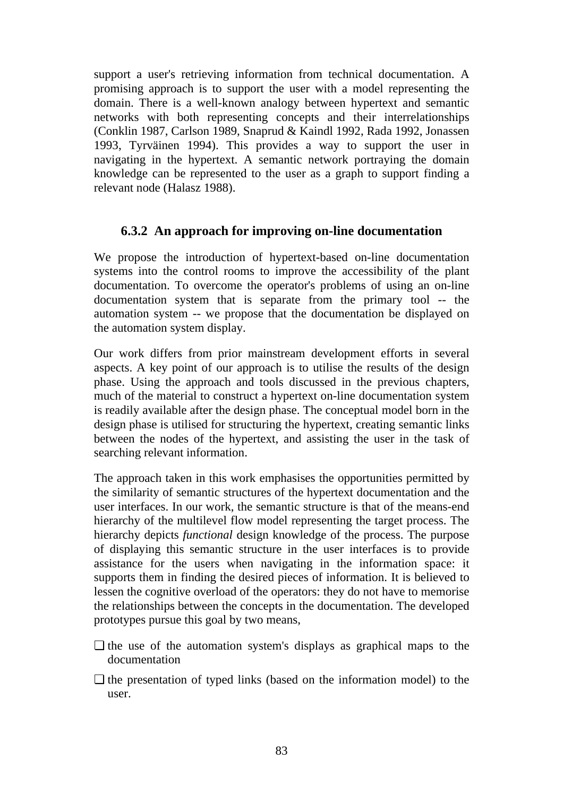support a user's retrieving information from technical documentation. A promising approach is to support the user with a model representing the domain. There is a well-known analogy between hypertext and semantic networks with both representing concepts and their interrelationships (Conklin 1987, Carlson 1989, Snaprud & Kaindl 1992, Rada 1992, Jonassen 1993, Tyrväinen 1994). This provides a way to support the user in navigating in the hypertext. A semantic network portraying the domain knowledge can be represented to the user as a graph to support finding a relevant node (Halasz 1988).

### **6.3.2 An approach for improving on-line documentation**

We propose the introduction of hypertext-based on-line documentation systems into the control rooms to improve the accessibility of the plant documentation. To overcome the operator's problems of using an on-line documentation system that is separate from the primary tool -- the automation system -- we propose that the documentation be displayed on the automation system display.

Our work differs from prior mainstream development efforts in several aspects. A key point of our approach is to utilise the results of the design phase. Using the approach and tools discussed in the previous chapters, much of the material to construct a hypertext on-line documentation system is readily available after the design phase. The conceptual model born in the design phase is utilised for structuring the hypertext, creating semantic links between the nodes of the hypertext, and assisting the user in the task of searching relevant information.

The approach taken in this work emphasises the opportunities permitted by the similarity of semantic structures of the hypertext documentation and the user interfaces. In our work, the semantic structure is that of the means-end hierarchy of the multilevel flow model representing the target process. The hierarchy depicts *functional* design knowledge of the process. The purpose of displaying this semantic structure in the user interfaces is to provide assistance for the users when navigating in the information space: it supports them in finding the desired pieces of information. It is believed to lessen the cognitive overload of the operators: they do not have to memorise the relationships between the concepts in the documentation. The developed prototypes pursue this goal by two means,

- ❏ the use of the automation system's displays as graphical maps to the documentation
- ❏ the presentation of typed links (based on the information model) to the user.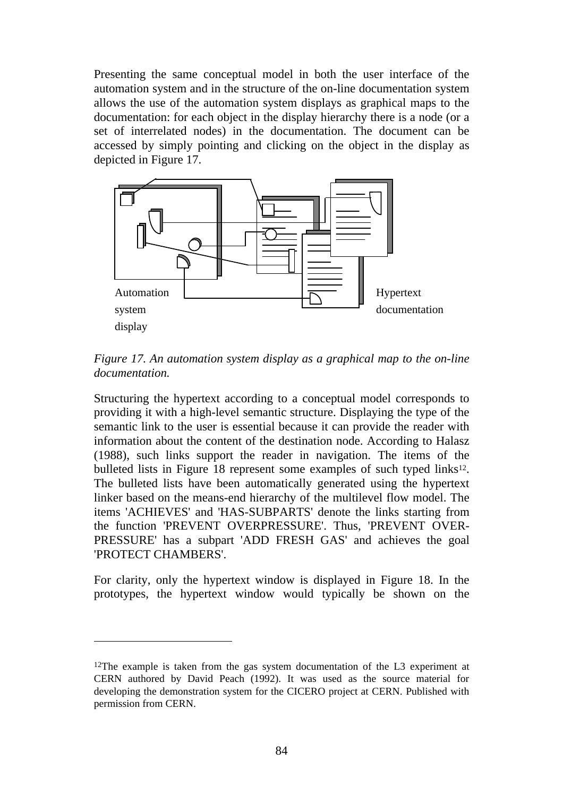Presenting the same conceptual model in both the user interface of the automation system and in the structure of the on-line documentation system allows the use of the automation system displays as graphical maps to the documentation: for each object in the display hierarchy there is a node (or a set of interrelated nodes) in the documentation. The document can be accessed by simply pointing and clicking on the object in the display as depicted in Figure 17.



*Figure 17. An automation system display as a graphical map to the on-line documentation.*

Structuring the hypertext according to a conceptual model corresponds to providing it with a high-level semantic structure. Displaying the type of the semantic link to the user is essential because it can provide the reader with information about the content of the destination node. According to Halasz (1988), such links support the reader in navigation. The items of the bulleted lists in Figure 18 represent some examples of such typed links<sup>12</sup>. The bulleted lists have been automatically generated using the hypertext linker based on the means-end hierarchy of the multilevel flow model. The items 'ACHIEVES' and 'HAS-SUBPARTS' denote the links starting from the function 'PREVENT OVERPRESSURE'. Thus, 'PREVENT OVER-PRESSURE' has a subpart 'ADD FRESH GAS' and achieves the goal 'PROTECT CHAMBERS'.

For clarity, only the hypertext window is displayed in Figure 18. In the prototypes, the hypertext window would typically be shown on the

 $\overline{a}$ 

<sup>12</sup>The example is taken from the gas system documentation of the L3 experiment at CERN authored by David Peach (1992). It was used as the source material for developing the demonstration system for the CICERO project at CERN. Published with permission from CERN.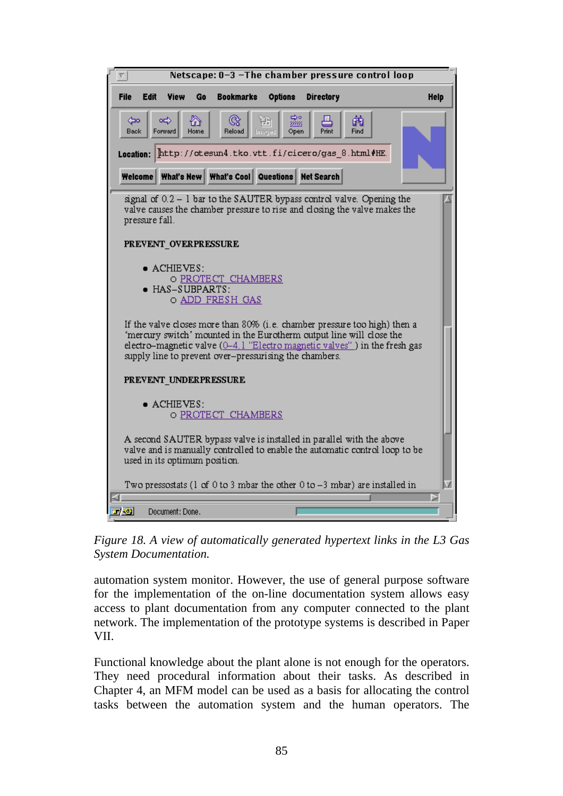

*Figure 18. A view of automatically generated hypertext links in the L3 Gas System Documentation.*

automation system monitor. However, the use of general purpose software for the implementation of the on-line documentation system allows easy access to plant documentation from any computer connected to the plant network. The implementation of the prototype systems is described in Paper VII.

Functional knowledge about the plant alone is not enough for the operators. They need procedural information about their tasks. As described in Chapter 4, an MFM model can be used as a basis for allocating the control tasks between the automation system and the human operators. The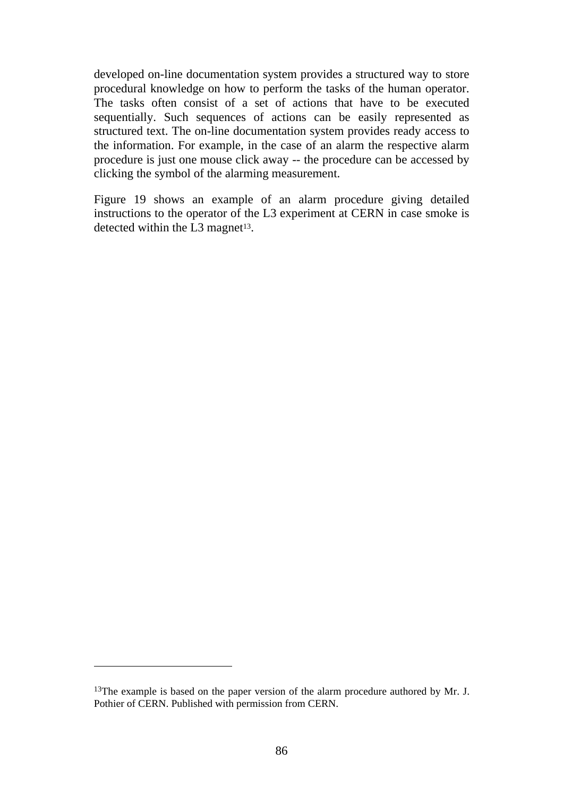developed on-line documentation system provides a structured way to store procedural knowledge on how to perform the tasks of the human operator. The tasks often consist of a set of actions that have to be executed sequentially. Such sequences of actions can be easily represented as structured text. The on-line documentation system provides ready access to the information. For example, in the case of an alarm the respective alarm procedure is just one mouse click away -- the procedure can be accessed by clicking the symbol of the alarming measurement.

Figure 19 shows an example of an alarm procedure giving detailed instructions to the operator of the L3 experiment at CERN in case smoke is detected within the L3 magnet<sup>13</sup>.

 $\overline{a}$ 

<sup>&</sup>lt;sup>13</sup>The example is based on the paper version of the alarm procedure authored by Mr. J. Pothier of CERN. Published with permission from CERN.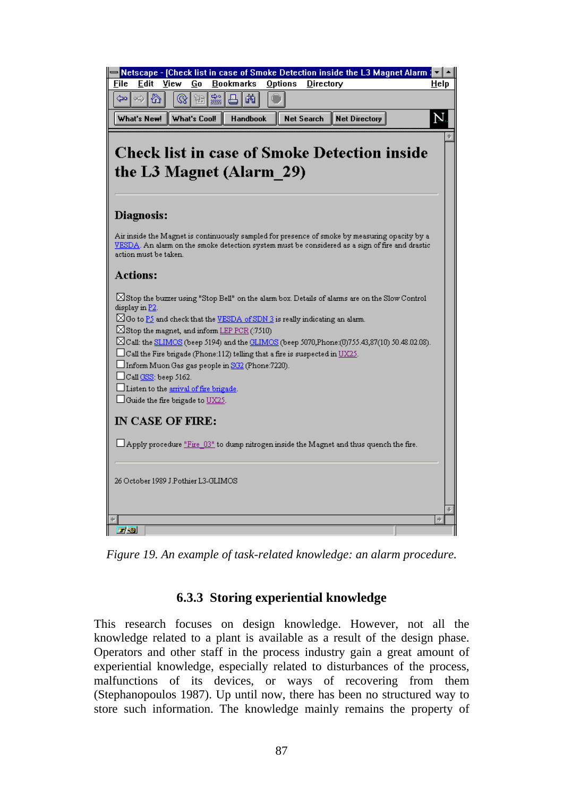

*Figure 19. An example of task-related knowledge: an alarm procedure.*

# **6.3.3 Storing experiential knowledge**

This research focuses on design knowledge. However, not all the knowledge related to a plant is available as a result of the design phase. Operators and other staff in the process industry gain a great amount of experiential knowledge, especially related to disturbances of the process, malfunctions of its devices, or ways of recovering from them (Stephanopoulos 1987). Up until now, there has been no structured way to store such information. The knowledge mainly remains the property of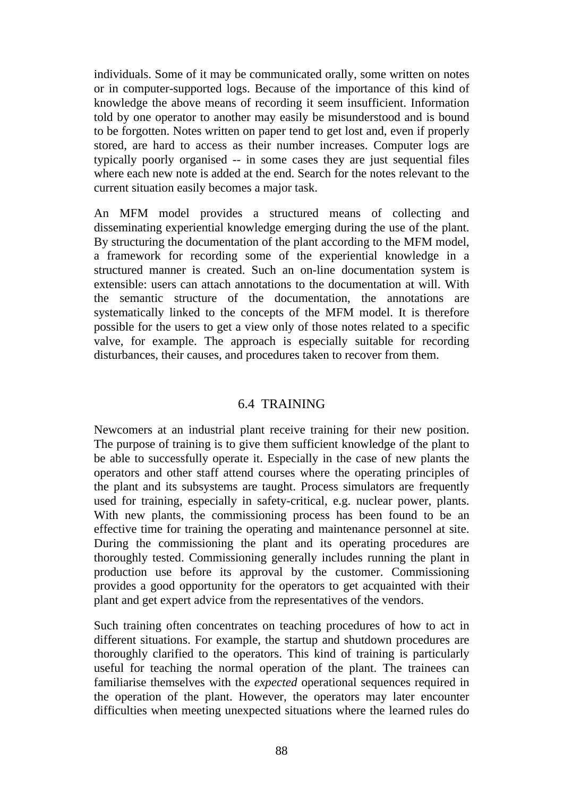individuals. Some of it may be communicated orally, some written on notes or in computer-supported logs. Because of the importance of this kind of knowledge the above means of recording it seem insufficient. Information told by one operator to another may easily be misunderstood and is bound to be forgotten. Notes written on paper tend to get lost and, even if properly stored, are hard to access as their number increases. Computer logs are typically poorly organised -- in some cases they are just sequential files where each new note is added at the end. Search for the notes relevant to the current situation easily becomes a major task.

An MFM model provides a structured means of collecting and disseminating experiential knowledge emerging during the use of the plant. By structuring the documentation of the plant according to the MFM model, a framework for recording some of the experiential knowledge in a structured manner is created. Such an on-line documentation system is extensible: users can attach annotations to the documentation at will. With the semantic structure of the documentation, the annotations are systematically linked to the concepts of the MFM model. It is therefore possible for the users to get a view only of those notes related to a specific valve, for example. The approach is especially suitable for recording disturbances, their causes, and procedures taken to recover from them.

### 6.4 TRAINING

Newcomers at an industrial plant receive training for their new position. The purpose of training is to give them sufficient knowledge of the plant to be able to successfully operate it. Especially in the case of new plants the operators and other staff attend courses where the operating principles of the plant and its subsystems are taught. Process simulators are frequently used for training, especially in safety-critical, e.g. nuclear power, plants. With new plants, the commissioning process has been found to be an effective time for training the operating and maintenance personnel at site. During the commissioning the plant and its operating procedures are thoroughly tested. Commissioning generally includes running the plant in production use before its approval by the customer. Commissioning provides a good opportunity for the operators to get acquainted with their plant and get expert advice from the representatives of the vendors.

Such training often concentrates on teaching procedures of how to act in different situations. For example, the startup and shutdown procedures are thoroughly clarified to the operators. This kind of training is particularly useful for teaching the normal operation of the plant. The trainees can familiarise themselves with the *expected* operational sequences required in the operation of the plant. However, the operators may later encounter difficulties when meeting unexpected situations where the learned rules do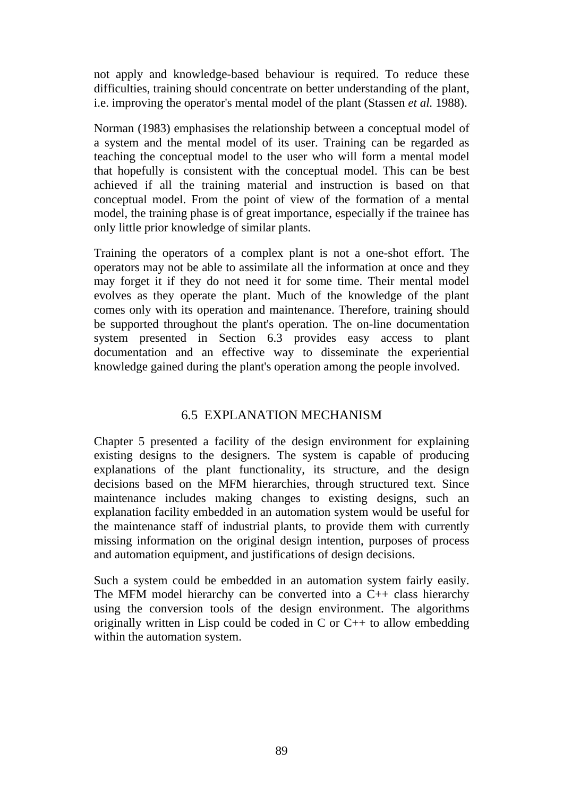not apply and knowledge-based behaviour is required. To reduce these difficulties, training should concentrate on better understanding of the plant, i.e. improving the operator's mental model of the plant (Stassen *et al.* 1988).

Norman (1983) emphasises the relationship between a conceptual model of a system and the mental model of its user. Training can be regarded as teaching the conceptual model to the user who will form a mental model that hopefully is consistent with the conceptual model. This can be best achieved if all the training material and instruction is based on that conceptual model. From the point of view of the formation of a mental model, the training phase is of great importance, especially if the trainee has only little prior knowledge of similar plants.

Training the operators of a complex plant is not a one-shot effort. The operators may not be able to assimilate all the information at once and they may forget it if they do not need it for some time. Their mental model evolves as they operate the plant. Much of the knowledge of the plant comes only with its operation and maintenance. Therefore, training should be supported throughout the plant's operation. The on-line documentation system presented in Section 6.3 provides easy access to plant documentation and an effective way to disseminate the experiential knowledge gained during the plant's operation among the people involved.

# 6.5 EXPLANATION MECHANISM

Chapter 5 presented a facility of the design environment for explaining existing designs to the designers. The system is capable of producing explanations of the plant functionality, its structure, and the design decisions based on the MFM hierarchies, through structured text. Since maintenance includes making changes to existing designs, such an explanation facility embedded in an automation system would be useful for the maintenance staff of industrial plants, to provide them with currently missing information on the original design intention, purposes of process and automation equipment, and justifications of design decisions.

Such a system could be embedded in an automation system fairly easily. The MFM model hierarchy can be converted into a C++ class hierarchy using the conversion tools of the design environment. The algorithms originally written in Lisp could be coded in C or C++ to allow embedding within the automation system.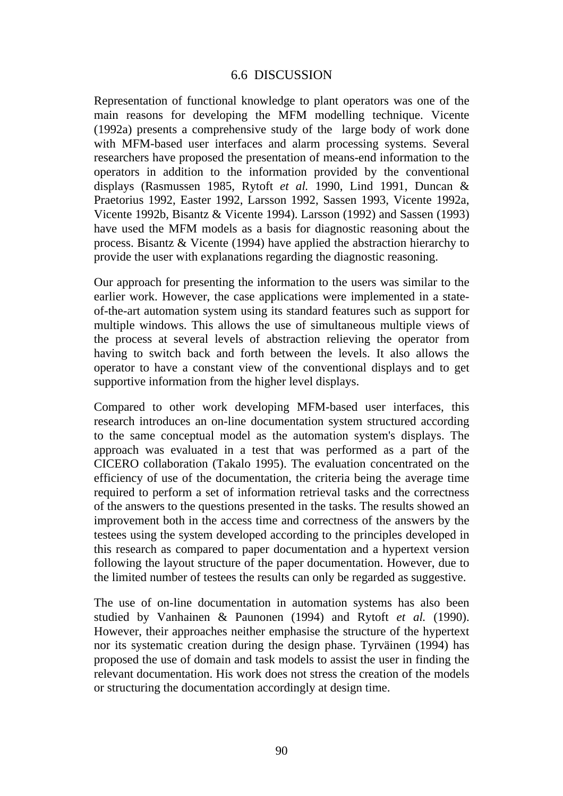#### 6.6 DISCUSSION

Representation of functional knowledge to plant operators was one of the main reasons for developing the MFM modelling technique. Vicente (1992a) presents a comprehensive study of the large body of work done with MFM-based user interfaces and alarm processing systems. Several researchers have proposed the presentation of means-end information to the operators in addition to the information provided by the conventional displays (Rasmussen 1985, Rytoft *et al.* 1990, Lind 1991, Duncan & Praetorius 1992, Easter 1992, Larsson 1992, Sassen 1993, Vicente 1992a, Vicente 1992b, Bisantz & Vicente 1994). Larsson (1992) and Sassen (1993) have used the MFM models as a basis for diagnostic reasoning about the process. Bisantz & Vicente (1994) have applied the abstraction hierarchy to provide the user with explanations regarding the diagnostic reasoning.

Our approach for presenting the information to the users was similar to the earlier work. However, the case applications were implemented in a stateof-the-art automation system using its standard features such as support for multiple windows. This allows the use of simultaneous multiple views of the process at several levels of abstraction relieving the operator from having to switch back and forth between the levels. It also allows the operator to have a constant view of the conventional displays and to get supportive information from the higher level displays.

Compared to other work developing MFM-based user interfaces, this research introduces an on-line documentation system structured according to the same conceptual model as the automation system's displays. The approach was evaluated in a test that was performed as a part of the CICERO collaboration (Takalo 1995). The evaluation concentrated on the efficiency of use of the documentation, the criteria being the average time required to perform a set of information retrieval tasks and the correctness of the answers to the questions presented in the tasks. The results showed an improvement both in the access time and correctness of the answers by the testees using the system developed according to the principles developed in this research as compared to paper documentation and a hypertext version following the layout structure of the paper documentation. However, due to the limited number of testees the results can only be regarded as suggestive.

The use of on-line documentation in automation systems has also been studied by Vanhainen & Paunonen (1994) and Rytoft *et al.* (1990). However, their approaches neither emphasise the structure of the hypertext nor its systematic creation during the design phase. Tyrväinen (1994) has proposed the use of domain and task models to assist the user in finding the relevant documentation. His work does not stress the creation of the models or structuring the documentation accordingly at design time.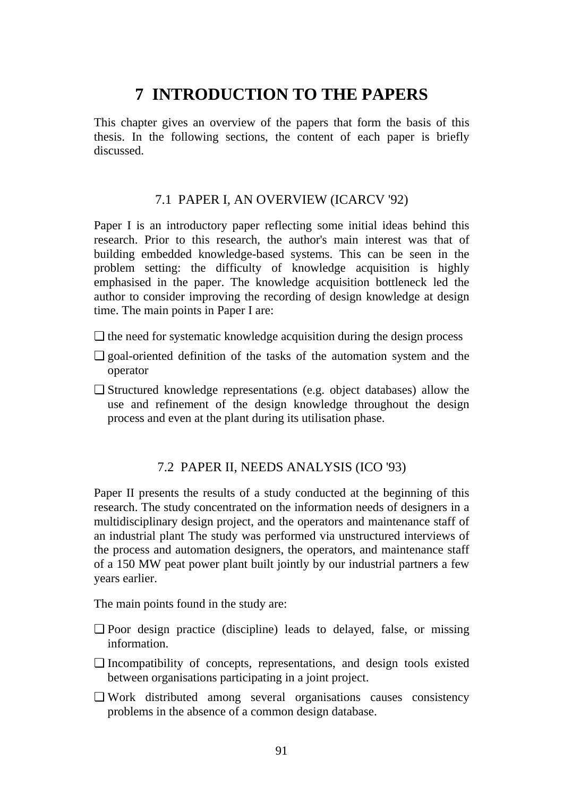# **7 INTRODUCTION TO THE PAPERS**

This chapter gives an overview of the papers that form the basis of this thesis. In the following sections, the content of each paper is briefly discussed.

### 7.1 PAPER I, AN OVERVIEW (ICARCV '92)

Paper I is an introductory paper reflecting some initial ideas behind this research. Prior to this research, the author's main interest was that of building embedded knowledge-based systems. This can be seen in the problem setting: the difficulty of knowledge acquisition is highly emphasised in the paper. The knowledge acquisition bottleneck led the author to consider improving the recording of design knowledge at design time. The main points in Paper I are:

- $\Box$  the need for systematic knowledge acquisition during the design process
- ❏ goal-oriented definition of the tasks of the automation system and the operator
- ❏ Structured knowledge representations (e.g. object databases) allow the use and refinement of the design knowledge throughout the design process and even at the plant during its utilisation phase.

### 7.2 PAPER II, NEEDS ANALYSIS (ICO '93)

Paper II presents the results of a study conducted at the beginning of this research. The study concentrated on the information needs of designers in a multidisciplinary design project, and the operators and maintenance staff of an industrial plant The study was performed via unstructured interviews of the process and automation designers, the operators, and maintenance staff of a 150 MW peat power plant built jointly by our industrial partners a few years earlier.

The main points found in the study are:

- ❏ Poor design practice (discipline) leads to delayed, false, or missing information.
- ❏ Incompatibility of concepts, representations, and design tools existed between organisations participating in a joint project.
- ❏ Work distributed among several organisations causes consistency problems in the absence of a common design database.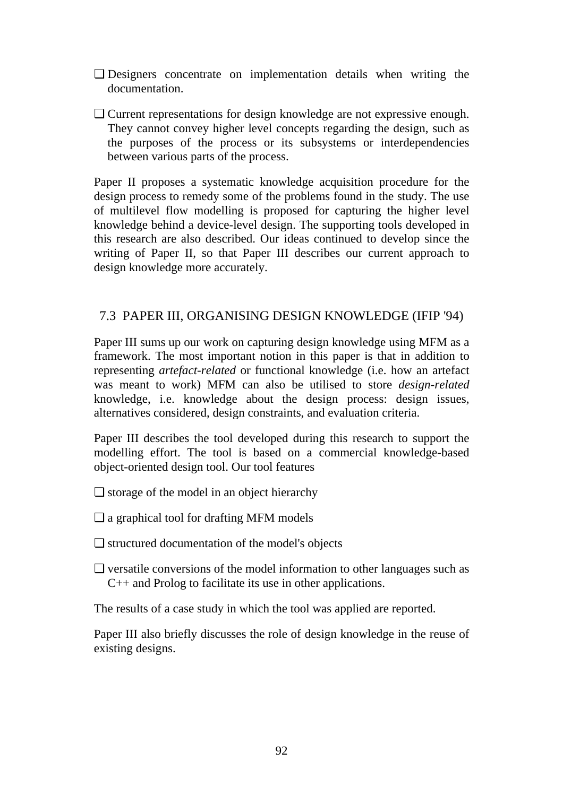- ❏ Designers concentrate on implementation details when writing the documentation.
- ❏ Current representations for design knowledge are not expressive enough. They cannot convey higher level concepts regarding the design, such as the purposes of the process or its subsystems or interdependencies between various parts of the process.

Paper II proposes a systematic knowledge acquisition procedure for the design process to remedy some of the problems found in the study. The use of multilevel flow modelling is proposed for capturing the higher level knowledge behind a device-level design. The supporting tools developed in this research are also described. Our ideas continued to develop since the writing of Paper II, so that Paper III describes our current approach to design knowledge more accurately.

# 7.3 PAPER III, ORGANISING DESIGN KNOWLEDGE (IFIP '94)

Paper III sums up our work on capturing design knowledge using MFM as a framework. The most important notion in this paper is that in addition to representing *artefact-related* or functional knowledge (i.e. how an artefact was meant to work) MFM can also be utilised to store *design-related* knowledge, i.e. knowledge about the design process: design issues, alternatives considered, design constraints, and evaluation criteria.

Paper III describes the tool developed during this research to support the modelling effort. The tool is based on a commercial knowledge-based object-oriented design tool. Our tool features

- ❏ storage of the model in an object hierarchy
- ❏ a graphical tool for drafting MFM models
- ❏ structured documentation of the model's objects
- ❏ versatile conversions of the model information to other languages such as C++ and Prolog to facilitate its use in other applications.

The results of a case study in which the tool was applied are reported.

Paper III also briefly discusses the role of design knowledge in the reuse of existing designs.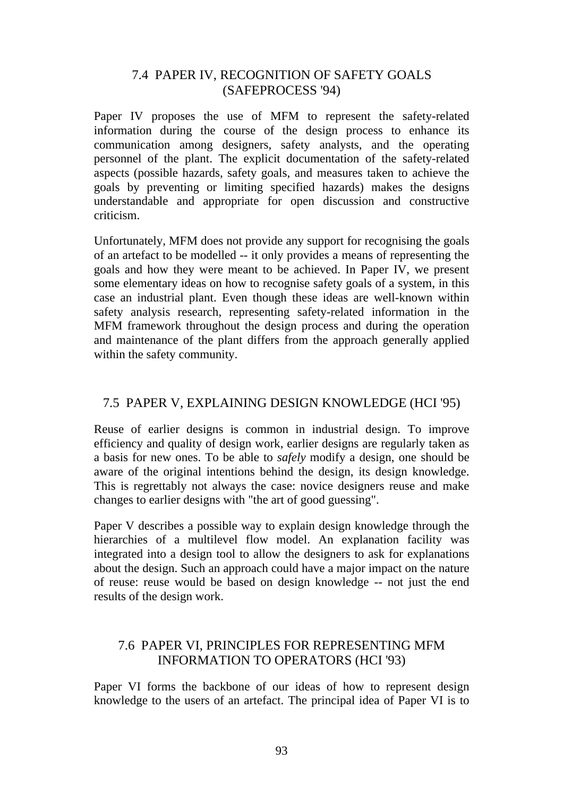### 7.4 PAPER IV, RECOGNITION OF SAFETY GOALS (SAFEPROCESS '94)

Paper IV proposes the use of MFM to represent the safety-related information during the course of the design process to enhance its communication among designers, safety analysts, and the operating personnel of the plant. The explicit documentation of the safety-related aspects (possible hazards, safety goals, and measures taken to achieve the goals by preventing or limiting specified hazards) makes the designs understandable and appropriate for open discussion and constructive criticism.

Unfortunately, MFM does not provide any support for recognising the goals of an artefact to be modelled -- it only provides a means of representing the goals and how they were meant to be achieved. In Paper IV, we present some elementary ideas on how to recognise safety goals of a system, in this case an industrial plant. Even though these ideas are well-known within safety analysis research, representing safety-related information in the MFM framework throughout the design process and during the operation and maintenance of the plant differs from the approach generally applied within the safety community.

### 7.5 PAPER V, EXPLAINING DESIGN KNOWLEDGE (HCI '95)

Reuse of earlier designs is common in industrial design. To improve efficiency and quality of design work, earlier designs are regularly taken as a basis for new ones. To be able to *safely* modify a design, one should be aware of the original intentions behind the design, its design knowledge. This is regrettably not always the case: novice designers reuse and make changes to earlier designs with "the art of good guessing".

Paper V describes a possible way to explain design knowledge through the hierarchies of a multilevel flow model. An explanation facility was integrated into a design tool to allow the designers to ask for explanations about the design. Such an approach could have a major impact on the nature of reuse: reuse would be based on design knowledge -- not just the end results of the design work.

# 7.6 PAPER VI, PRINCIPLES FOR REPRESENTING MFM INFORMATION TO OPERATORS (HCI '93)

Paper VI forms the backbone of our ideas of how to represent design knowledge to the users of an artefact. The principal idea of Paper VI is to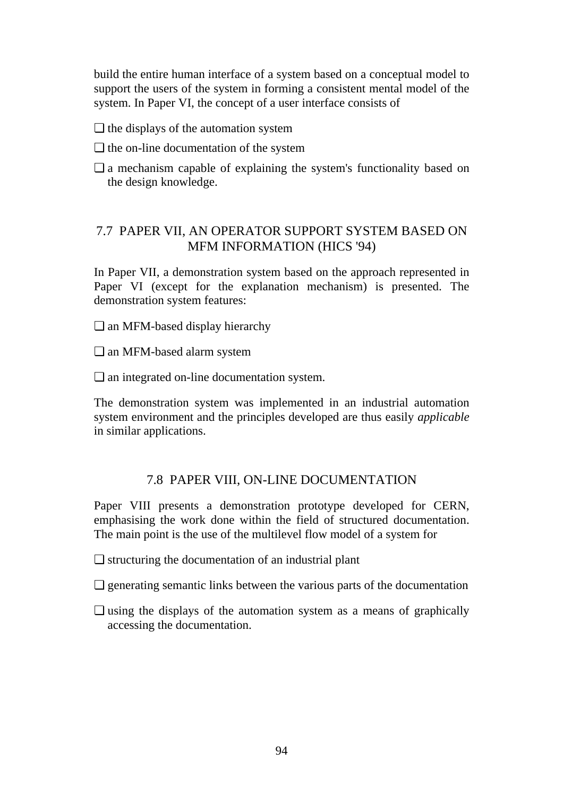build the entire human interface of a system based on a conceptual model to support the users of the system in forming a consistent mental model of the system. In Paper VI, the concept of a user interface consists of

- ❏ the displays of the automation system
- ❏ the on-line documentation of the system
- ❏ a mechanism capable of explaining the system's functionality based on the design knowledge.

### 7.7 PAPER VII, AN OPERATOR SUPPORT SYSTEM BASED ON MFM INFORMATION (HICS '94)

In Paper VII, a demonstration system based on the approach represented in Paper VI (except for the explanation mechanism) is presented. The demonstration system features:

❏ an MFM-based display hierarchy

❏ an MFM-based alarm system

❏ an integrated on-line documentation system.

The demonstration system was implemented in an industrial automation system environment and the principles developed are thus easily *applicable* in similar applications.

#### 7.8 PAPER VIII, ON-LINE DOCUMENTATION

Paper VIII presents a demonstration prototype developed for CERN, emphasising the work done within the field of structured documentation. The main point is the use of the multilevel flow model of a system for

❏ structuring the documentation of an industrial plant

- ❏ generating semantic links between the various parts of the documentation
- ❏ using the displays of the automation system as a means of graphically accessing the documentation.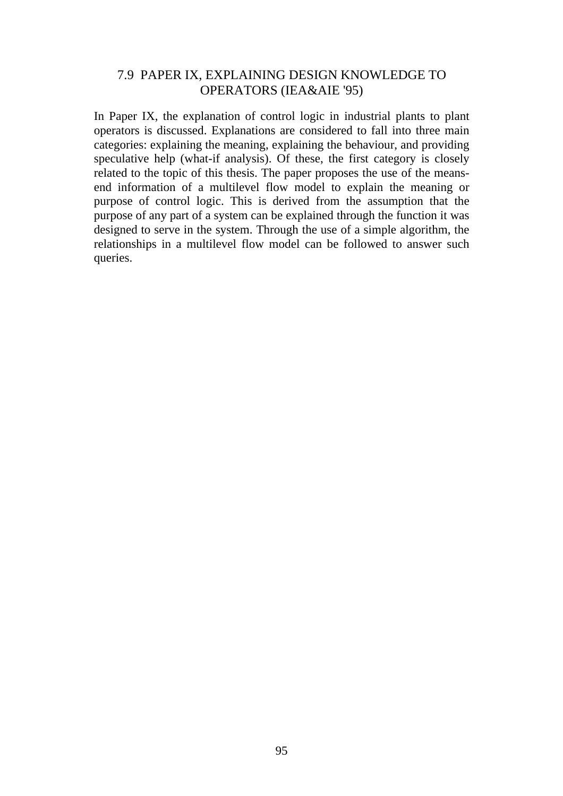### 7.9 PAPER IX, EXPLAINING DESIGN KNOWLEDGE TO OPERATORS (IEA&AIE '95)

In Paper IX, the explanation of control logic in industrial plants to plant operators is discussed. Explanations are considered to fall into three main categories: explaining the meaning, explaining the behaviour, and providing speculative help (what-if analysis). Of these, the first category is closely related to the topic of this thesis. The paper proposes the use of the meansend information of a multilevel flow model to explain the meaning or purpose of control logic. This is derived from the assumption that the purpose of any part of a system can be explained through the function it was designed to serve in the system. Through the use of a simple algorithm, the relationships in a multilevel flow model can be followed to answer such queries.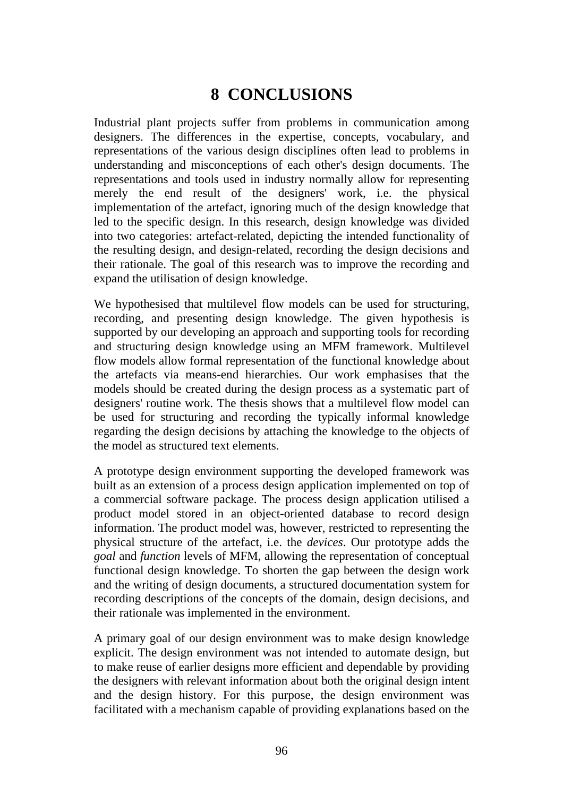# **8 CONCLUSIONS**

Industrial plant projects suffer from problems in communication among designers. The differences in the expertise, concepts, vocabulary, and representations of the various design disciplines often lead to problems in understanding and misconceptions of each other's design documents. The representations and tools used in industry normally allow for representing merely the end result of the designers' work, i.e. the physical implementation of the artefact, ignoring much of the design knowledge that led to the specific design. In this research, design knowledge was divided into two categories: artefact-related, depicting the intended functionality of the resulting design, and design-related, recording the design decisions and their rationale. The goal of this research was to improve the recording and expand the utilisation of design knowledge.

We hypothesised that multilevel flow models can be used for structuring, recording, and presenting design knowledge. The given hypothesis is supported by our developing an approach and supporting tools for recording and structuring design knowledge using an MFM framework. Multilevel flow models allow formal representation of the functional knowledge about the artefacts via means-end hierarchies. Our work emphasises that the models should be created during the design process as a systematic part of designers' routine work. The thesis shows that a multilevel flow model can be used for structuring and recording the typically informal knowledge regarding the design decisions by attaching the knowledge to the objects of the model as structured text elements.

A prototype design environment supporting the developed framework was built as an extension of a process design application implemented on top of a commercial software package. The process design application utilised a product model stored in an object-oriented database to record design information. The product model was, however, restricted to representing the physical structure of the artefact, i.e. the *devices*. Our prototype adds the *goal* and *function* levels of MFM, allowing the representation of conceptual functional design knowledge. To shorten the gap between the design work and the writing of design documents, a structured documentation system for recording descriptions of the concepts of the domain, design decisions, and their rationale was implemented in the environment.

A primary goal of our design environment was to make design knowledge explicit. The design environment was not intended to automate design, but to make reuse of earlier designs more efficient and dependable by providing the designers with relevant information about both the original design intent and the design history. For this purpose, the design environment was facilitated with a mechanism capable of providing explanations based on the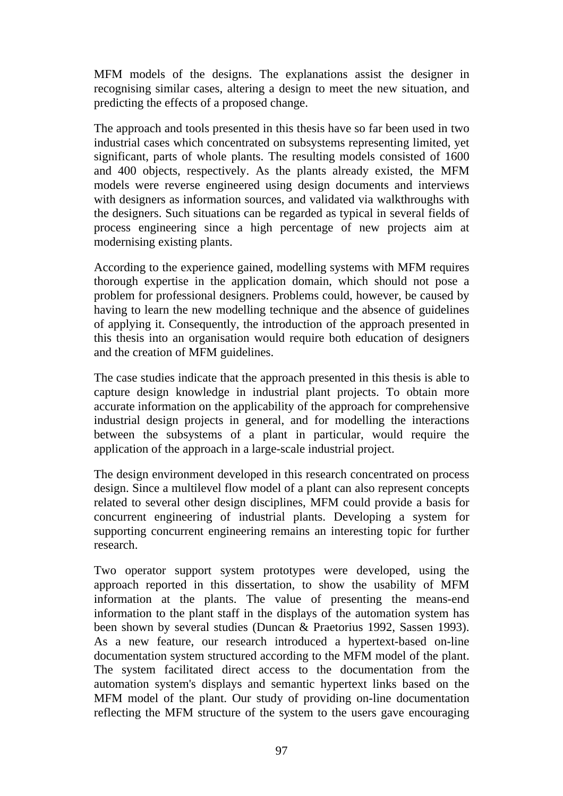MFM models of the designs. The explanations assist the designer in recognising similar cases, altering a design to meet the new situation, and predicting the effects of a proposed change.

The approach and tools presented in this thesis have so far been used in two industrial cases which concentrated on subsystems representing limited, yet significant, parts of whole plants. The resulting models consisted of 1600 and 400 objects, respectively. As the plants already existed, the MFM models were reverse engineered using design documents and interviews with designers as information sources, and validated via walkthroughs with the designers. Such situations can be regarded as typical in several fields of process engineering since a high percentage of new projects aim at modernising existing plants.

According to the experience gained, modelling systems with MFM requires thorough expertise in the application domain, which should not pose a problem for professional designers. Problems could, however, be caused by having to learn the new modelling technique and the absence of guidelines of applying it. Consequently, the introduction of the approach presented in this thesis into an organisation would require both education of designers and the creation of MFM guidelines.

The case studies indicate that the approach presented in this thesis is able to capture design knowledge in industrial plant projects. To obtain more accurate information on the applicability of the approach for comprehensive industrial design projects in general, and for modelling the interactions between the subsystems of a plant in particular, would require the application of the approach in a large-scale industrial project.

The design environment developed in this research concentrated on process design. Since a multilevel flow model of a plant can also represent concepts related to several other design disciplines, MFM could provide a basis for concurrent engineering of industrial plants. Developing a system for supporting concurrent engineering remains an interesting topic for further research.

Two operator support system prototypes were developed, using the approach reported in this dissertation, to show the usability of MFM information at the plants. The value of presenting the means-end information to the plant staff in the displays of the automation system has been shown by several studies (Duncan & Praetorius 1992, Sassen 1993). As a new feature, our research introduced a hypertext-based on-line documentation system structured according to the MFM model of the plant. The system facilitated direct access to the documentation from the automation system's displays and semantic hypertext links based on the MFM model of the plant. Our study of providing on-line documentation reflecting the MFM structure of the system to the users gave encouraging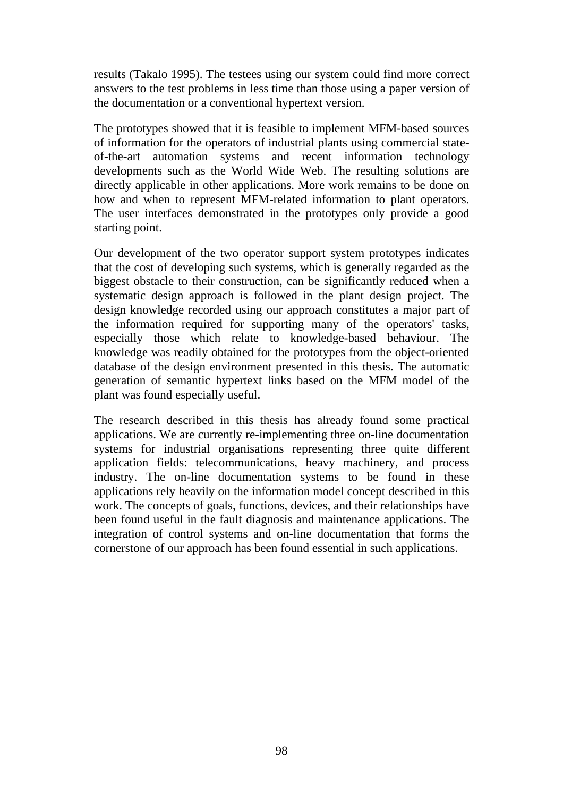results (Takalo 1995). The testees using our system could find more correct answers to the test problems in less time than those using a paper version of the documentation or a conventional hypertext version.

The prototypes showed that it is feasible to implement MFM-based sources of information for the operators of industrial plants using commercial stateof-the-art automation systems and recent information technology developments such as the World Wide Web. The resulting solutions are directly applicable in other applications. More work remains to be done on how and when to represent MFM-related information to plant operators. The user interfaces demonstrated in the prototypes only provide a good starting point.

Our development of the two operator support system prototypes indicates that the cost of developing such systems, which is generally regarded as the biggest obstacle to their construction, can be significantly reduced when a systematic design approach is followed in the plant design project. The design knowledge recorded using our approach constitutes a major part of the information required for supporting many of the operators' tasks, especially those which relate to knowledge-based behaviour. The knowledge was readily obtained for the prototypes from the object-oriented database of the design environment presented in this thesis. The automatic generation of semantic hypertext links based on the MFM model of the plant was found especially useful.

The research described in this thesis has already found some practical applications. We are currently re-implementing three on-line documentation systems for industrial organisations representing three quite different application fields: telecommunications, heavy machinery, and process industry. The on-line documentation systems to be found in these applications rely heavily on the information model concept described in this work. The concepts of goals, functions, devices, and their relationships have been found useful in the fault diagnosis and maintenance applications. The integration of control systems and on-line documentation that forms the cornerstone of our approach has been found essential in such applications.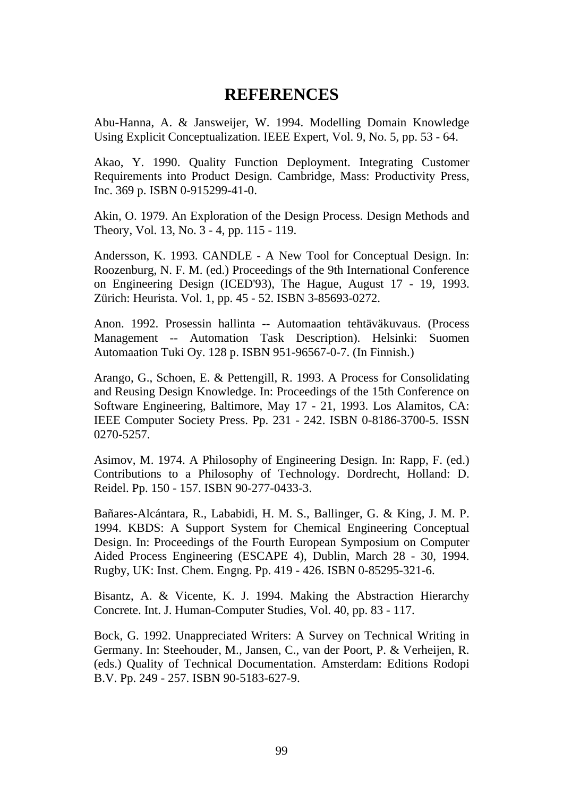# **REFERENCES**

Abu-Hanna, A. & Jansweijer, W. 1994. Modelling Domain Knowledge Using Explicit Conceptualization. IEEE Expert, Vol. 9, No. 5, pp. 53 - 64.

Akao, Y. 1990. Quality Function Deployment. Integrating Customer Requirements into Product Design. Cambridge, Mass: Productivity Press, Inc. 369 p. ISBN 0-915299-41-0.

Akin, O. 1979. An Exploration of the Design Process. Design Methods and Theory, Vol. 13, No. 3 - 4, pp. 115 - 119.

Andersson, K. 1993. CANDLE - A New Tool for Conceptual Design. In: Roozenburg, N. F. M. (ed.) Proceedings of the 9th International Conference on Engineering Design (ICED'93), The Hague, August 17 - 19, 1993. Zürich: Heurista. Vol. 1, pp. 45 - 52. ISBN 3-85693-0272.

Anon. 1992. Prosessin hallinta -- Automaation tehtäväkuvaus. (Process Management -- Automation Task Description). Helsinki: Suomen Automaation Tuki Oy. 128 p. ISBN 951-96567-0-7. (In Finnish.)

Arango, G., Schoen, E. & Pettengill, R. 1993. A Process for Consolidating and Reusing Design Knowledge. In: Proceedings of the 15th Conference on Software Engineering, Baltimore, May 17 - 21, 1993. Los Alamitos, CA: IEEE Computer Society Press. Pp. 231 - 242. ISBN 0-8186-3700-5. ISSN 0270-5257.

Asimov, M. 1974. A Philosophy of Engineering Design. In: Rapp, F. (ed.) Contributions to a Philosophy of Technology. Dordrecht, Holland: D. Reidel. Pp. 150 - 157. ISBN 90-277-0433-3.

Bañares-Alcántara, R., Lababidi, H. M. S., Ballinger, G. & King, J. M. P. 1994. KBDS: A Support System for Chemical Engineering Conceptual Design. In: Proceedings of the Fourth European Symposium on Computer Aided Process Engineering (ESCAPE 4), Dublin, March 28 - 30, 1994. Rugby, UK: Inst. Chem. Engng. Pp. 419 - 426. ISBN 0-85295-321-6.

Bisantz, A. & Vicente, K. J. 1994. Making the Abstraction Hierarchy Concrete. Int. J. Human-Computer Studies, Vol. 40, pp. 83 - 117.

Bock, G. 1992. Unappreciated Writers: A Survey on Technical Writing in Germany. In: Steehouder, M., Jansen, C., van der Poort, P. & Verheijen, R. (eds.) Quality of Technical Documentation. Amsterdam: Editions Rodopi B.V. Pp. 249 - 257. ISBN 90-5183-627-9.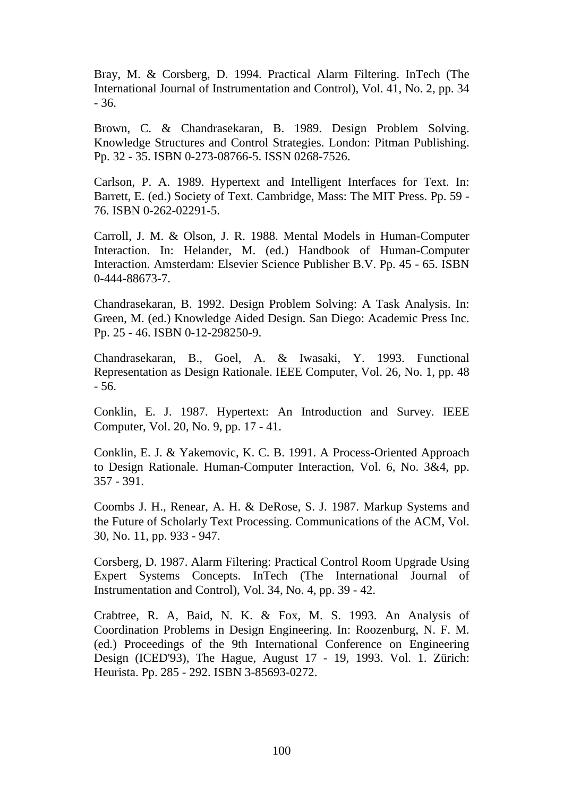Bray, M. & Corsberg, D. 1994. Practical Alarm Filtering. InTech (The International Journal of Instrumentation and Control), Vol. 41, No. 2, pp. 34 - 36.

Brown, C. & Chandrasekaran, B. 1989. Design Problem Solving. Knowledge Structures and Control Strategies. London: Pitman Publishing. Pp. 32 - 35. ISBN 0-273-08766-5. ISSN 0268-7526.

Carlson, P. A. 1989. Hypertext and Intelligent Interfaces for Text. In: Barrett, E. (ed.) Society of Text. Cambridge, Mass: The MIT Press. Pp. 59 - 76. ISBN 0-262-02291-5.

Carroll, J. M. & Olson, J. R. 1988. Mental Models in Human-Computer Interaction. In: Helander, M. (ed.) Handbook of Human-Computer Interaction. Amsterdam: Elsevier Science Publisher B.V. Pp. 45 - 65. ISBN 0-444-88673-7.

Chandrasekaran, B. 1992. Design Problem Solving: A Task Analysis. In: Green, M. (ed.) Knowledge Aided Design. San Diego: Academic Press Inc. Pp. 25 - 46. ISBN 0-12-298250-9.

Chandrasekaran, B., Goel, A. & Iwasaki, Y. 1993. Functional Representation as Design Rationale. IEEE Computer, Vol. 26, No. 1, pp. 48 - 56.

Conklin, E. J. 1987. Hypertext: An Introduction and Survey. IEEE Computer, Vol. 20, No. 9, pp. 17 - 41.

Conklin, E. J. & Yakemovic, K. C. B. 1991. A Process-Oriented Approach to Design Rationale. Human-Computer Interaction, Vol. 6, No. 3&4, pp. 357 - 391.

Coombs J. H., Renear, A. H. & DeRose, S. J. 1987. Markup Systems and the Future of Scholarly Text Processing. Communications of the ACM, Vol. 30, No. 11, pp. 933 - 947.

Corsberg, D. 1987. Alarm Filtering: Practical Control Room Upgrade Using Expert Systems Concepts. InTech (The International Journal of Instrumentation and Control), Vol. 34, No. 4, pp. 39 - 42.

Crabtree, R. A, Baid, N. K. & Fox, M. S. 1993. An Analysis of Coordination Problems in Design Engineering. In: Roozenburg, N. F. M. (ed.) Proceedings of the 9th International Conference on Engineering Design (ICED'93), The Hague, August 17 - 19, 1993. Vol. 1. Zürich: Heurista. Pp. 285 - 292. ISBN 3-85693-0272.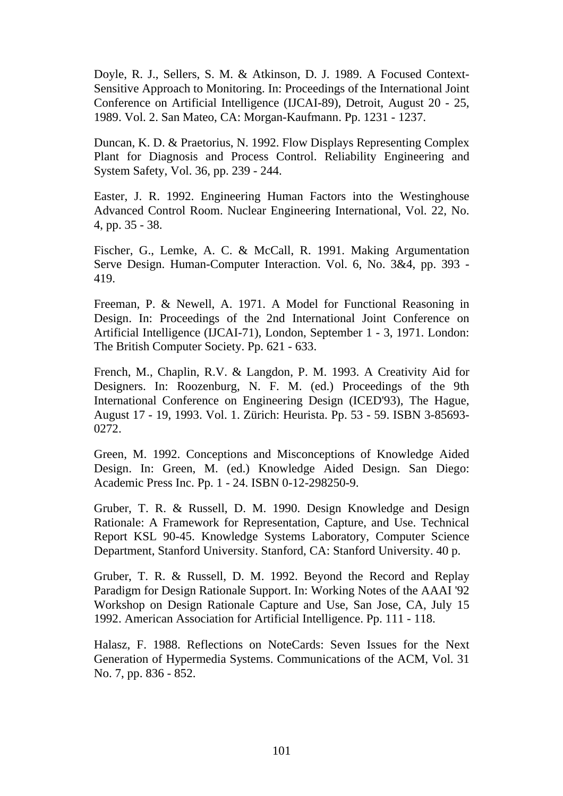Doyle, R. J., Sellers, S. M. & Atkinson, D. J. 1989. A Focused Context-Sensitive Approach to Monitoring. In: Proceedings of the International Joint Conference on Artificial Intelligence (IJCAI-89), Detroit, August 20 - 25, 1989. Vol. 2. San Mateo, CA: Morgan-Kaufmann. Pp. 1231 - 1237.

Duncan, K. D. & Praetorius, N. 1992. Flow Displays Representing Complex Plant for Diagnosis and Process Control. Reliability Engineering and System Safety, Vol. 36, pp. 239 - 244.

Easter, J. R. 1992. Engineering Human Factors into the Westinghouse Advanced Control Room. Nuclear Engineering International, Vol. 22, No. 4, pp. 35 - 38.

Fischer, G., Lemke, A. C. & McCall, R. 1991. Making Argumentation Serve Design. Human-Computer Interaction. Vol. 6, No. 3&4, pp. 393 - 419.

Freeman, P. & Newell, A. 1971. A Model for Functional Reasoning in Design. In: Proceedings of the 2nd International Joint Conference on Artificial Intelligence (IJCAI-71), London, September 1 - 3, 1971. London: The British Computer Society. Pp. 621 - 633.

French, M., Chaplin, R.V. & Langdon, P. M. 1993. A Creativity Aid for Designers. In: Roozenburg, N. F. M. (ed.) Proceedings of the 9th International Conference on Engineering Design (ICED'93), The Hague, August 17 - 19, 1993. Vol. 1. Zürich: Heurista. Pp. 53 - 59. ISBN 3-85693- 0272.

Green, M. 1992. Conceptions and Misconceptions of Knowledge Aided Design. In: Green, M. (ed.) Knowledge Aided Design. San Diego: Academic Press Inc. Pp. 1 - 24. ISBN 0-12-298250-9.

Gruber, T. R. & Russell, D. M. 1990. Design Knowledge and Design Rationale: A Framework for Representation, Capture, and Use. Technical Report KSL 90-45. Knowledge Systems Laboratory, Computer Science Department, Stanford University. Stanford, CA: Stanford University. 40 p.

Gruber, T. R. & Russell, D. M. 1992. Beyond the Record and Replay Paradigm for Design Rationale Support. In: Working Notes of the AAAI '92 Workshop on Design Rationale Capture and Use, San Jose, CA, July 15 1992. American Association for Artificial Intelligence. Pp. 111 - 118.

Halasz, F. 1988. Reflections on NoteCards: Seven Issues for the Next Generation of Hypermedia Systems. Communications of the ACM, Vol. 31 No. 7, pp. 836 - 852.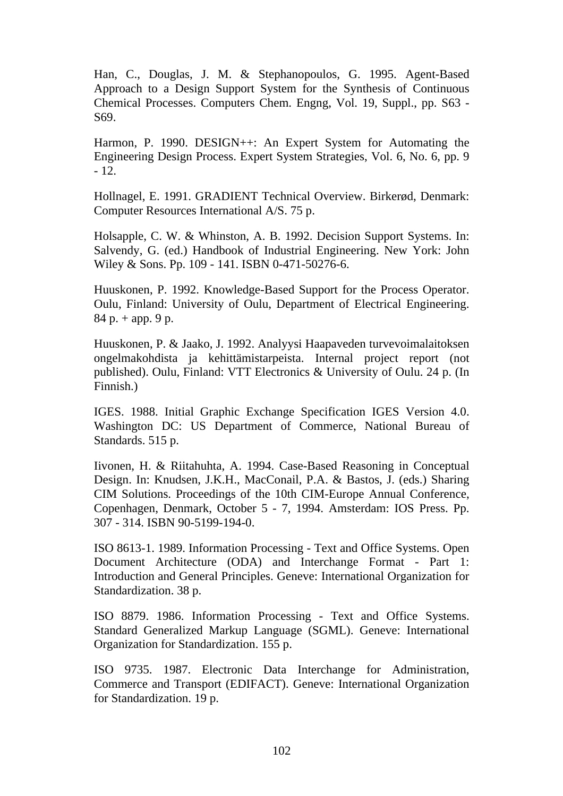Han, C., Douglas, J. M. & Stephanopoulos, G. 1995. Agent-Based Approach to a Design Support System for the Synthesis of Continuous Chemical Processes. Computers Chem. Engng, Vol. 19, Suppl., pp. S63 - S69.

Harmon, P. 1990. DESIGN++: An Expert System for Automating the Engineering Design Process. Expert System Strategies, Vol. 6, No. 6, pp. 9 - 12.

Hollnagel, E. 1991. GRADIENT Technical Overview. Birkerød, Denmark: Computer Resources International A/S. 75 p.

Holsapple, C. W. & Whinston, A. B. 1992. Decision Support Systems. In: Salvendy, G. (ed.) Handbook of Industrial Engineering. New York: John Wiley & Sons. Pp. 109 - 141. ISBN 0-471-50276-6.

Huuskonen, P. 1992. Knowledge-Based Support for the Process Operator. Oulu, Finland: University of Oulu, Department of Electrical Engineering.  $84 p. + app. 9 p.$ 

Huuskonen, P. & Jaako, J. 1992. Analyysi Haapaveden turvevoimalaitoksen ongelmakohdista ja kehittämistarpeista. Internal project report (not published). Oulu, Finland: VTT Electronics & University of Oulu. 24 p. (In Finnish.)

IGES. 1988. Initial Graphic Exchange Specification IGES Version 4.0. Washington DC: US Department of Commerce, National Bureau of Standards. 515 p.

Iivonen, H. & Riitahuhta, A. 1994. Case-Based Reasoning in Conceptual Design. In: Knudsen, J.K.H., MacConail, P.A. & Bastos, J. (eds.) Sharing CIM Solutions. Proceedings of the 10th CIM-Europe Annual Conference, Copenhagen, Denmark, October 5 - 7, 1994. Amsterdam: IOS Press. Pp. 307 - 314. ISBN 90-5199-194-0.

ISO 8613-1. 1989. Information Processing - Text and Office Systems. Open Document Architecture (ODA) and Interchange Format - Part 1: Introduction and General Principles. Geneve: International Organization for Standardization. 38 p.

ISO 8879. 1986. Information Processing - Text and Office Systems. Standard Generalized Markup Language (SGML). Geneve: International Organization for Standardization. 155 p.

ISO 9735. 1987. Electronic Data Interchange for Administration, Commerce and Transport (EDIFACT). Geneve: International Organization for Standardization. 19 p.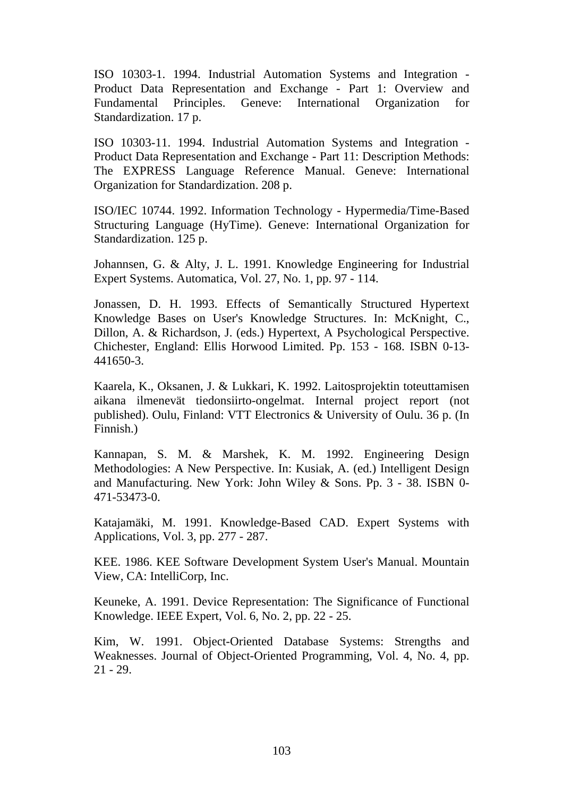ISO 10303-1. 1994. Industrial Automation Systems and Integration - Product Data Representation and Exchange - Part 1: Overview and Fundamental Principles. Geneve: International Organization for Standardization. 17 p.

ISO 10303-11. 1994. Industrial Automation Systems and Integration - Product Data Representation and Exchange - Part 11: Description Methods: The EXPRESS Language Reference Manual. Geneve: International Organization for Standardization. 208 p.

ISO/IEC 10744. 1992. Information Technology - Hypermedia/Time-Based Structuring Language (HyTime). Geneve: International Organization for Standardization. 125 p.

Johannsen, G. & Alty, J. L. 1991. Knowledge Engineering for Industrial Expert Systems. Automatica, Vol. 27, No. 1, pp. 97 - 114.

Jonassen, D. H. 1993. Effects of Semantically Structured Hypertext Knowledge Bases on User's Knowledge Structures. In: McKnight, C., Dillon, A. & Richardson, J. (eds.) Hypertext, A Psychological Perspective. Chichester, England: Ellis Horwood Limited. Pp. 153 - 168. ISBN 0-13- 441650-3.

Kaarela, K., Oksanen, J. & Lukkari, K. 1992. Laitosprojektin toteuttamisen aikana ilmenevät tiedonsiirto-ongelmat. Internal project report (not published). Oulu, Finland: VTT Electronics & University of Oulu. 36 p. (In Finnish.)

Kannapan, S. M. & Marshek, K. M. 1992. Engineering Design Methodologies: A New Perspective. In: Kusiak, A. (ed.) Intelligent Design and Manufacturing. New York: John Wiley & Sons. Pp. 3 - 38. ISBN 0- 471-53473-0.

Katajamäki, M. 1991. Knowledge-Based CAD. Expert Systems with Applications, Vol. 3, pp. 277 - 287.

KEE. 1986. KEE Software Development System User's Manual. Mountain View, CA: IntelliCorp, Inc.

Keuneke, A. 1991. Device Representation: The Significance of Functional Knowledge. IEEE Expert, Vol. 6, No. 2, pp. 22 - 25.

Kim, W. 1991. Object-Oriented Database Systems: Strengths and Weaknesses. Journal of Object-Oriented Programming, Vol. 4, No. 4, pp. 21 - 29.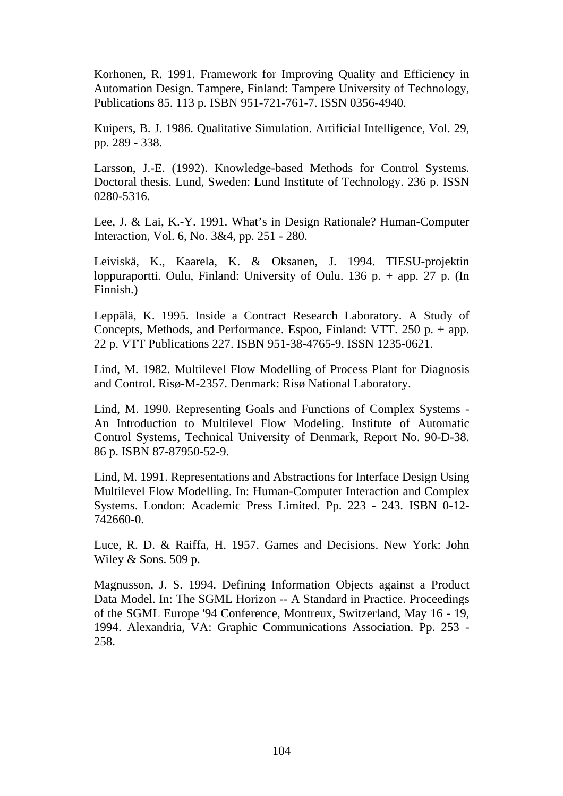Korhonen, R. 1991. Framework for Improving Quality and Efficiency in Automation Design. Tampere, Finland: Tampere University of Technology, Publications 85. 113 p. ISBN 951-721-761-7. ISSN 0356-4940.

Kuipers, B. J. 1986. Qualitative Simulation. Artificial Intelligence, Vol. 29, pp. 289 - 338.

Larsson, J.-E. (1992). Knowledge-based Methods for Control Systems*.* Doctoral thesis. Lund, Sweden: Lund Institute of Technology. 236 p. ISSN 0280-5316.

Lee, J. & Lai, K.-Y. 1991. What's in Design Rationale? Human-Computer Interaction, Vol. 6, No. 3&4, pp. 251 - 280.

Leiviskä, K., Kaarela, K. & Oksanen, J. 1994. TIESU-projektin loppuraportti. Oulu, Finland: University of Oulu. 136 p. + app. 27 p. (In Finnish.)

Leppälä, K. 1995. Inside a Contract Research Laboratory. A Study of Concepts, Methods, and Performance. Espoo, Finland: VTT. 250 p. + app. 22 p. VTT Publications 227. ISBN 951-38-4765-9. ISSN 1235-0621.

Lind, M. 1982. Multilevel Flow Modelling of Process Plant for Diagnosis and Control. Risø-M-2357. Denmark: Risø National Laboratory.

Lind, M. 1990. Representing Goals and Functions of Complex Systems - An Introduction to Multilevel Flow Modeling. Institute of Automatic Control Systems, Technical University of Denmark, Report No. 90-D-38. 86 p. ISBN 87-87950-52-9.

Lind, M. 1991. Representations and Abstractions for Interface Design Using Multilevel Flow Modelling. In: Human-Computer Interaction and Complex Systems. London: Academic Press Limited. Pp. 223 - 243. ISBN 0-12- 742660-0.

Luce, R. D. & Raiffa, H. 1957. Games and Decisions. New York: John Wiley & Sons. 509 p.

Magnusson, J. S. 1994. Defining Information Objects against a Product Data Model. In: The SGML Horizon -- A Standard in Practice. Proceedings of the SGML Europe '94 Conference, Montreux, Switzerland, May 16 - 19, 1994. Alexandria, VA: Graphic Communications Association. Pp. 253 - 258.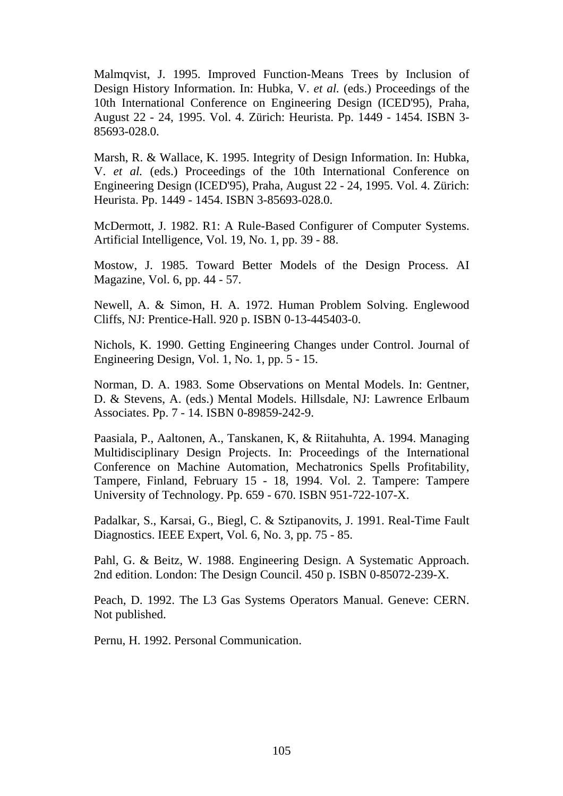Malmqvist, J. 1995. Improved Function-Means Trees by Inclusion of Design History Information. In: Hubka, V. *et al.* (eds.) Proceedings of the 10th International Conference on Engineering Design (ICED'95), Praha, August 22 - 24, 1995. Vol. 4. Zürich: Heurista. Pp. 1449 - 1454. ISBN 3- 85693-028.0.

Marsh, R. & Wallace, K. 1995. Integrity of Design Information. In: Hubka, V. *et al.* (eds.) Proceedings of the 10th International Conference on Engineering Design (ICED'95), Praha, August 22 - 24, 1995. Vol. 4. Zürich: Heurista. Pp. 1449 - 1454. ISBN 3-85693-028.0.

McDermott, J. 1982. R1: A Rule-Based Configurer of Computer Systems. Artificial Intelligence, Vol. 19, No. 1, pp. 39 - 88.

Mostow, J. 1985. Toward Better Models of the Design Process. AI Magazine, Vol. 6, pp. 44 - 57.

Newell, A. & Simon, H. A. 1972. Human Problem Solving. Englewood Cliffs, NJ: Prentice-Hall. 920 p. ISBN 0-13-445403-0.

Nichols, K. 1990. Getting Engineering Changes under Control. Journal of Engineering Design, Vol. 1, No. 1, pp. 5 - 15.

Norman, D. A. 1983. Some Observations on Mental Models. In: Gentner, D. & Stevens, A. (eds.) Mental Models. Hillsdale, NJ: Lawrence Erlbaum Associates. Pp. 7 - 14. ISBN 0-89859-242-9.

Paasiala, P., Aaltonen, A., Tanskanen, K, & Riitahuhta, A. 1994. Managing Multidisciplinary Design Projects. In: Proceedings of the International Conference on Machine Automation, Mechatronics Spells Profitability, Tampere, Finland, February 15 - 18, 1994. Vol. 2. Tampere: Tampere University of Technology. Pp. 659 - 670. ISBN 951-722-107-X.

Padalkar, S., Karsai, G., Biegl, C. & Sztipanovits, J. 1991. Real-Time Fault Diagnostics. IEEE Expert, Vol. 6, No. 3, pp. 75 - 85.

Pahl, G. & Beitz, W. 1988. Engineering Design. A Systematic Approach. 2nd edition. London: The Design Council. 450 p. ISBN 0-85072-239-X.

Peach, D. 1992. The L3 Gas Systems Operators Manual. Geneve: CERN. Not published.

Pernu, H. 1992. Personal Communication.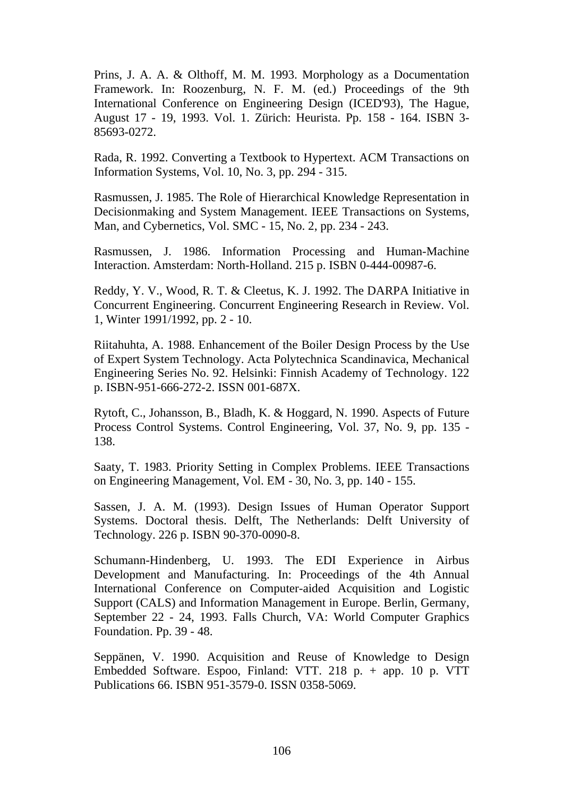Prins, J. A. A. & Olthoff, M. M. 1993. Morphology as a Documentation Framework. In: Roozenburg, N. F. M. (ed.) Proceedings of the 9th International Conference on Engineering Design (ICED'93), The Hague, August 17 - 19, 1993. Vol. 1. Zürich: Heurista. Pp. 158 - 164. ISBN 3- 85693-0272.

Rada, R. 1992. Converting a Textbook to Hypertext. ACM Transactions on Information Systems, Vol. 10, No. 3, pp. 294 - 315.

Rasmussen, J. 1985. The Role of Hierarchical Knowledge Representation in Decisionmaking and System Management. IEEE Transactions on Systems, Man, and Cybernetics, Vol. SMC - 15, No. 2, pp. 234 - 243.

Rasmussen, J. 1986. Information Processing and Human-Machine Interaction. Amsterdam: North-Holland. 215 p. ISBN 0-444-00987-6.

Reddy, Y. V., Wood, R. T. & Cleetus, K. J. 1992. The DARPA Initiative in Concurrent Engineering. Concurrent Engineering Research in Review. Vol. 1, Winter 1991/1992, pp. 2 - 10.

Riitahuhta, A. 1988. Enhancement of the Boiler Design Process by the Use of Expert System Technology. Acta Polytechnica Scandinavica, Mechanical Engineering Series No. 92. Helsinki: Finnish Academy of Technology. 122 p. ISBN-951-666-272-2. ISSN 001-687X.

Rytoft, C., Johansson, B., Bladh, K. & Hoggard, N. 1990. Aspects of Future Process Control Systems. Control Engineering, Vol. 37, No. 9, pp. 135 - 138.

Saaty, T. 1983. Priority Setting in Complex Problems. IEEE Transactions on Engineering Management, Vol. EM - 30, No. 3, pp. 140 - 155.

Sassen, J. A. M. (1993). Design Issues of Human Operator Support Systems. Doctoral thesis. Delft, The Netherlands: Delft University of Technology. 226 p. ISBN 90-370-0090-8.

Schumann-Hindenberg, U. 1993. The EDI Experience in Airbus Development and Manufacturing. In: Proceedings of the 4th Annual International Conference on Computer-aided Acquisition and Logistic Support (CALS) and Information Management in Europe. Berlin, Germany, September 22 - 24, 1993. Falls Church, VA: World Computer Graphics Foundation. Pp. 39 - 48.

Seppänen, V. 1990. Acquisition and Reuse of Knowledge to Design Embedded Software. Espoo, Finland: VTT. 218 p. + app. 10 p. VTT Publications 66. ISBN 951-3579-0. ISSN 0358-5069.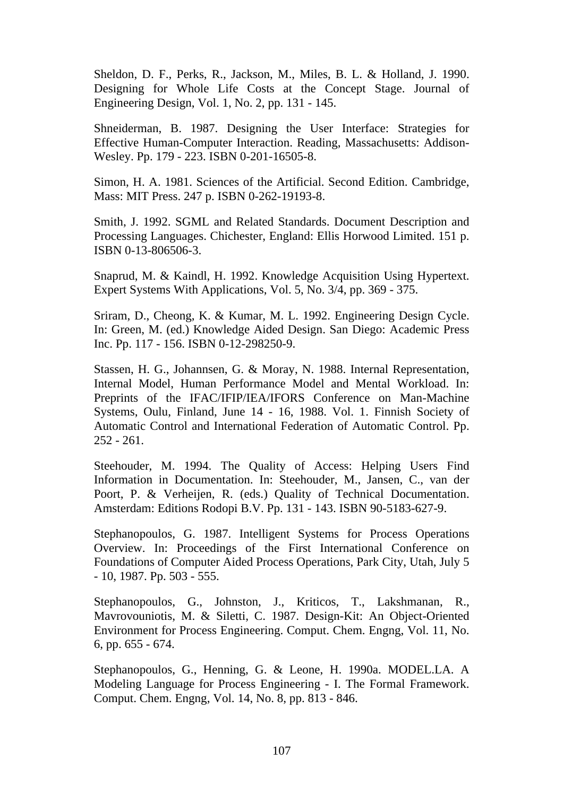Sheldon, D. F., Perks, R., Jackson, M., Miles, B. L. & Holland, J. 1990. Designing for Whole Life Costs at the Concept Stage. Journal of Engineering Design, Vol. 1, No. 2, pp. 131 - 145.

Shneiderman, B. 1987. Designing the User Interface: Strategies for Effective Human-Computer Interaction. Reading, Massachusetts: Addison-Wesley. Pp. 179 - 223. ISBN 0-201-16505-8.

Simon, H. A. 1981. Sciences of the Artificial. Second Edition. Cambridge, Mass: MIT Press. 247 p. ISBN 0-262-19193-8.

Smith, J. 1992. SGML and Related Standards. Document Description and Processing Languages. Chichester, England: Ellis Horwood Limited. 151 p. ISBN 0-13-806506-3.

Snaprud, M. & Kaindl, H. 1992. Knowledge Acquisition Using Hypertext. Expert Systems With Applications, Vol. 5, No. 3/4, pp. 369 - 375.

Sriram, D., Cheong, K. & Kumar, M. L. 1992. Engineering Design Cycle. In: Green, M. (ed.) Knowledge Aided Design. San Diego: Academic Press Inc. Pp. 117 - 156. ISBN 0-12-298250-9.

Stassen, H. G., Johannsen, G. & Moray, N. 1988. Internal Representation, Internal Model, Human Performance Model and Mental Workload. In: Preprints of the IFAC/IFIP/IEA/IFORS Conference on Man-Machine Systems, Oulu, Finland, June 14 - 16, 1988. Vol. 1. Finnish Society of Automatic Control and International Federation of Automatic Control. Pp. 252 - 261.

Steehouder, M. 1994. The Quality of Access: Helping Users Find Information in Documentation. In: Steehouder, M., Jansen, C., van der Poort, P. & Verheijen, R. (eds.) Quality of Technical Documentation. Amsterdam: Editions Rodopi B.V. Pp. 131 - 143. ISBN 90-5183-627-9.

Stephanopoulos, G. 1987. Intelligent Systems for Process Operations Overview. In: Proceedings of the First International Conference on Foundations of Computer Aided Process Operations, Park City, Utah, July 5 - 10, 1987. Pp. 503 - 555.

Stephanopoulos, G., Johnston, J., Kriticos, T., Lakshmanan, R., Mavrovouniotis, M. & Siletti, C. 1987. Design-Kit: An Object-Oriented Environment for Process Engineering. Comput. Chem. Engng, Vol. 11, No. 6, pp. 655 - 674.

Stephanopoulos, G., Henning, G. & Leone, H. 1990a. MODEL.LA. A Modeling Language for Process Engineering - I. The Formal Framework. Comput. Chem. Engng, Vol. 14, No. 8, pp. 813 - 846.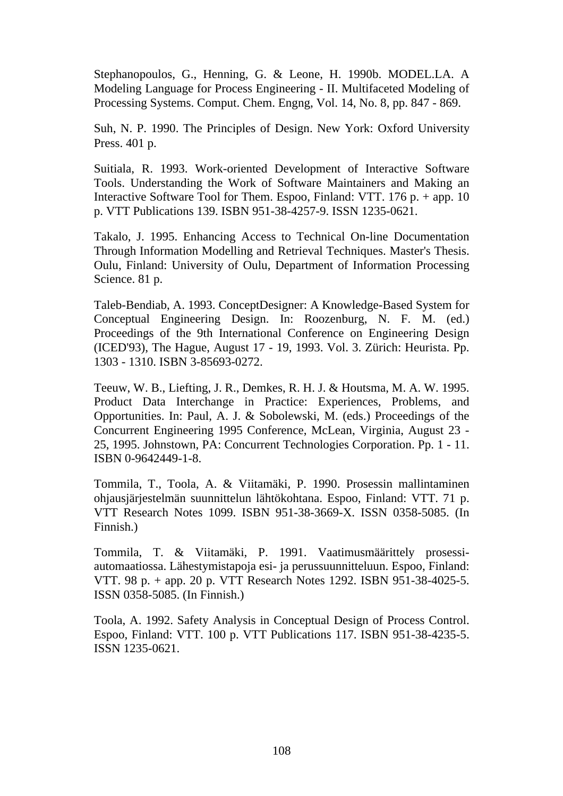Stephanopoulos, G., Henning, G. & Leone, H. 1990b. MODEL.LA. A Modeling Language for Process Engineering - II. Multifaceted Modeling of Processing Systems. Comput. Chem. Engng, Vol. 14, No. 8, pp. 847 - 869.

Suh, N. P. 1990. The Principles of Design. New York: Oxford University Press. 401 p.

Suitiala, R. 1993. Work-oriented Development of Interactive Software Tools. Understanding the Work of Software Maintainers and Making an Interactive Software Tool for Them. Espoo, Finland: VTT. 176 p. + app. 10 p. VTT Publications 139. ISBN 951-38-4257-9. ISSN 1235-0621.

Takalo, J. 1995. Enhancing Access to Technical On-line Documentation Through Information Modelling and Retrieval Techniques. Master's Thesis. Oulu, Finland: University of Oulu, Department of Information Processing Science. 81 p.

Taleb-Bendiab, A. 1993. ConceptDesigner: A Knowledge-Based System for Conceptual Engineering Design. In: Roozenburg, N. F. M. (ed.) Proceedings of the 9th International Conference on Engineering Design (ICED'93), The Hague, August 17 - 19, 1993. Vol. 3. Zürich: Heurista. Pp. 1303 - 1310. ISBN 3-85693-0272.

Teeuw, W. B., Liefting, J. R., Demkes, R. H. J. & Houtsma, M. A. W. 1995. Product Data Interchange in Practice: Experiences, Problems, and Opportunities. In: Paul, A. J. & Sobolewski, M. (eds.) Proceedings of the Concurrent Engineering 1995 Conference, McLean, Virginia, August 23 - 25, 1995. Johnstown, PA: Concurrent Technologies Corporation. Pp. 1 - 11. ISBN 0-9642449-1-8.

Tommila, T., Toola, A. & Viitamäki, P. 1990. Prosessin mallintaminen ohjausjärjestelmän suunnittelun lähtökohtana. Espoo, Finland: VTT. 71 p. VTT Research Notes 1099. ISBN 951-38-3669-X. ISSN 0358-5085. (In Finnish.)

Tommila, T. & Viitamäki, P. 1991. Vaatimusmäärittely prosessiautomaatiossa. Lähestymistapoja esi- ja perussuunnitteluun. Espoo, Finland: VTT. 98 p. + app. 20 p. VTT Research Notes 1292. ISBN 951-38-4025-5. ISSN 0358-5085. (In Finnish.)

Toola, A. 1992. Safety Analysis in Conceptual Design of Process Control. Espoo, Finland: VTT. 100 p. VTT Publications 117. ISBN 951-38-4235-5. ISSN 1235-0621.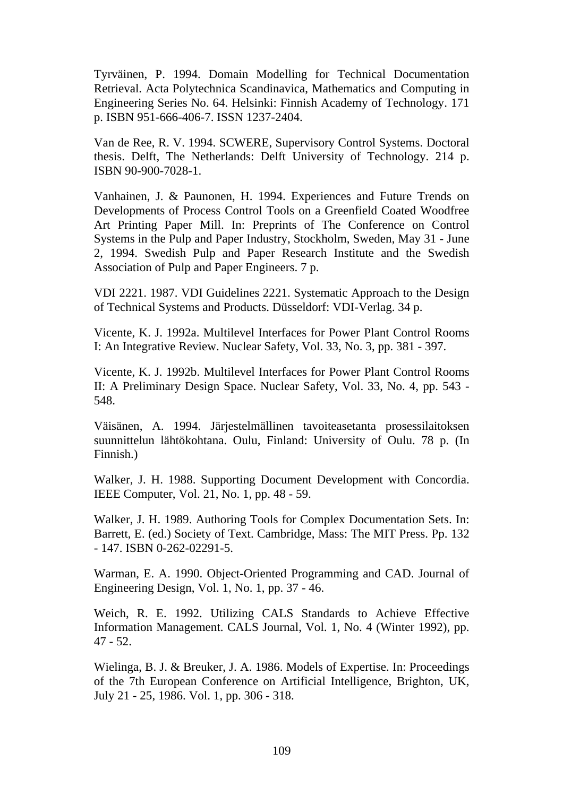Tyrväinen, P. 1994. Domain Modelling for Technical Documentation Retrieval. Acta Polytechnica Scandinavica, Mathematics and Computing in Engineering Series No. 64. Helsinki: Finnish Academy of Technology. 171 p. ISBN 951-666-406-7. ISSN 1237-2404.

Van de Ree, R. V. 1994. SCWERE, Supervisory Control Systems. Doctoral thesis. Delft, The Netherlands: Delft University of Technology. 214 p. ISBN 90-900-7028-1.

Vanhainen, J. & Paunonen, H. 1994. Experiences and Future Trends on Developments of Process Control Tools on a Greenfield Coated Woodfree Art Printing Paper Mill. In: Preprints of The Conference on Control Systems in the Pulp and Paper Industry, Stockholm, Sweden, May 31 - June 2, 1994. Swedish Pulp and Paper Research Institute and the Swedish Association of Pulp and Paper Engineers. 7 p.

VDI 2221. 1987. VDI Guidelines 2221. Systematic Approach to the Design of Technical Systems and Products. Düsseldorf: VDI-Verlag. 34 p.

Vicente, K. J. 1992a. Multilevel Interfaces for Power Plant Control Rooms I: An Integrative Review. Nuclear Safety, Vol. 33, No. 3, pp. 381 - 397.

Vicente, K. J. 1992b. Multilevel Interfaces for Power Plant Control Rooms II: A Preliminary Design Space. Nuclear Safety, Vol. 33, No. 4, pp. 543 - 548.

Väisänen, A. 1994. Järjestelmällinen tavoiteasetanta prosessilaitoksen suunnittelun lähtökohtana. Oulu, Finland: University of Oulu. 78 p. (In Finnish.)

Walker, J. H. 1988. Supporting Document Development with Concordia. IEEE Computer, Vol. 21, No. 1, pp. 48 - 59.

Walker, J. H. 1989. Authoring Tools for Complex Documentation Sets. In: Barrett, E. (ed.) Society of Text. Cambridge, Mass: The MIT Press. Pp. 132 - 147. ISBN 0-262-02291-5.

Warman, E. A. 1990. Object-Oriented Programming and CAD. Journal of Engineering Design, Vol. 1, No. 1, pp. 37 - 46.

Weich, R. E. 1992. Utilizing CALS Standards to Achieve Effective Information Management. CALS Journal, Vol. 1, No. 4 (Winter 1992), pp. 47 - 52.

Wielinga, B. J. & Breuker, J. A. 1986. Models of Expertise. In: Proceedings of the 7th European Conference on Artificial Intelligence, Brighton, UK, July 21 - 25, 1986. Vol. 1, pp. 306 - 318.